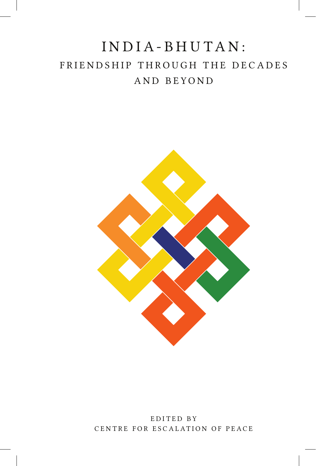## INDIA-BHUTAN: FRIENDSHIP THROUGH THE DECADES AND BEYOND



EDITED BY CENTRE FOR ESCALATION OF PEACE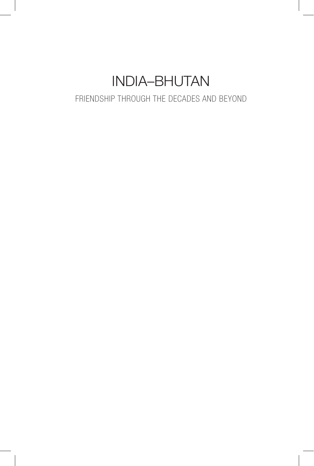# INDIA–BHUTAN

### FRIENDSHIP THROUGH THE DECADES AND BEYOND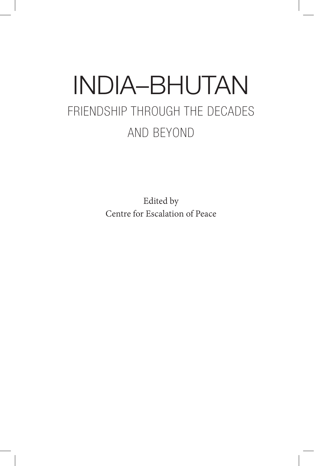# INDIA–BHUTAN FRIENDSHIP THROUGH THE DECADES AND BEYOND

Edited by Centre for Escalation of Peace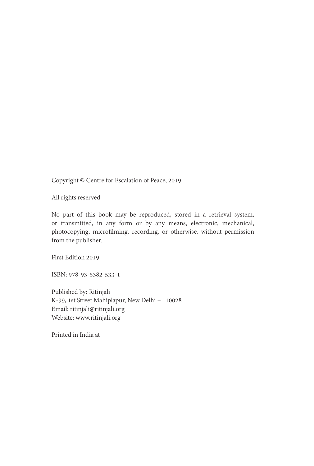Copyright © Centre for Escalation of Peace, 2019

All rights reserved

No part of this book may be reproduced, stored in a retrieval system, or transmitted, in any form or by any means, electronic, mechanical, photocopying, microfilming, recording, or otherwise, without permission from the publisher.

First Edition 2019

ISBN: 978-93-5382-533-1

Published by: Ritinjali K-99, 1st Street Mahiplapur, New Delhi – 110028 Email: ritinjali@ritinjali.org Website: www.ritinjali.org

Printed in India at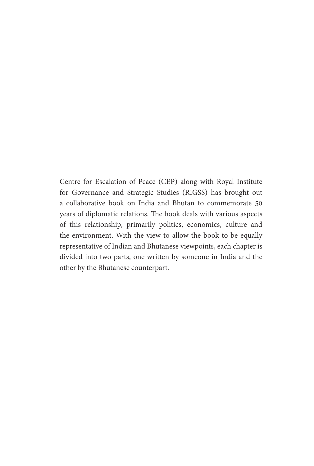Centre for Escalation of Peace (CEP) along with Royal Institute for Governance and Strategic Studies (RIGSS) has brought out a collaborative book on India and Bhutan to commemorate 50 years of diplomatic relations. The book deals with various aspects of this relationship, primarily politics, economics, culture and the environment. With the view to allow the book to be equally representative of Indian and Bhutanese viewpoints, each chapter is divided into two parts, one written by someone in India and the other by the Bhutanese counterpart.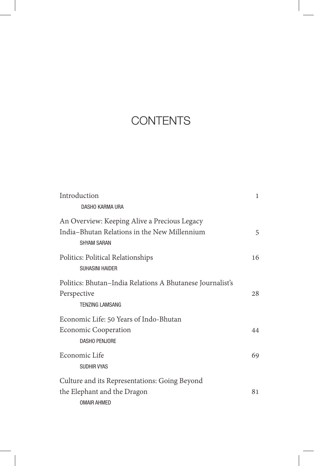### **CONTENTS**

| Introduction                                                                                                       | $\mathbf{1}$ |
|--------------------------------------------------------------------------------------------------------------------|--------------|
| DASHO KARMA URA                                                                                                    |              |
| An Overview: Keeping Alive a Precious Legacy<br>India-Bhutan Relations in the New Millennium<br><b>SHYAM SARAN</b> | 5            |
| Politics: Political Relationships<br><b>SUHASINI HAIDER</b>                                                        | 16           |
| Politics: Bhutan-India Relations A Bhutanese Journalist's<br>Perspective<br><b>TENZING LAMSANG</b>                 | 2.8          |
| Economic Life: 50 Years of Indo-Bhutan<br><b>Economic Cooperation</b><br><b>DASHO PENJORE</b>                      | 44           |
| Economic Life<br><b>SUDHIR VYAS</b>                                                                                | 69           |
| Culture and its Representations: Going Beyond<br>the Elephant and the Dragon<br><b>OMAIR AHMED</b>                 | 81           |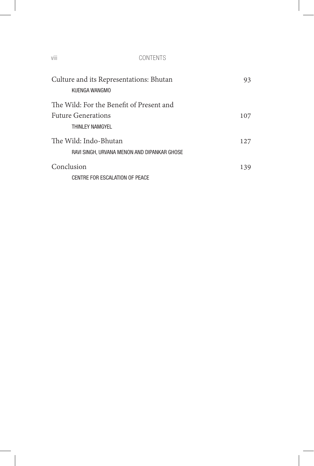#### viii CONTENTS

| Culture and its Representations: Bhutan<br>KUFNGA WANGMO             | 93  |
|----------------------------------------------------------------------|-----|
| The Wild: For the Benefit of Present and                             |     |
| <b>Future Generations</b><br>THINLEY NAMGYEL                         | 107 |
| The Wild: Indo-Bhutan<br>RAVI SINGH, URVANA MENON AND DIPANKAR GHOSE | 127 |
| Conclusion<br>CENTRE FOR ESCALATION OF PEACE                         | 139 |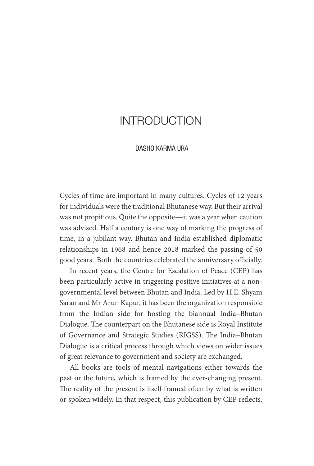### INTRODUCTION

#### DASHO KARMA URA

Cycles of time are important in many cultures. Cycles of 12 years for individuals were the traditional Bhutanese way. But their arrival was not propitious. Quite the opposite—it was a year when caution was advised. Half a century is one way of marking the progress of time, in a jubilant way. Bhutan and India established diplomatic relationships in 1968 and hence 2018 marked the passing of 50 good years. Both the countries celebrated the anniversary officially.

In recent years, the Centre for Escalation of Peace (CEP) has been particularly active in triggering positive initiatives at a nongovernmental level between Bhutan and India. Led by H.E. Shyam Saran and Mr Arun Kapur, it has been the organization responsible from the Indian side for hosting the biannual India–Bhutan Dialogue. The counterpart on the Bhutanese side is Royal Institute of Governance and Strategic Studies (RIGSS). The India–Bhutan Dialogue is a critical process through which views on wider issues of great relevance to government and society are exchanged.

All books are tools of mental navigations either towards the past or the future, which is framed by the ever-changing present. The reality of the present is itself framed often by what is written or spoken widely. In that respect, this publication by CEP reflects,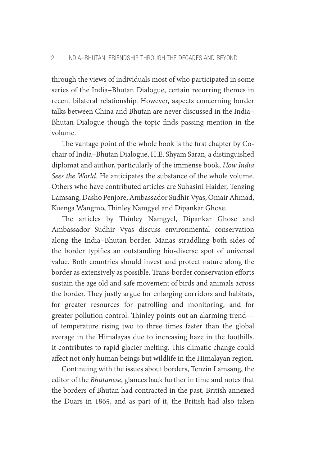through the views of individuals most of who participated in some series of the India–Bhutan Dialogue, certain recurring themes in recent bilateral relationship. However, aspects concerning border talks between China and Bhutan are never discussed in the India– Bhutan Dialogue though the topic finds passing mention in the volume.

The vantage point of the whole book is the first chapter by Cochair of India–Bhutan Dialogue, H.E. Shyam Saran, a distinguished diplomat and author, particularly of the immense book, *How India Sees the World*. He anticipates the substance of the whole volume. Others who have contributed articles are Suhasini Haider, Tenzing Lamsang, Dasho Penjore, Ambassador Sudhir Vyas, Omair Ahmad, Kuenga Wangmo, Thinley Namgyel and Dipankar Ghose.

The articles by Thinley Namgyel, Dipankar Ghose and Ambassador Sudhir Vyas discuss environmental conservation along the India–Bhutan border. Manas straddling both sides of the border typifies an outstanding bio-diverse spot of universal value. Both countries should invest and protect nature along the border as extensively as possible. Trans-border conservation efforts sustain the age old and safe movement of birds and animals across the border. They justly argue for enlarging corridors and habitats, for greater resources for patrolling and monitoring, and for greater pollution control. Thinley points out an alarming trend of temperature rising two to three times faster than the global average in the Himalayas due to increasing haze in the foothills. It contributes to rapid glacier melting. This climatic change could affect not only human beings but wildlife in the Himalayan region.

Continuing with the issues about borders, Tenzin Lamsang, the editor of the *Bhutanese*, glances back further in time and notes that the borders of Bhutan had contracted in the past. British annexed the Duars in 1865, and as part of it, the British had also taken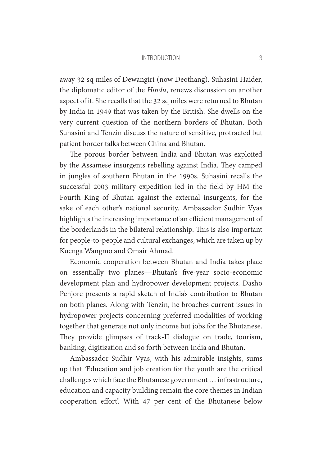#### INTRODUCTION 3

away 32 sq miles of Dewangiri (now Deothang). Suhasini Haider, the diplomatic editor of the *Hindu*, renews discussion on another aspect of it. She recalls that the 32 sq miles were returned to Bhutan by India in 1949 that was taken by the British. She dwells on the very current question of the northern borders of Bhutan. Both Suhasini and Tenzin discuss the nature of sensitive, protracted but patient border talks between China and Bhutan.

The porous border between India and Bhutan was exploited by the Assamese insurgents rebelling against India. They camped in jungles of southern Bhutan in the 1990s. Suhasini recalls the successful 2003 military expedition led in the field by HM the Fourth King of Bhutan against the external insurgents, for the sake of each other's national security. Ambassador Sudhir Vyas highlights the increasing importance of an efficient management of the borderlands in the bilateral relationship. This is also important for people-to-people and cultural exchanges, which are taken up by Kuenga Wangmo and Omair Ahmad.

Economic cooperation between Bhutan and India takes place on essentially two planes—Bhutan's five-year socio-economic development plan and hydropower development projects. Dasho Penjore presents a rapid sketch of India's contribution to Bhutan on both planes. Along with Tenzin, he broaches current issues in hydropower projects concerning preferred modalities of working together that generate not only income but jobs for the Bhutanese. They provide glimpses of track-II dialogue on trade, tourism, banking, digitization and so forth between India and Bhutan.

Ambassador Sudhir Vyas, with his admirable insights, sums up that 'Education and job creation for the youth are the critical challenges which face the Bhutanese government … infrastructure, education and capacity building remain the core themes in Indian cooperation effort'. With 47 per cent of the Bhutanese below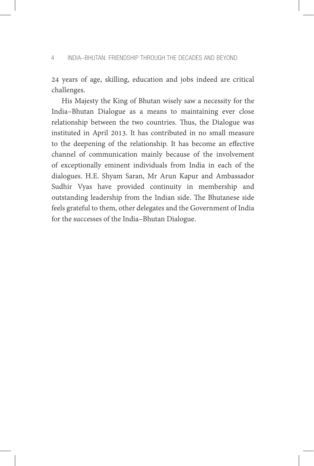24 years of age, skilling, education and jobs indeed are critical challenges.

His Majesty the King of Bhutan wisely saw a necessity for the India–Bhutan Dialogue as a means to maintaining ever close relationship between the two countries. Thus, the Dialogue was instituted in April 2013. It has contributed in no small measure to the deepening of the relationship. It has become an effective channel of communication mainly because of the involvement of exceptionally eminent individuals from India in each of the dialogues. H.E. Shyam Saran, Mr Arun Kapur and Ambassador Sudhir Vyas have provided continuity in membership and outstanding leadership from the Indian side. The Bhutanese side feels grateful to them, other delegates and the Government of India for the successes of the India–Bhutan Dialogue.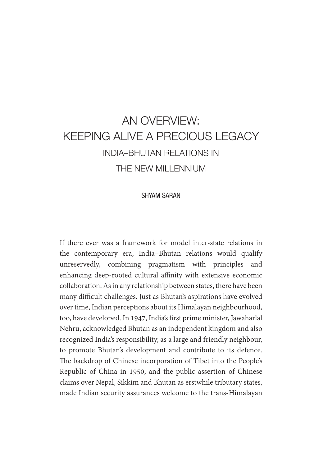### AN OVERVIEW: KEEPING ALIVE A PRECIOUS LEGACY INDIA–BHUTAN RELATIONS IN THE NEW MILLENNIUM

#### SHYAM SARAN

If there ever was a framework for model inter-state relations in the contemporary era, India–Bhutan relations would qualify unreservedly, combining pragmatism with principles and enhancing deep-rooted cultural affinity with extensive economic collaboration. As in any relationship between states, there have been many difficult challenges. Just as Bhutan's aspirations have evolved over time, Indian perceptions about its Himalayan neighbourhood, too, have developed. In 1947, India's first prime minister, Jawaharlal Nehru, acknowledged Bhutan as an independent kingdom and also recognized India's responsibility, as a large and friendly neighbour, to promote Bhutan's development and contribute to its defence. The backdrop of Chinese incorporation of Tibet into the People's Republic of China in 1950, and the public assertion of Chinese claims over Nepal, Sikkim and Bhutan as erstwhile tributary states, made Indian security assurances welcome to the trans-Himalayan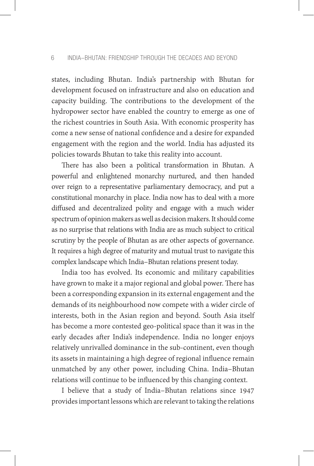states, including Bhutan. India's partnership with Bhutan for development focused on infrastructure and also on education and capacity building. The contributions to the development of the hydropower sector have enabled the country to emerge as one of the richest countries in South Asia. With economic prosperity has come a new sense of national confidence and a desire for expanded engagement with the region and the world. India has adjusted its policies towards Bhutan to take this reality into account.

There has also been a political transformation in Bhutan. A powerful and enlightened monarchy nurtured, and then handed over reign to a representative parliamentary democracy, and put a constitutional monarchy in place. India now has to deal with a more diffused and decentralized polity and engage with a much wider spectrum of opinion makers as well as decision makers. It should come as no surprise that relations with India are as much subject to critical scrutiny by the people of Bhutan as are other aspects of governance. It requires a high degree of maturity and mutual trust to navigate this complex landscape which India–Bhutan relations present today.

India too has evolved. Its economic and military capabilities have grown to make it a major regional and global power. There has been a corresponding expansion in its external engagement and the demands of its neighbourhood now compete with a wider circle of interests, both in the Asian region and beyond. South Asia itself has become a more contested geo-political space than it was in the early decades after India's independence. India no longer enjoys relatively unrivalled dominance in the sub-continent, even though its assets in maintaining a high degree of regional influence remain unmatched by any other power, including China. India–Bhutan relations will continue to be influenced by this changing context.

I believe that a study of India–Bhutan relations since 1947 provides important lessons which are relevant to taking the relations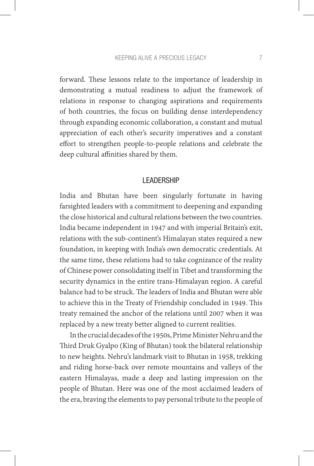#### KEEPING ALIVE A PRECIOUS LEGACY 7

forward. These lessons relate to the importance of leadership in demonstrating a mutual readiness to adjust the framework of relations in response to changing aspirations and requirements of both countries, the focus on building dense interdependency through expanding economic collaboration, a constant and mutual appreciation of each other's security imperatives and a constant effort to strengthen people-to-people relations and celebrate the deep cultural affinities shared by them.

#### LEADERSHIP

India and Bhutan have been singularly fortunate in having farsighted leaders with a commitment to deepening and expanding the close historical and cultural relations between the two countries. India became independent in 1947 and with imperial Britain's exit, relations with the sub-continent's Himalayan states required a new foundation, in keeping with India's own democratic credentials. At the same time, these relations had to take cognizance of the reality of Chinese power consolidating itself in Tibet and transforming the security dynamics in the entire trans-Himalayan region. A careful balance had to be struck. The leaders of India and Bhutan were able to achieve this in the Treaty of Friendship concluded in 1949. This treaty remained the anchor of the relations until 2007 when it was replaced by a new treaty better aligned to current realities.

In the crucial decades of the 1950s, Prime Minister Nehru and the Third Druk Gyalpo (King of Bhutan) took the bilateral relationship to new heights. Nehru's landmark visit to Bhutan in 1958, trekking and riding horse-back over remote mountains and valleys of the eastern Himalayas, made a deep and lasting impression on the people of Bhutan. Here was one of the most acclaimed leaders of the era, braving the elements to pay personal tribute to the people of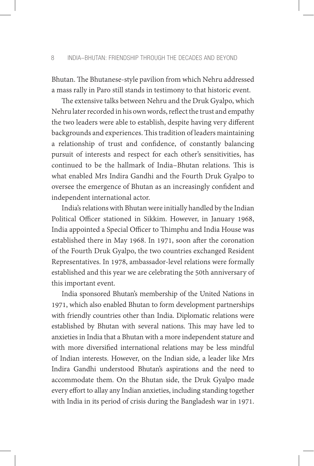Bhutan. The Bhutanese-style pavilion from which Nehru addressed a mass rally in Paro still stands in testimony to that historic event.

The extensive talks between Nehru and the Druk Gyalpo, which Nehru later recorded in his own words, reflect the trust and empathy the two leaders were able to establish, despite having very different backgrounds and experiences. This tradition of leaders maintaining a relationship of trust and confidence, of constantly balancing pursuit of interests and respect for each other's sensitivities, has continued to be the hallmark of India–Bhutan relations. This is what enabled Mrs Indira Gandhi and the Fourth Druk Gyalpo to oversee the emergence of Bhutan as an increasingly confident and independent international actor.

India's relations with Bhutan were initially handled by the Indian Political Officer stationed in Sikkim. However, in January 1968, India appointed a Special Officer to Thimphu and India House was established there in May 1968. In 1971, soon after the coronation of the Fourth Druk Gyalpo, the two countries exchanged Resident Representatives. In 1978, ambassador-level relations were formally established and this year we are celebrating the 50th anniversary of this important event.

India sponsored Bhutan's membership of the United Nations in 1971, which also enabled Bhutan to form development partnerships with friendly countries other than India. Diplomatic relations were established by Bhutan with several nations. This may have led to anxieties in India that a Bhutan with a more independent stature and with more diversified international relations may be less mindful of Indian interests. However, on the Indian side, a leader like Mrs Indira Gandhi understood Bhutan's aspirations and the need to accommodate them. On the Bhutan side, the Druk Gyalpo made every effort to allay any Indian anxieties, including standing together with India in its period of crisis during the Bangladesh war in 1971.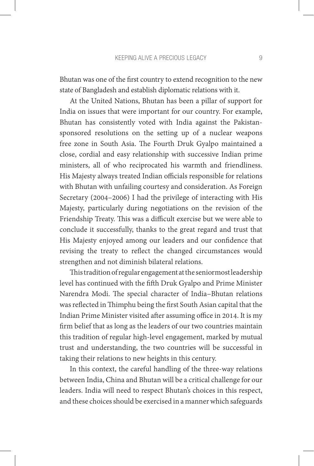Bhutan was one of the first country to extend recognition to the new state of Bangladesh and establish diplomatic relations with it.

At the United Nations, Bhutan has been a pillar of support for India on issues that were important for our country. For example, Bhutan has consistently voted with India against the Pakistansponsored resolutions on the setting up of a nuclear weapons free zone in South Asia. The Fourth Druk Gyalpo maintained a close, cordial and easy relationship with successive Indian prime ministers, all of who reciprocated his warmth and friendliness. His Majesty always treated Indian officials responsible for relations with Bhutan with unfailing courtesy and consideration. As Foreign Secretary (2004–2006) I had the privilege of interacting with His Majesty, particularly during negotiations on the revision of the Friendship Treaty. This was a difficult exercise but we were able to conclude it successfully, thanks to the great regard and trust that His Majesty enjoyed among our leaders and our confidence that revising the treaty to reflect the changed circumstances would strengthen and not diminish bilateral relations.

This tradition of regular engagement at the seniormost leadership level has continued with the fifth Druk Gyalpo and Prime Minister Narendra Modi. The special character of India–Bhutan relations was reflected in Thimphu being the first South Asian capital that the Indian Prime Minister visited after assuming office in 2014. It is my firm belief that as long as the leaders of our two countries maintain this tradition of regular high-level engagement, marked by mutual trust and understanding, the two countries will be successful in taking their relations to new heights in this century.

In this context, the careful handling of the three-way relations between India, China and Bhutan will be a critical challenge for our leaders. India will need to respect Bhutan's choices in this respect, and these choices should be exercised in a manner which safeguards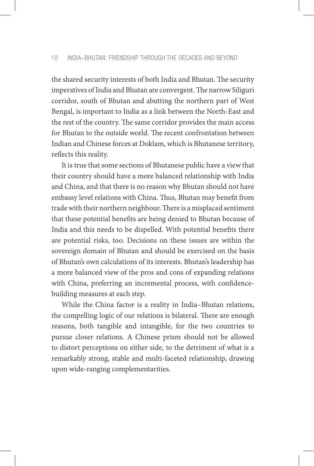the shared security interests of both India and Bhutan. The security imperatives of India and Bhutan are convergent. The narrow Siliguri corridor, south of Bhutan and abutting the northern part of West Bengal, is important to India as a link between the North-East and the rest of the country. The same corridor provides the main access for Bhutan to the outside world. The recent confrontation between Indian and Chinese forces at Doklam, which is Bhutanese territory, reflects this reality.

It is true that some sections of Bhutanese public have a view that their country should have a more balanced relationship with India and China, and that there is no reason why Bhutan should not have embassy level relations with China. Thus, Bhutan may benefit from trade with their northern neighbour. There is a misplaced sentiment that these potential benefits are being denied to Bhutan because of India and this needs to be dispelled. With potential benefits there are potential risks, too. Decisions on these issues are within the sovereign domain of Bhutan and should be exercised on the basis of Bhutan's own calculations of its interests. Bhutan's leadership has a more balanced view of the pros and cons of expanding relations with China, preferring an incremental process, with confidencebuilding measures at each step.

While the China factor is a reality in India–Bhutan relations, the compelling logic of our relations is bilateral. There are enough reasons, both tangible and intangible, for the two countries to pursue closer relations. A Chinese prism should not be allowed to distort perceptions on either side, to the detriment of what is a remarkably strong, stable and multi-faceted relationship, drawing upon wide-ranging complementarities.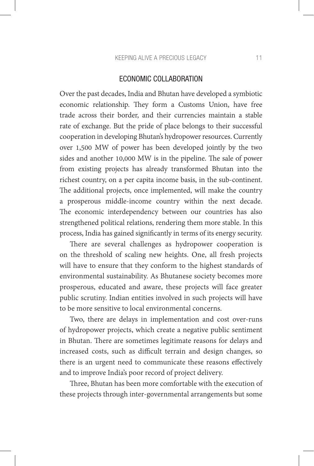#### ECONOMIC COLLABORATION

Over the past decades, India and Bhutan have developed a symbiotic economic relationship. They form a Customs Union, have free trade across their border, and their currencies maintain a stable rate of exchange. But the pride of place belongs to their successful cooperation in developing Bhutan's hydropower resources. Currently over 1,500 MW of power has been developed jointly by the two sides and another 10,000 MW is in the pipeline. The sale of power from existing projects has already transformed Bhutan into the richest country, on a per capita income basis, in the sub-continent. The additional projects, once implemented, will make the country a prosperous middle-income country within the next decade. The economic interdependency between our countries has also strengthened political relations, rendering them more stable. In this process, India has gained significantly in terms of its energy security.

There are several challenges as hydropower cooperation is on the threshold of scaling new heights. One, all fresh projects will have to ensure that they conform to the highest standards of environmental sustainability. As Bhutanese society becomes more prosperous, educated and aware, these projects will face greater public scrutiny. Indian entities involved in such projects will have to be more sensitive to local environmental concerns.

Two, there are delays in implementation and cost over-runs of hydropower projects, which create a negative public sentiment in Bhutan. There are sometimes legitimate reasons for delays and increased costs, such as difficult terrain and design changes, so there is an urgent need to communicate these reasons effectively and to improve India's poor record of project delivery.

Three, Bhutan has been more comfortable with the execution of these projects through inter-governmental arrangements but some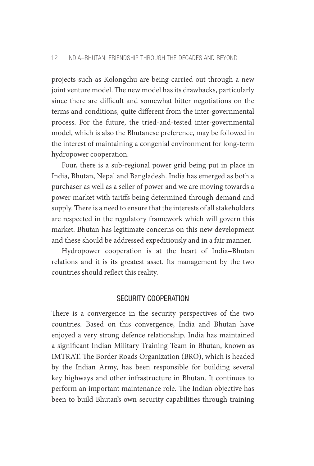projects such as Kolongchu are being carried out through a new joint venture model. The new model has its drawbacks, particularly since there are difficult and somewhat bitter negotiations on the terms and conditions, quite different from the inter-governmental process. For the future, the tried-and-tested inter-governmental model, which is also the Bhutanese preference, may be followed in the interest of maintaining a congenial environment for long-term hydropower cooperation.

Four, there is a sub-regional power grid being put in place in India, Bhutan, Nepal and Bangladesh. India has emerged as both a purchaser as well as a seller of power and we are moving towards a power market with tariffs being determined through demand and supply. There is a need to ensure that the interests of all stakeholders are respected in the regulatory framework which will govern this market. Bhutan has legitimate concerns on this new development and these should be addressed expeditiously and in a fair manner.

Hydropower cooperation is at the heart of India–Bhutan relations and it is its greatest asset. Its management by the two countries should reflect this reality.

#### SECURITY COOPERATION

There is a convergence in the security perspectives of the two countries. Based on this convergence, India and Bhutan have enjoyed a very strong defence relationship. India has maintained a significant Indian Military Training Team in Bhutan, known as IMTRAT. The Border Roads Organization (BRO), which is headed by the Indian Army, has been responsible for building several key highways and other infrastructure in Bhutan. It continues to perform an important maintenance role. The Indian objective has been to build Bhutan's own security capabilities through training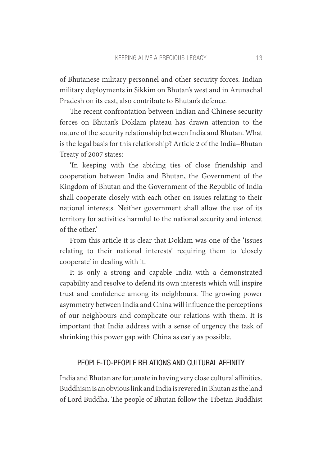of Bhutanese military personnel and other security forces. Indian military deployments in Sikkim on Bhutan's west and in Arunachal Pradesh on its east, also contribute to Bhutan's defence.

The recent confrontation between Indian and Chinese security forces on Bhutan's Doklam plateau has drawn attention to the nature of the security relationship between India and Bhutan. What is the legal basis for this relationship? Article 2 of the India–Bhutan Treaty of 2007 states:

'In keeping with the abiding ties of close friendship and cooperation between India and Bhutan, the Government of the Kingdom of Bhutan and the Government of the Republic of India shall cooperate closely with each other on issues relating to their national interests. Neither government shall allow the use of its territory for activities harmful to the national security and interest of the other.'

From this article it is clear that Doklam was one of the 'issues relating to their national interests' requiring them to 'closely cooperate' in dealing with it.

It is only a strong and capable India with a demonstrated capability and resolve to defend its own interests which will inspire trust and confidence among its neighbours. The growing power asymmetry between India and China will influence the perceptions of our neighbours and complicate our relations with them. It is important that India address with a sense of urgency the task of shrinking this power gap with China as early as possible.

#### PEOPLE-TO-PEOPLE RELATIONS AND CULTURAL AFFINITY

India and Bhutan are fortunate in having very close cultural affinities. Buddhism is an obvious link and India is revered in Bhutan as the land of Lord Buddha. The people of Bhutan follow the Tibetan Buddhist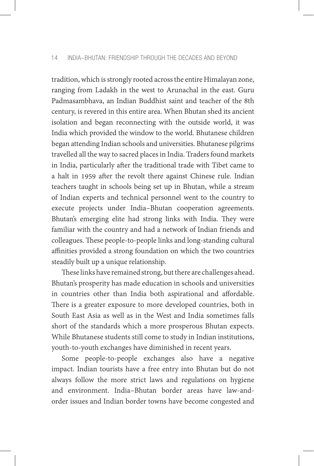tradition, which is strongly rooted across the entire Himalayan zone, ranging from Ladakh in the west to Arunachal in the east. Guru Padmasambhava, an Indian Buddhist saint and teacher of the 8th century, is revered in this entire area. When Bhutan shed its ancient isolation and began reconnecting with the outside world, it was India which provided the window to the world. Bhutanese children began attending Indian schools and universities. Bhutanese pilgrims travelled all the way to sacred places in India. Traders found markets in India, particularly after the traditional trade with Tibet came to a halt in 1959 after the revolt there against Chinese rule. Indian teachers taught in schools being set up in Bhutan, while a stream of Indian experts and technical personnel went to the country to execute projects under India–Bhutan cooperation agreements. Bhutan's emerging elite had strong links with India. They were familiar with the country and had a network of Indian friends and colleagues. These people-to-people links and long-standing cultural affinities provided a strong foundation on which the two countries steadily built up a unique relationship.

These links have remained strong, but there are challenges ahead. Bhutan's prosperity has made education in schools and universities in countries other than India both aspirational and affordable. There is a greater exposure to more developed countries, both in South East Asia as well as in the West and India sometimes falls short of the standards which a more prosperous Bhutan expects. While Bhutanese students still come to study in Indian institutions, youth-to-youth exchanges have diminished in recent years.

Some people-to-people exchanges also have a negative impact. Indian tourists have a free entry into Bhutan but do not always follow the more strict laws and regulations on hygiene and environment. India–Bhutan border areas have law-andorder issues and Indian border towns have become congested and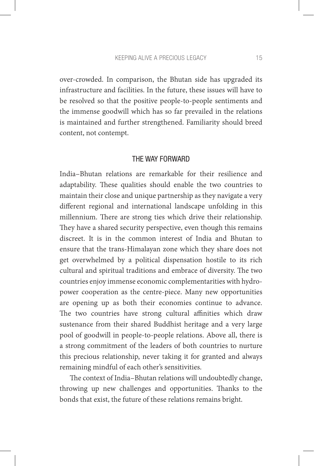over-crowded. In comparison, the Bhutan side has upgraded its infrastructure and facilities. In the future, these issues will have to be resolved so that the positive people-to-people sentiments and the immense goodwill which has so far prevailed in the relations is maintained and further strengthened. Familiarity should breed content, not contempt.

#### THE WAY FORWARD

India–Bhutan relations are remarkable for their resilience and adaptability. These qualities should enable the two countries to maintain their close and unique partnership as they navigate a very different regional and international landscape unfolding in this millennium. There are strong ties which drive their relationship. They have a shared security perspective, even though this remains discreet. It is in the common interest of India and Bhutan to ensure that the trans-Himalayan zone which they share does not get overwhelmed by a political dispensation hostile to its rich cultural and spiritual traditions and embrace of diversity. The two countries enjoy immense economic complementarities with hydropower cooperation as the centre-piece. Many new opportunities are opening up as both their economies continue to advance. The two countries have strong cultural affinities which draw sustenance from their shared Buddhist heritage and a very large pool of goodwill in people-to-people relations. Above all, there is a strong commitment of the leaders of both countries to nurture this precious relationship, never taking it for granted and always remaining mindful of each other's sensitivities.

The context of India–Bhutan relations will undoubtedly change, throwing up new challenges and opportunities. Thanks to the bonds that exist, the future of these relations remains bright.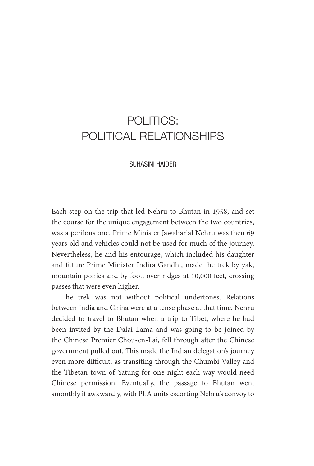### POLITICS: POLITICAL RELATIONSHIPS

#### SUHASINI HAIDER

Each step on the trip that led Nehru to Bhutan in 1958, and set the course for the unique engagement between the two countries, was a perilous one. Prime Minister Jawaharlal Nehru was then 69 years old and vehicles could not be used for much of the journey. Nevertheless, he and his entourage, which included his daughter and future Prime Minister Indira Gandhi, made the trek by yak, mountain ponies and by foot, over ridges at 10,000 feet, crossing passes that were even higher.

The trek was not without political undertones. Relations between India and China were at a tense phase at that time. Nehru decided to travel to Bhutan when a trip to Tibet, where he had been invited by the Dalai Lama and was going to be joined by the Chinese Premier Chou-en-Lai, fell through after the Chinese government pulled out. This made the Indian delegation's journey even more difficult, as transiting through the Chumbi Valley and the Tibetan town of Yatung for one night each way would need Chinese permission. Eventually, the passage to Bhutan went smoothly if awkwardly, with PLA units escorting Nehru's convoy to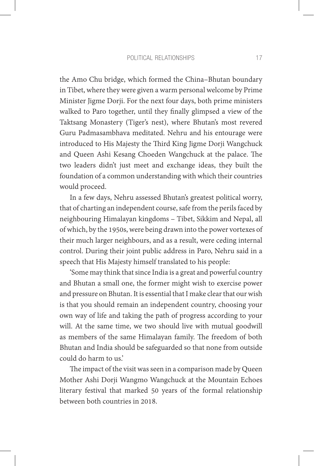the Amo Chu bridge, which formed the China–Bhutan boundary in Tibet, where they were given a warm personal welcome by Prime Minister Jigme Dorji. For the next four days, both prime ministers walked to Paro together, until they finally glimpsed a view of the Taktsang Monastery (Tiger's nest), where Bhutan's most revered Guru Padmasambhava meditated. Nehru and his entourage were introduced to His Majesty the Third King Jigme Dorji Wangchuck and Queen Ashi Kesang Choeden Wangchuck at the palace. The two leaders didn't just meet and exchange ideas, they built the foundation of a common understanding with which their countries would proceed.

In a few days, Nehru assessed Bhutan's greatest political worry, that of charting an independent course, safe from the perils faced by neighbouring Himalayan kingdoms – Tibet, Sikkim and Nepal, all of which, by the 1950s, were being drawn into the power vortexes of their much larger neighbours, and as a result, were ceding internal control. During their joint public address in Paro, Nehru said in a speech that His Majesty himself translated to his people:

'Some may think that since India is a great and powerful country and Bhutan a small one, the former might wish to exercise power and pressure on Bhutan. It is essential that I make clear that our wish is that you should remain an independent country, choosing your own way of life and taking the path of progress according to your will. At the same time, we two should live with mutual goodwill as members of the same Himalayan family. The freedom of both Bhutan and India should be safeguarded so that none from outside could do harm to us.'

The impact of the visit was seen in a comparison made by Queen Mother Ashi Dorji Wangmo Wangchuck at the Mountain Echoes literary festival that marked 50 years of the formal relationship between both countries in 2018.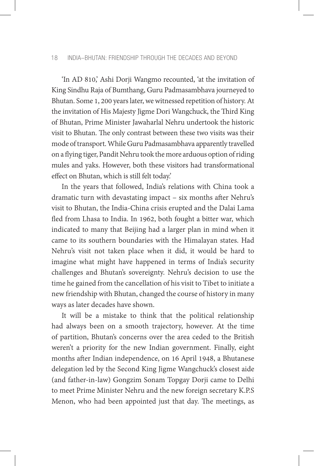#### 18 INDIA–BHUTAN: FRIENDSHIP THROUGH THE DECADES AND BEYOND

'In AD 810,' Ashi Dorji Wangmo recounted, 'at the invitation of King Sindhu Raja of Bumthang, Guru Padmasambhava journeyed to Bhutan. Some 1, 200 years later, we witnessed repetition of history. At the invitation of His Majesty Jigme Dori Wangchuck, the Third King of Bhutan, Prime Minister Jawaharlal Nehru undertook the historic visit to Bhutan. The only contrast between these two visits was their mode of transport. While Guru Padmasambhava apparently travelled on a flying tiger, Pandit Nehru took the more arduous option of riding mules and yaks. However, both these visitors had transformational effect on Bhutan, which is still felt today.'

In the years that followed, India's relations with China took a dramatic turn with devastating impact – six months after Nehru's visit to Bhutan, the India-China crisis erupted and the Dalai Lama fled from Lhasa to India. In 1962, both fought a bitter war, which indicated to many that Beijing had a larger plan in mind when it came to its southern boundaries with the Himalayan states. Had Nehru's visit not taken place when it did, it would be hard to imagine what might have happened in terms of India's security challenges and Bhutan's sovereignty. Nehru's decision to use the time he gained from the cancellation of his visit to Tibet to initiate a new friendship with Bhutan, changed the course of history in many ways as later decades have shown.

It will be a mistake to think that the political relationship had always been on a smooth trajectory, however. At the time of partition, Bhutan's concerns over the area ceded to the British weren't a priority for the new Indian government. Finally, eight months after Indian independence, on 16 April 1948, a Bhutanese delegation led by the Second King Jigme Wangchuck's closest aide (and father-in-law) Gongzim Sonam Topgay Dorji came to Delhi to meet Prime Minister Nehru and the new foreign secretary K.P.S Menon, who had been appointed just that day. The meetings, as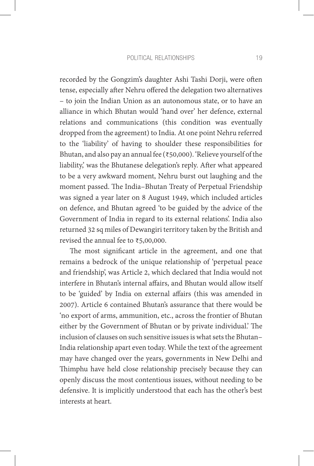recorded by the Gongzim's daughter Ashi Tashi Dorji, were often tense, especially after Nehru offered the delegation two alternatives – to join the Indian Union as an autonomous state, or to have an alliance in which Bhutan would 'hand over' her defence, external relations and communications (this condition was eventually dropped from the agreement) to India. At one point Nehru referred to the 'liability' of having to shoulder these responsibilities for Bhutan, and also pay an annual fee (₹50,000). 'Relieve yourself of the liability,' was the Bhutanese delegation's reply. After what appeared to be a very awkward moment, Nehru burst out laughing and the moment passed. The India–Bhutan Treaty of Perpetual Friendship was signed a year later on 8 August 1949, which included articles on defence, and Bhutan agreed 'to be guided by the advice of the Government of India in regard to its external relations'. India also returned 32 sq miles of Dewangiri territory taken by the British and revised the annual fee to ₹5,00,000.

The most significant article in the agreement, and one that remains a bedrock of the unique relationship of 'perpetual peace and friendship', was Article 2, which declared that India would not interfere in Bhutan's internal affairs, and Bhutan would allow itself to be 'guided' by India on external affairs (this was amended in 2007). Article 6 contained Bhutan's assurance that there would be 'no export of arms, ammunition, etc., across the frontier of Bhutan either by the Government of Bhutan or by private individual.' The inclusion of clauses on such sensitive issues is what sets the Bhutan– India relationship apart even today. While the text of the agreement may have changed over the years, governments in New Delhi and Thimphu have held close relationship precisely because they can openly discuss the most contentious issues, without needing to be defensive. It is implicitly understood that each has the other's best interests at heart.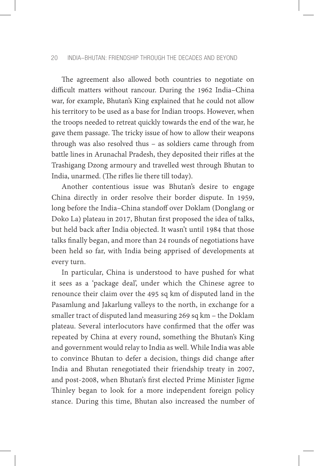#### 20 INDIA–BHUTAN: FRIENDSHIP THROUGH THE DECADES AND BEYOND

The agreement also allowed both countries to negotiate on difficult matters without rancour. During the 1962 India–China war, for example, Bhutan's King explained that he could not allow his territory to be used as a base for Indian troops. However, when the troops needed to retreat quickly towards the end of the war, he gave them passage. The tricky issue of how to allow their weapons through was also resolved thus – as soldiers came through from battle lines in Arunachal Pradesh, they deposited their rifles at the Trashigang Dzong armoury and travelled west through Bhutan to India, unarmed. (The rifles lie there till today).

Another contentious issue was Bhutan's desire to engage China directly in order resolve their border dispute. In 1959, long before the India–China standoff over Doklam (Donglang or Doko La) plateau in 2017, Bhutan first proposed the idea of talks, but held back after India objected. It wasn't until 1984 that those talks finally began, and more than 24 rounds of negotiations have been held so far, with India being apprised of developments at every turn.

In particular, China is understood to have pushed for what it sees as a 'package deal', under which the Chinese agree to renounce their claim over the 495 sq km of disputed land in the Pasamlung and Jakarlung valleys to the north, in exchange for a smaller tract of disputed land measuring 269 sq km – the Doklam plateau. Several interlocutors have confirmed that the offer was repeated by China at every round, something the Bhutan's King and government would relay to India as well. While India was able to convince Bhutan to defer a decision, things did change after India and Bhutan renegotiated their friendship treaty in 2007, and post-2008, when Bhutan's first elected Prime Minister Jigme Thinley began to look for a more independent foreign policy stance. During this time, Bhutan also increased the number of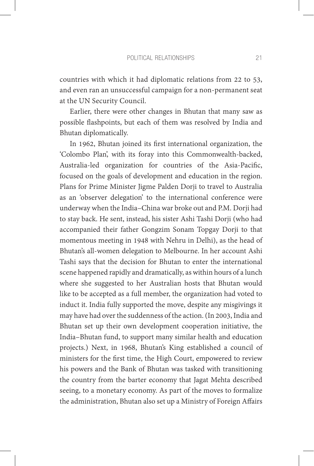countries with which it had diplomatic relations from 22 to 53, and even ran an unsuccessful campaign for a non-permanent seat at the UN Security Council.

Earlier, there were other changes in Bhutan that many saw as possible flashpoints, but each of them was resolved by India and Bhutan diplomatically.

In 1962, Bhutan joined its first international organization, the 'Colombo Plan', with its foray into this Commonwealth-backed, Australia-led organization for countries of the Asia-Pacific, focused on the goals of development and education in the region. Plans for Prime Minister Jigme Palden Dorji to travel to Australia as an 'observer delegation' to the international conference were underway when the India–China war broke out and P.M. Dorji had to stay back. He sent, instead, his sister Ashi Tashi Dorji (who had accompanied their father Gongzim Sonam Topgay Dorji to that momentous meeting in 1948 with Nehru in Delhi), as the head of Bhutan's all-women delegation to Melbourne. In her account Ashi Tashi says that the decision for Bhutan to enter the international scene happened rapidly and dramatically, as within hours of a lunch where she suggested to her Australian hosts that Bhutan would like to be accepted as a full member, the organization had voted to induct it. India fully supported the move, despite any misgivings it may have had over the suddenness of the action. (In 2003, India and Bhutan set up their own development cooperation initiative, the India–Bhutan fund, to support many similar health and education projects.) Next, in 1968, Bhutan's King established a council of ministers for the first time, the High Court, empowered to review his powers and the Bank of Bhutan was tasked with transitioning the country from the barter economy that Jagat Mehta described seeing, to a monetary economy. As part of the moves to formalize the administration, Bhutan also set up a Ministry of Foreign Affairs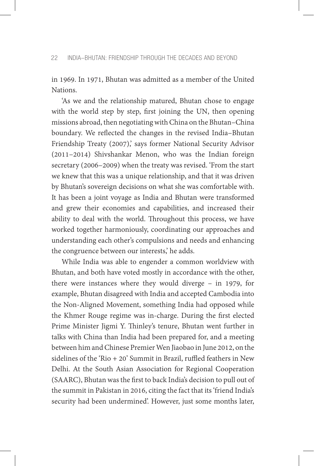in 1969. In 1971, Bhutan was admitted as a member of the United Nations.

'As we and the relationship matured, Bhutan chose to engage with the world step by step, first joining the UN, then opening missions abroad, then negotiating with China on the Bhutan–China boundary. We reflected the changes in the revised India–Bhutan Friendship Treaty (2007), says former National Security Advisor (2011–2014) Shivshankar Menon, who was the Indian foreign secretary (2006–2009) when the treaty was revised. 'From the start we knew that this was a unique relationship, and that it was driven by Bhutan's sovereign decisions on what she was comfortable with. It has been a joint voyage as India and Bhutan were transformed and grew their economies and capabilities, and increased their ability to deal with the world. Throughout this process, we have worked together harmoniously, coordinating our approaches and understanding each other's compulsions and needs and enhancing the congruence between our interests,' he adds.

While India was able to engender a common worldview with Bhutan, and both have voted mostly in accordance with the other, there were instances where they would diverge – in 1979, for example, Bhutan disagreed with India and accepted Cambodia into the Non-Aligned Movement, something India had opposed while the Khmer Rouge regime was in-charge. During the first elected Prime Minister Jigmi Y. Thinley's tenure, Bhutan went further in talks with China than India had been prepared for, and a meeting between him and Chinese Premier Wen Jiaobao in June 2012, on the sidelines of the 'Rio  $+ 20$ ' Summit in Brazil, ruffled feathers in New Delhi. At the South Asian Association for Regional Cooperation (SAARC), Bhutan was the first to back India's decision to pull out of the summit in Pakistan in 2016, citing the fact that its 'friend India's security had been undermined'. However, just some months later,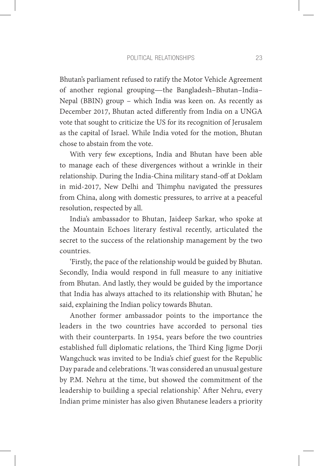Bhutan's parliament refused to ratify the Motor Vehicle Agreement of another regional grouping—the Bangladesh–Bhutan–India– Nepal (BBIN) group – which India was keen on. As recently as December 2017, Bhutan acted differently from India on a UNGA vote that sought to criticize the US for its recognition of Jerusalem as the capital of Israel. While India voted for the motion, Bhutan chose to abstain from the vote.

With very few exceptions, India and Bhutan have been able to manage each of these divergences without a wrinkle in their relationship. During the India-China military stand-off at Doklam in mid-2017, New Delhi and Thimphu navigated the pressures from China, along with domestic pressures, to arrive at a peaceful resolution, respected by all.

India's ambassador to Bhutan, Jaideep Sarkar, who spoke at the Mountain Echoes literary festival recently, articulated the secret to the success of the relationship management by the two countries.

'Firstly, the pace of the relationship would be guided by Bhutan. Secondly, India would respond in full measure to any initiative from Bhutan. And lastly, they would be guided by the importance that India has always attached to its relationship with Bhutan,' he said, explaining the Indian policy towards Bhutan.

Another former ambassador points to the importance the leaders in the two countries have accorded to personal ties with their counterparts. In 1954, years before the two countries established full diplomatic relations, the Third King Jigme Dorji Wangchuck was invited to be India's chief guest for the Republic Day parade and celebrations. 'It was considered an unusual gesture by P.M. Nehru at the time, but showed the commitment of the leadership to building a special relationship.' After Nehru, every Indian prime minister has also given Bhutanese leaders a priority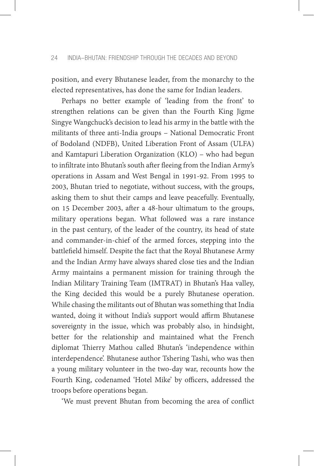position, and every Bhutanese leader, from the monarchy to the elected representatives, has done the same for Indian leaders.

Perhaps no better example of 'leading from the front' to strengthen relations can be given than the Fourth King Jigme Singye Wangchuck's decision to lead his army in the battle with the militants of three anti-India groups – National Democratic Front of Bodoland (NDFB), United Liberation Front of Assam (ULFA) and Kamtapuri Liberation Organization (KLO) – who had begun to infiltrate into Bhutan's south after fleeing from the Indian Army's operations in Assam and West Bengal in 1991-92. From 1995 to 2003, Bhutan tried to negotiate, without success, with the groups, asking them to shut their camps and leave peacefully. Eventually, on 15 December 2003, after a 48-hour ultimatum to the groups, military operations began. What followed was a rare instance in the past century, of the leader of the country, its head of state and commander-in-chief of the armed forces, stepping into the battlefield himself. Despite the fact that the Royal Bhutanese Army and the Indian Army have always shared close ties and the Indian Army maintains a permanent mission for training through the Indian Military Training Team (IMTRAT) in Bhutan's Haa valley, the King decided this would be a purely Bhutanese operation. While chasing the militants out of Bhutan was something that India wanted, doing it without India's support would affirm Bhutanese sovereignty in the issue, which was probably also, in hindsight, better for the relationship and maintained what the French diplomat Thierry Mathou called Bhutan's 'independence within interdependence'. Bhutanese author Tshering Tashi, who was then a young military volunteer in the two-day war, recounts how the Fourth King, codenamed 'Hotel Mike' by officers, addressed the troops before operations began.

'We must prevent Bhutan from becoming the area of conflict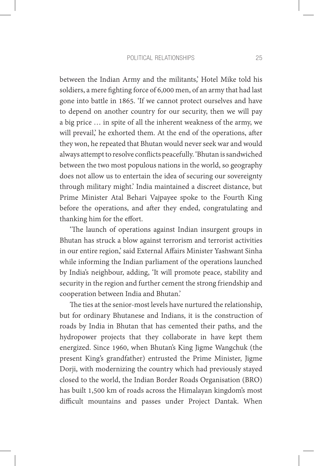between the Indian Army and the militants,' Hotel Mike told his soldiers, a mere fighting force of 6,000 men, of an army that had last gone into battle in 1865. 'If we cannot protect ourselves and have to depend on another country for our security, then we will pay a big price … in spite of all the inherent weakness of the army, we will prevail,' he exhorted them. At the end of the operations, after they won, he repeated that Bhutan would never seek war and would always attempt to resolve conflicts peacefully. 'Bhutan is sandwiched between the two most populous nations in the world, so geography does not allow us to entertain the idea of securing our sovereignty through military might.' India maintained a discreet distance, but Prime Minister Atal Behari Vajpayee spoke to the Fourth King before the operations, and after they ended, congratulating and thanking him for the effort.

'The launch of operations against Indian insurgent groups in Bhutan has struck a blow against terrorism and terrorist activities in our entire region,' said External Affairs Minister Yashwant Sinha while informing the Indian parliament of the operations launched by India's neighbour, adding, 'It will promote peace, stability and security in the region and further cement the strong friendship and cooperation between India and Bhutan.'

The ties at the senior-most levels have nurtured the relationship, but for ordinary Bhutanese and Indians, it is the construction of roads by India in Bhutan that has cemented their paths, and the hydropower projects that they collaborate in have kept them energized. Since 1960, when Bhutan's King Jigme Wangchuk (the present King's grandfather) entrusted the Prime Minister, Jigme Dorji, with modernizing the country which had previously stayed closed to the world, the Indian Border Roads Organisation (BRO) has built 1,500 km of roads across the Himalayan kingdom's most difficult mountains and passes under Project Dantak. When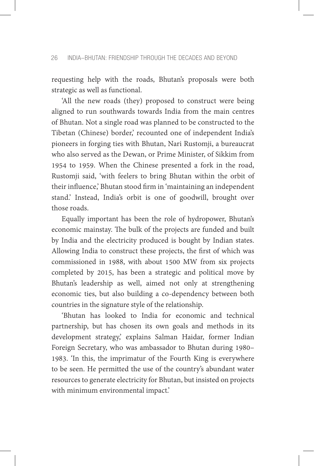requesting help with the roads, Bhutan's proposals were both strategic as well as functional.

'All the new roads (they) proposed to construct were being aligned to run southwards towards India from the main centres of Bhutan. Not a single road was planned to be constructed to the Tibetan (Chinese) border,' recounted one of independent India's pioneers in forging ties with Bhutan, Nari Rustomji, a bureaucrat who also served as the Dewan, or Prime Minister, of Sikkim from 1954 to 1959. When the Chinese presented a fork in the road, Rustomji said, 'with feelers to bring Bhutan within the orbit of their influence,' Bhutan stood firm in 'maintaining an independent stand.' Instead, India's orbit is one of goodwill, brought over those roads.

Equally important has been the role of hydropower, Bhutan's economic mainstay. The bulk of the projects are funded and built by India and the electricity produced is bought by Indian states. Allowing India to construct these projects, the first of which was commissioned in 1988, with about 1500 MW from six projects completed by 2015, has been a strategic and political move by Bhutan's leadership as well, aimed not only at strengthening economic ties, but also building a co-dependency between both countries in the signature style of the relationship.

'Bhutan has looked to India for economic and technical partnership, but has chosen its own goals and methods in its development strategy,' explains Salman Haidar, former Indian Foreign Secretary, who was ambassador to Bhutan during 1980– 1983. 'In this, the imprimatur of the Fourth King is everywhere to be seen. He permitted the use of the country's abundant water resources to generate electricity for Bhutan, but insisted on projects with minimum environmental impact.'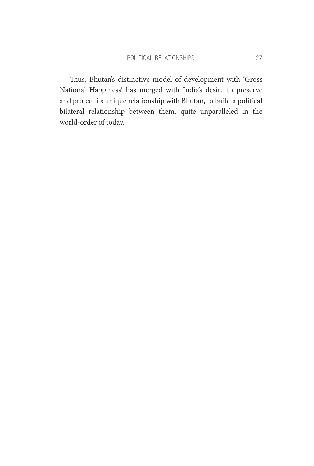Thus, Bhutan's distinctive model of development with 'Gross National Happiness' has merged with India's desire to preserve and protect its unique relationship with Bhutan, to build a political bilateral relationship between them, quite unparalleled in the world-order of today.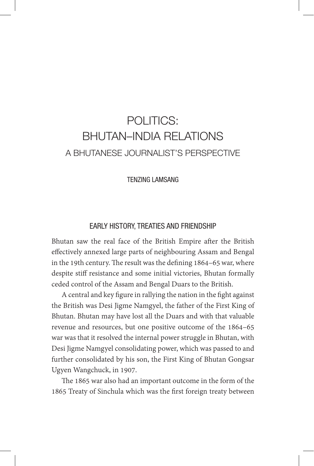# POLITICS: BHUTAN–INDIA RELATIONS A BHUTANESE JOURNALIST'S PERSPECTIVE

TENZING LAMSANG

### EARLY HISTORY, TREATIES AND FRIENDSHIP

Bhutan saw the real face of the British Empire after the British effectively annexed large parts of neighbouring Assam and Bengal in the 19th century. The result was the defining 1864–65 war, where despite stiff resistance and some initial victories, Bhutan formally ceded control of the Assam and Bengal Duars to the British.

A central and key figure in rallying the nation in the fight against the British was Desi Jigme Namgyel, the father of the First King of Bhutan. Bhutan may have lost all the Duars and with that valuable revenue and resources, but one positive outcome of the 1864–65 war was that it resolved the internal power struggle in Bhutan, with Desi Jigme Namgyel consolidating power, which was passed to and further consolidated by his son, the First King of Bhutan Gongsar Ugyen Wangchuck, in 1907.

The 1865 war also had an important outcome in the form of the 1865 Treaty of Sinchula which was the first foreign treaty between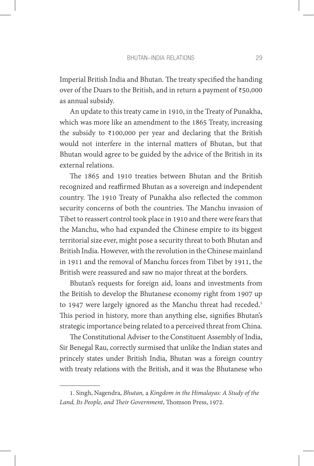Imperial British India and Bhutan. The treaty specified the handing over of the Duars to the British, and in return a payment of ₹50,000 as annual subsidy.

An update to this treaty came in 1910, in the Treaty of Punakha, which was more like an amendment to the 1865 Treaty, increasing the subsidy to ₹100,000 per year and declaring that the British would not interfere in the internal matters of Bhutan, but that Bhutan would agree to be guided by the advice of the British in its external relations.

The 1865 and 1910 treaties between Bhutan and the British recognized and reaffirmed Bhutan as a sovereign and independent country. The 1910 Treaty of Punakha also reflected the common security concerns of both the countries. The Manchu invasion of Tibet to reassert control took place in 1910 and there were fears that the Manchu, who had expanded the Chinese empire to its biggest territorial size ever, might pose a security threat to both Bhutan and British India. However, with the revolution in the Chinese mainland in 1911 and the removal of Manchu forces from Tibet by 1911, the British were reassured and saw no major threat at the borders.

Bhutan's requests for foreign aid, loans and investments from the British to develop the Bhutanese economy right from 1907 up to 1947 were largely ignored as the Manchu threat had receded.<sup>1</sup> This period in history, more than anything else, signifies Bhutan's strategic importance being related to a perceived threat from China.

The Constitutional Adviser to the Constituent Assembly of India, Sir Benegal Rau, correctly surmised that unlike the Indian states and princely states under British India, Bhutan was a foreign country with treaty relations with the British, and it was the Bhutanese who

<sup>1.</sup> Singh, Nagendra, *Bhutan,* a *Kingdom in the Himalayas: A Study of the Land, Its People, and Their Government*, Thomson Press, 1972.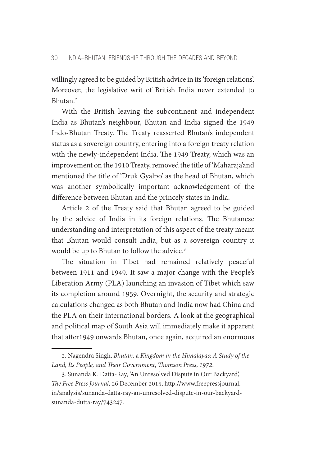willingly agreed to be guided by British advice in its 'foreign relations'. Moreover, the legislative writ of British India never extended to Bhutan.2

With the British leaving the subcontinent and independent India as Bhutan's neighbour, Bhutan and India signed the 1949 Indo-Bhutan Treaty. The Treaty reasserted Bhutan's independent status as a sovereign country, entering into a foreign treaty relation with the newly-independent India. The 1949 Treaty, which was an improvement on the 1910 Treaty, removed the title of 'Maharaja'and mentioned the title of 'Druk Gyalpo' as the head of Bhutan, which was another symbolically important acknowledgement of the difference between Bhutan and the princely states in India.

Article 2 of the Treaty said that Bhutan agreed to be guided by the advice of India in its foreign relations. The Bhutanese understanding and interpretation of this aspect of the treaty meant that Bhutan would consult India, but as a sovereign country it would be up to Bhutan to follow the advice.<sup>3</sup>

The situation in Tibet had remained relatively peaceful between 1911 and 1949. It saw a major change with the People's Liberation Army (PLA) launching an invasion of Tibet which saw its completion around 1959. Overnight, the security and strategic calculations changed as both Bhutan and India now had China and the PLA on their international borders. A look at the geographical and political map of South Asia will immediately make it apparent that after1949 onwards Bhutan, once again, acquired an enormous

<sup>2.</sup> Nagendra Singh, *Bhutan,* a *Kingdom in the Himalayas: A Study of the Land, Its People, and Their Government*, *Thomson Press*, *1972*.

<sup>3.</sup> Sunanda K. Datta-Ray, 'An Unresolved Dispute in Our Backyard', *The Free Press Journal*, 26 December 2015, http://www.freepressjournal. in/analysis/sunanda-datta-ray-an-unresolved-dispute-in-our-backyardsunanda-dutta-ray/743247.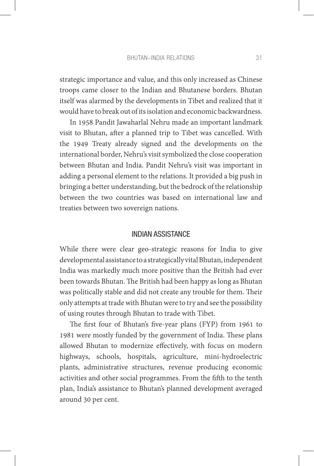#### BHUTAN–INDIA RELATIONS 31

strategic importance and value, and this only increased as Chinese troops came closer to the Indian and Bhutanese borders. Bhutan itself was alarmed by the developments in Tibet and realized that it would have to break out of its isolation and economic backwardness.

In 1958 Pandit Jawaharlal Nehru made an important landmark visit to Bhutan, after a planned trip to Tibet was cancelled. With the 1949 Treaty already signed and the developments on the international border, Nehru's visit symbolized the close cooperation between Bhutan and India. Pandit Nehru's visit was important in adding a personal element to the relations. It provided a big push in bringing a better understanding, but the bedrock of the relationship between the two countries was based on international law and treaties between two sovereign nations.

## INDIAN ASSISTANCE

While there were clear geo-strategic reasons for India to give developmental assistance to a strategically vital Bhutan, independent India was markedly much more positive than the British had ever been towards Bhutan. The British had been happy as long as Bhutan was politically stable and did not create any trouble for them. Their only attempts at trade with Bhutan were to try and see the possibility of using routes through Bhutan to trade with Tibet.

The first four of Bhutan's five-year plans (FYP) from 1961 to 1981 were mostly funded by the government of India. These plans allowed Bhutan to modernize effectively, with focus on modern highways, schools, hospitals, agriculture, mini-hydroelectric plants, administrative structures, revenue producing economic activities and other social programmes. From the fifth to the tenth plan, India's assistance to Bhutan's planned development averaged around 30 per cent.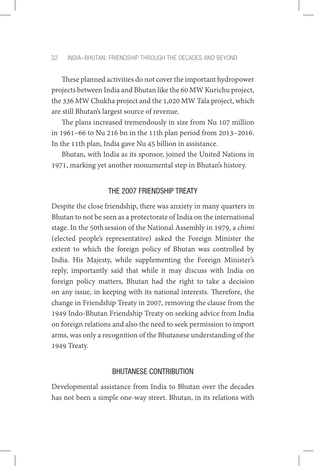These planned activities do not cover the important hydropower projects between India and Bhutan like the 60 MW Kurichu project, the 336 MW Chukha project and the 1,020 MW Tala project, which are still Bhutan's largest source of revenue.

The plans increased tremendously in size from Nu 107 million in 1961–66 to Nu 216 bn in the 11th plan period from 2013–2016. In the 11th plan, India gave Nu 45 billion in assistance.

Bhutan, with India as its sponsor, joined the United Nations in 1971, marking yet another monumental step in Bhutan's history.

## THE 2007 FRIENDSHIP TREATY

Despite the close friendship, there was anxiety in many quarters in Bhutan to not be seen as a protectorate of India on the international stage. In the 50th session of the National Assembly in 1979, a *chimi* (elected people's representative) asked the Foreign Minister the extent to which the foreign policy of Bhutan was controlled by India. His Majesty, while supplementing the Foreign Minister's reply, importantly said that while it may discuss with India on foreign policy matters, Bhutan had the right to take a decision on any issue, in keeping with its national interests. Therefore, the change in Friendship Treaty in 2007, removing the clause from the 1949 Indo-Bhutan Friendship Treaty on seeking advice from India on foreign relations and also the need to seek permission to import arms, was only a recognition of the Bhutanese understanding of the 1949 Treaty.

### BHUTANESE CONTRIBUTION

Developmental assistance from India to Bhutan over the decades has not been a simple one-way street. Bhutan, in its relations with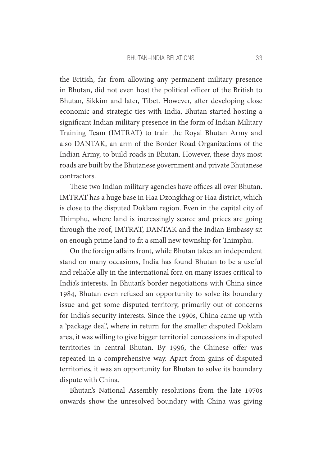the British, far from allowing any permanent military presence in Bhutan, did not even host the political officer of the British to Bhutan, Sikkim and later, Tibet. However, after developing close economic and strategic ties with India, Bhutan started hosting a significant Indian military presence in the form of Indian Military Training Team (IMTRAT) to train the Royal Bhutan Army and also DANTAK, an arm of the Border Road Organizations of the Indian Army, to build roads in Bhutan. However, these days most roads are built by the Bhutanese government and private Bhutanese contractors.

These two Indian military agencies have offices all over Bhutan. IMTRAT has a huge base in Haa Dzongkhag or Haa district, which is close to the disputed Doklam region. Even in the capital city of Thimphu, where land is increasingly scarce and prices are going through the roof, IMTRAT, DANTAK and the Indian Embassy sit on enough prime land to fit a small new township for Thimphu.

On the foreign affairs front, while Bhutan takes an independent stand on many occasions, India has found Bhutan to be a useful and reliable ally in the international fora on many issues critical to India's interests. In Bhutan's border negotiations with China since 1984, Bhutan even refused an opportunity to solve its boundary issue and get some disputed territory, primarily out of concerns for India's security interests. Since the 1990s, China came up with a 'package deal', where in return for the smaller disputed Doklam area, it was willing to give bigger territorial concessions in disputed territories in central Bhutan. By 1996, the Chinese offer was repeated in a comprehensive way. Apart from gains of disputed territories, it was an opportunity for Bhutan to solve its boundary dispute with China.

Bhutan's National Assembly resolutions from the late 1970s onwards show the unresolved boundary with China was giving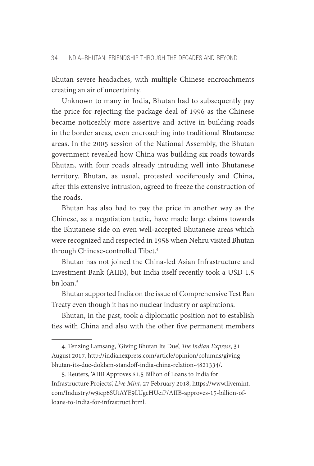Bhutan severe headaches, with multiple Chinese encroachments creating an air of uncertainty.

Unknown to many in India, Bhutan had to subsequently pay the price for rejecting the package deal of 1996 as the Chinese became noticeably more assertive and active in building roads in the border areas, even encroaching into traditional Bhutanese areas. In the 2005 session of the National Assembly, the Bhutan government revealed how China was building six roads towards Bhutan, with four roads already intruding well into Bhutanese territory. Bhutan, as usual, protested vociferously and China, after this extensive intrusion, agreed to freeze the construction of the roads.

Bhutan has also had to pay the price in another way as the Chinese, as a negotiation tactic, have made large claims towards the Bhutanese side on even well-accepted Bhutanese areas which were recognized and respected in 1958 when Nehru visited Bhutan through Chinese-controlled Tibet.4

Bhutan has not joined the China-led Asian Infrastructure and Investment Bank (AIIB), but India itself recently took a USD 1.5 bn loan.5

Bhutan supported India on the issue of Comprehensive Test Ban Treaty even though it has no nuclear industry or aspirations.

Bhutan, in the past, took a diplomatic position not to establish ties with China and also with the other five permanent members

<sup>4.</sup> Tenzing Lamsang, 'Giving Bhutan Its Due', *The Indian Express*, 31 August 2017, http://indianexpress.com/article/opinion/columns/givingbhutan-its-due-doklam-standoff-india-china-relation-4821334/.

<sup>5.</sup> Reuters, 'AIIB Approves \$1.5 Billion of Loans to India for Infrastructure Projects', *Live Mint*, 27 February 2018, https://www.livemint. com/Industry/w9icp6SUtAYE9LUgcHUeiP/AIIB-approves-15-billion-ofloans-to-India-for-infrastruct.html.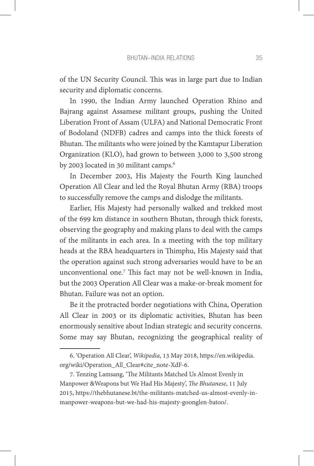of the UN Security Council. This was in large part due to Indian security and diplomatic concerns.

In 1990, the Indian Army launched Operation Rhino and Bajrang against Assamese militant groups, pushing the United Liberation Front of Assam (ULFA) and National Democratic Front of Bodoland (NDFB) cadres and camps into the thick forests of Bhutan. The militants who were joined by the Kamtapur Liberation Organization (KLO), had grown to between 3,000 to 3,500 strong by 2003 located in 30 militant camps.<sup>6</sup>

In December 2003, His Majesty the Fourth King launched Operation All Clear and led the Royal Bhutan Army (RBA) troops to successfully remove the camps and dislodge the militants.

Earlier, His Majesty had personally walked and trekked most of the 699 km distance in southern Bhutan, through thick forests, observing the geography and making plans to deal with the camps of the militants in each area. In a meeting with the top military heads at the RBA headquarters in Thimphu, His Majesty said that the operation against such strong adversaries would have to be an unconventional one.7 This fact may not be well-known in India, but the 2003 Operation All Clear was a make-or-break moment for Bhutan. Failure was not an option.

Be it the protracted border negotiations with China, Operation All Clear in 2003 or its diplomatic activities, Bhutan has been enormously sensitive about Indian strategic and security concerns. Some may say Bhutan, recognizing the geographical reality of

<sup>6. &#</sup>x27;Operation All Clear', *Wikipedia*, 13 May 2018, https://en.wikipedia. org/wiki/Operation\_All\_Clear#cite\_note-XdF-6.

<sup>7.</sup> Tenzing Lamsang, 'The Militants Matched Us Almost Evenly in Manpower &Weapons but We Had His Majesty', *The Bhutanese*, 11 July 2015, https://thebhutanese.bt/the-militants-matched-us-almost-evenly-inmanpower-weapons-but-we-had-his-majesty-goonglen-batoo/.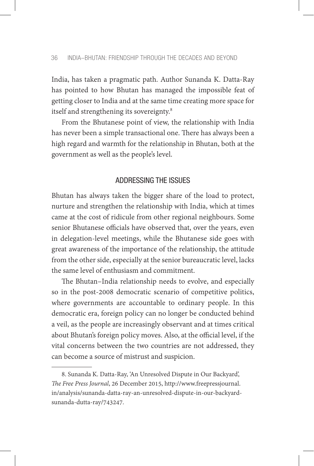India, has taken a pragmatic path. Author Sunanda K. Datta-Ray has pointed to how Bhutan has managed the impossible feat of getting closer to India and at the same time creating more space for itself and strengthening its sovereignty.<sup>8</sup>

From the Bhutanese point of view, the relationship with India has never been a simple transactional one. There has always been a high regard and warmth for the relationship in Bhutan, both at the government as well as the people's level.

## ADDRESSING THE ISSUES

Bhutan has always taken the bigger share of the load to protect, nurture and strengthen the relationship with India, which at times came at the cost of ridicule from other regional neighbours. Some senior Bhutanese officials have observed that, over the years, even in delegation-level meetings, while the Bhutanese side goes with great awareness of the importance of the relationship, the attitude from the other side, especially at the senior bureaucratic level, lacks the same level of enthusiasm and commitment.

The Bhutan–India relationship needs to evolve, and especially so in the post-2008 democratic scenario of competitive politics, where governments are accountable to ordinary people. In this democratic era, foreign policy can no longer be conducted behind a veil, as the people are increasingly observant and at times critical about Bhutan's foreign policy moves. Also, at the official level, if the vital concerns between the two countries are not addressed, they can become a source of mistrust and suspicion.

<sup>8.</sup> Sunanda K. Datta-Ray, 'An Unresolved Dispute in Our Backyard', *The Free Press Journal*, 26 December 2015, http://www.freepressjournal. in/analysis/sunanda-datta-ray-an-unresolved-dispute-in-our-backyardsunanda-dutta-ray/743247.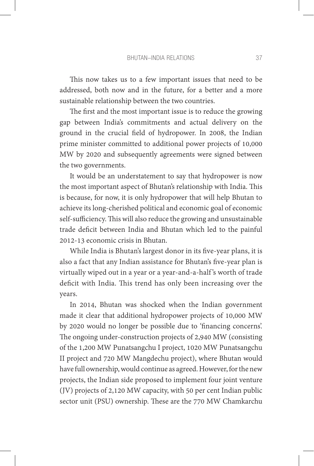This now takes us to a few important issues that need to be addressed, both now and in the future, for a better and a more sustainable relationship between the two countries.

The first and the most important issue is to reduce the growing gap between India's commitments and actual delivery on the ground in the crucial field of hydropower. In 2008, the Indian prime minister committed to additional power projects of 10,000 MW by 2020 and subsequently agreements were signed between the two governments.

It would be an understatement to say that hydropower is now the most important aspect of Bhutan's relationship with India. This is because, for now, it is only hydropower that will help Bhutan to achieve its long-cherished political and economic goal of economic self-sufficiency. This will also reduce the growing and unsustainable trade deficit between India and Bhutan which led to the painful 2012-13 economic crisis in Bhutan.

While India is Bhutan's largest donor in its five-year plans, it is also a fact that any Indian assistance for Bhutan's five-year plan is virtually wiped out in a year or a year-and-a-half 's worth of trade deficit with India. This trend has only been increasing over the years.

In 2014, Bhutan was shocked when the Indian government made it clear that additional hydropower projects of 10,000 MW by 2020 would no longer be possible due to 'financing concerns'. The ongoing under-construction projects of 2,940 MW (consisting of the 1,200 MW Punatsangchu I project, 1020 MW Punatsangchu II project and 720 MW Mangdechu project), where Bhutan would have full ownership, would continue as agreed. However, for the new projects, the Indian side proposed to implement four joint venture (JV) projects of 2,120 MW capacity, with 50 per cent Indian public sector unit (PSU) ownership. These are the 770 MW Chamkarchu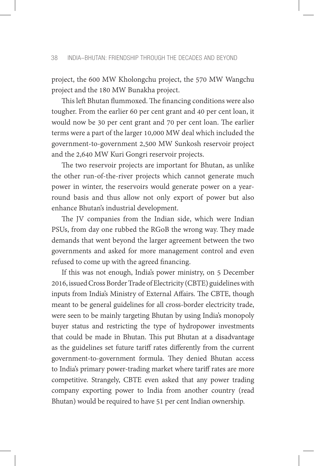project, the 600 MW Kholongchu project, the 570 MW Wangchu project and the 180 MW Bunakha project.

This left Bhutan flummoxed. The financing conditions were also tougher. From the earlier 60 per cent grant and 40 per cent loan, it would now be 30 per cent grant and 70 per cent loan. The earlier terms were a part of the larger 10,000 MW deal which included the government-to-government 2,500 MW Sunkosh reservoir project and the 2,640 MW Kuri Gongri reservoir projects.

The two reservoir projects are important for Bhutan, as unlike the other run-of-the-river projects which cannot generate much power in winter, the reservoirs would generate power on a yearround basis and thus allow not only export of power but also enhance Bhutan's industrial development.

The JV companies from the Indian side, which were Indian PSUs, from day one rubbed the RGoB the wrong way. They made demands that went beyond the larger agreement between the two governments and asked for more management control and even refused to come up with the agreed financing.

If this was not enough, India's power ministry, on 5 December 2016, issued Cross Border Trade of Electricity (CBTE) guidelines with inputs from India's Ministry of External Affairs. The CBTE, though meant to be general guidelines for all cross-border electricity trade, were seen to be mainly targeting Bhutan by using India's monopoly buyer status and restricting the type of hydropower investments that could be made in Bhutan. This put Bhutan at a disadvantage as the guidelines set future tariff rates differently from the current government-to-government formula. They denied Bhutan access to India's primary power-trading market where tariff rates are more competitive. Strangely, CBTE even asked that any power trading company exporting power to India from another country (read Bhutan) would be required to have 51 per cent Indian ownership.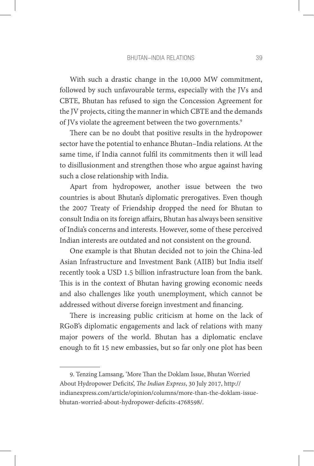With such a drastic change in the 10,000 MW commitment, followed by such unfavourable terms, especially with the JVs and CBTE, Bhutan has refused to sign the Concession Agreement for the JV projects, citing the manner in which CBTE and the demands of JVs violate the agreement between the two governments.<sup>9</sup>

There can be no doubt that positive results in the hydropower sector have the potential to enhance Bhutan–India relations. At the same time, if India cannot fulfil its commitments then it will lead to disillusionment and strengthen those who argue against having such a close relationship with India.

Apart from hydropower, another issue between the two countries is about Bhutan's diplomatic prerogatives. Even though the 2007 Treaty of Friendship dropped the need for Bhutan to consult India on its foreign affairs, Bhutan has always been sensitive of India's concerns and interests. However, some of these perceived Indian interests are outdated and not consistent on the ground.

One example is that Bhutan decided not to join the China-led Asian Infrastructure and Investment Bank (AIIB) but India itself recently took a USD 1.5 billion infrastructure loan from the bank. This is in the context of Bhutan having growing economic needs and also challenges like youth unemployment, which cannot be addressed without diverse foreign investment and financing.

There is increasing public criticism at home on the lack of RGoB's diplomatic engagements and lack of relations with many major powers of the world. Bhutan has a diplomatic enclave enough to fit 15 new embassies, but so far only one plot has been

9. Tenzing Lamsang, 'More Than the Doklam Issue, Bhutan Worried About Hydropower Deficits', *The Indian Express*, 30 July 2017, http:// indianexpress.com/article/opinion/columns/more-than-the-doklam-issuebhutan-worried-about-hydropower-deficits-4768598/.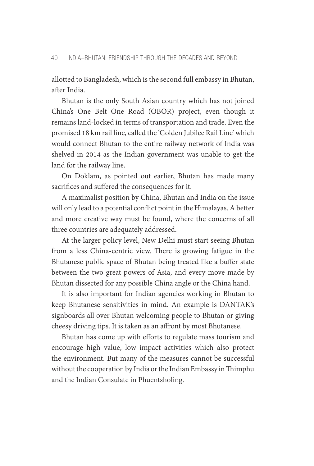allotted to Bangladesh, which is the second full embassy in Bhutan, after India.

Bhutan is the only South Asian country which has not joined China's One Belt One Road (OBOR) project, even though it remains land-locked in terms of transportation and trade. Even the promised 18 km rail line, called the 'Golden Jubilee Rail Line' which would connect Bhutan to the entire railway network of India was shelved in 2014 as the Indian government was unable to get the land for the railway line.

On Doklam, as pointed out earlier, Bhutan has made many sacrifices and suffered the consequences for it.

A maximalist position by China, Bhutan and India on the issue will only lead to a potential conflict point in the Himalayas. A better and more creative way must be found, where the concerns of all three countries are adequately addressed.

At the larger policy level, New Delhi must start seeing Bhutan from a less China-centric view. There is growing fatigue in the Bhutanese public space of Bhutan being treated like a buffer state between the two great powers of Asia, and every move made by Bhutan dissected for any possible China angle or the China hand.

It is also important for Indian agencies working in Bhutan to keep Bhutanese sensitivities in mind. An example is DANTAK's signboards all over Bhutan welcoming people to Bhutan or giving cheesy driving tips. It is taken as an affront by most Bhutanese.

Bhutan has come up with efforts to regulate mass tourism and encourage high value, low impact activities which also protect the environment. But many of the measures cannot be successful without the cooperation by India or the Indian Embassy in Thimphu and the Indian Consulate in Phuentsholing.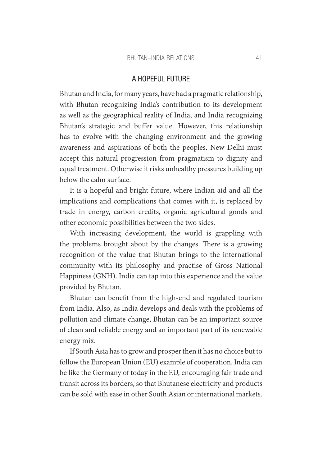#### BHUTAN–INDIA RELATIONS 41

#### A HOPEFUL FUTURE

Bhutan and India, for many years, have had a pragmatic relationship, with Bhutan recognizing India's contribution to its development as well as the geographical reality of India, and India recognizing Bhutan's strategic and buffer value. However, this relationship has to evolve with the changing environment and the growing awareness and aspirations of both the peoples. New Delhi must accept this natural progression from pragmatism to dignity and equal treatment. Otherwise it risks unhealthy pressures building up below the calm surface.

It is a hopeful and bright future, where Indian aid and all the implications and complications that comes with it, is replaced by trade in energy, carbon credits, organic agricultural goods and other economic possibilities between the two sides.

With increasing development, the world is grappling with the problems brought about by the changes. There is a growing recognition of the value that Bhutan brings to the international community with its philosophy and practise of Gross National Happiness (GNH). India can tap into this experience and the value provided by Bhutan.

Bhutan can benefit from the high-end and regulated tourism from India. Also, as India develops and deals with the problems of pollution and climate change, Bhutan can be an important source of clean and reliable energy and an important part of its renewable energy mix.

If South Asia has to grow and prosper then it has no choice but to follow the European Union (EU) example of cooperation. India can be like the Germany of today in the EU, encouraging fair trade and transit across its borders, so that Bhutanese electricity and products can be sold with ease in other South Asian or international markets.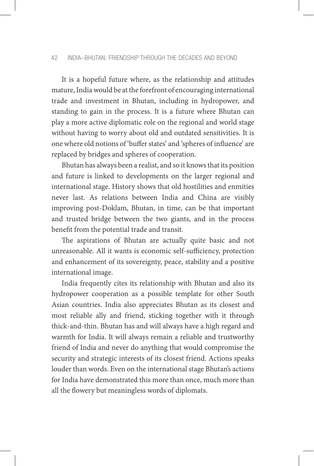#### 42 INDIA–BHUTAN: FRIENDSHIP THROUGH THE DECADES AND BEYOND

It is a hopeful future where, as the relationship and attitudes mature, India would be at the forefront of encouraging international trade and investment in Bhutan, including in hydropower, and standing to gain in the process. It is a future where Bhutan can play a more active diplomatic role on the regional and world stage without having to worry about old and outdated sensitivities. It is one where old notions of 'buffer states' and 'spheres of influence' are replaced by bridges and spheres of cooperation.

Bhutan has always been a realist, and so it knows that its position and future is linked to developments on the larger regional and international stage. History shows that old hostilities and enmities never last. As relations between India and China are visibly improving post-Doklam, Bhutan, in time, can be that important and trusted bridge between the two giants, and in the process benefit from the potential trade and transit.

The aspirations of Bhutan are actually quite basic and not unreasonable. All it wants is economic self-sufficiency, protection and enhancement of its sovereignty, peace, stability and a positive international image.

India frequently cites its relationship with Bhutan and also its hydropower cooperation as a possible template for other South Asian countries. India also appreciates Bhutan as its closest and most reliable ally and friend, sticking together with it through thick-and-thin. Bhutan has and will always have a high regard and warmth for India. It will always remain a reliable and trustworthy friend of India and never do anything that would compromise the security and strategic interests of its closest friend. Actions speaks louder than words. Even on the international stage Bhutan's actions for India have demonstrated this more than once, much more than all the flowery but meaningless words of diplomats.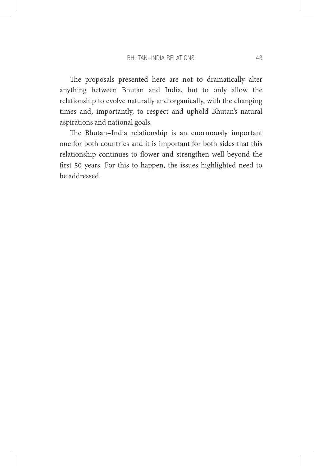The proposals presented here are not to dramatically alter anything between Bhutan and India, but to only allow the relationship to evolve naturally and organically, with the changing times and, importantly, to respect and uphold Bhutan's natural aspirations and national goals.

The Bhutan–India relationship is an enormously important one for both countries and it is important for both sides that this relationship continues to flower and strengthen well beyond the first 50 years. For this to happen, the issues highlighted need to be addressed.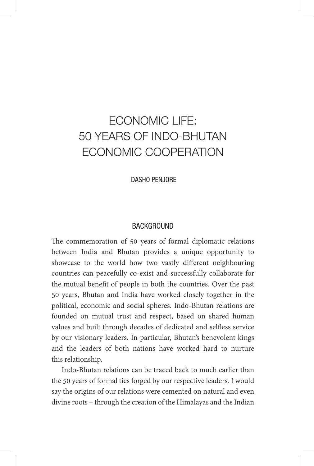# ECONOMIC LIFE: 50 YEARS OF INDO-BHUTAN ECONOMIC COOPERATION

DASHO PENJORE

#### BACKGROUND

The commemoration of 50 years of formal diplomatic relations between India and Bhutan provides a unique opportunity to showcase to the world how two vastly different neighbouring countries can peacefully co-exist and successfully collaborate for the mutual benefit of people in both the countries. Over the past 50 years, Bhutan and India have worked closely together in the political, economic and social spheres. Indo-Bhutan relations are founded on mutual trust and respect, based on shared human values and built through decades of dedicated and selfless service by our visionary leaders. In particular, Bhutan's benevolent kings and the leaders of both nations have worked hard to nurture this relationship.

Indo-Bhutan relations can be traced back to much earlier than the 50 years of formal ties forged by our respective leaders. I would say the origins of our relations were cemented on natural and even divine roots – through the creation of the Himalayas and the Indian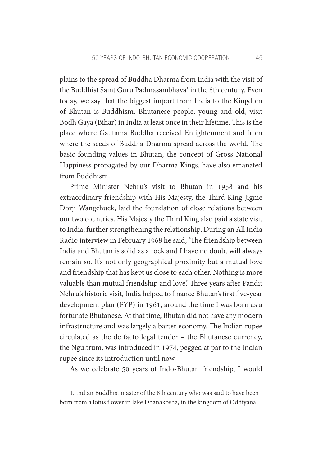plains to the spread of Buddha Dharma from India with the visit of the Buddhist Saint Guru Padmasambhava<sup>1</sup> in the 8th century. Even today, we say that the biggest import from India to the Kingdom of Bhutan is Buddhism. Bhutanese people, young and old, visit Bodh Gaya (Bihar) in India at least once in their lifetime. This is the place where Gautama Buddha received Enlightenment and from where the seeds of Buddha Dharma spread across the world. The basic founding values in Bhutan, the concept of Gross National Happiness propagated by our Dharma Kings, have also emanated from Buddhism.

Prime Minister Nehru's visit to Bhutan in 1958 and his extraordinary friendship with His Majesty, the Third King Jigme Dorji Wangchuck, laid the foundation of close relations between our two countries. His Majesty the Third King also paid a state visit to India, further strengthening the relationship. During an All India Radio interview in February 1968 he said, 'The friendship between India and Bhutan is solid as a rock and I have no doubt will always remain so. It's not only geographical proximity but a mutual love and friendship that has kept us close to each other. Nothing is more valuable than mutual friendship and love.' Three years after Pandit Nehru's historic visit, India helped to finance Bhutan's first five-year development plan (FYP) in 1961, around the time I was born as a fortunate Bhutanese. At that time, Bhutan did not have any modern infrastructure and was largely a barter economy. The Indian rupee circulated as the de facto legal tender – the Bhutanese currency, the Ngultrum, was introduced in 1974, pegged at par to the Indian rupee since its introduction until now.

As we celebrate 50 years of Indo-Bhutan friendship, I would

<sup>1.</sup> Indian Buddhist master of the 8th century who was said to have been born from a lotus flower in lake Dhanakosha, in the kingdom of Oddiyana.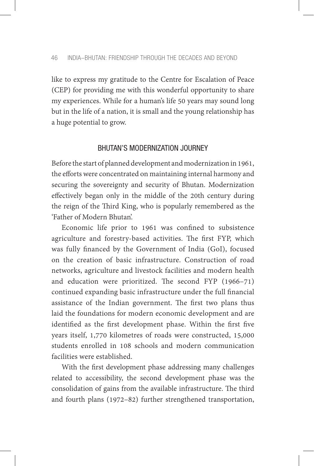like to express my gratitude to the Centre for Escalation of Peace (CEP) for providing me with this wonderful opportunity to share my experiences. While for a human's life 50 years may sound long but in the life of a nation, it is small and the young relationship has a huge potential to grow.

#### BHUTAN'S MODERNIZATION JOURNEY

Before the start of planned development and modernization in 1961, the efforts were concentrated on maintaining internal harmony and securing the sovereignty and security of Bhutan. Modernization effectively began only in the middle of the 20th century during the reign of the Third King, who is popularly remembered as the 'Father of Modern Bhutan'.

Economic life prior to 1961 was confined to subsistence agriculture and forestry-based activities. The first FYP, which was fully financed by the Government of India (GoI), focused on the creation of basic infrastructure. Construction of road networks, agriculture and livestock facilities and modern health and education were prioritized. The second FYP (1966–71) continued expanding basic infrastructure under the full financial assistance of the Indian government. The first two plans thus laid the foundations for modern economic development and are identified as the first development phase. Within the first five years itself, 1,770 kilometres of roads were constructed, 15,000 students enrolled in 108 schools and modern communication facilities were established.

With the first development phase addressing many challenges related to accessibility, the second development phase was the consolidation of gains from the available infrastructure. The third and fourth plans (1972–82) further strengthened transportation,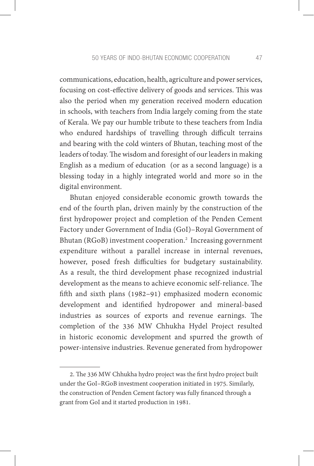communications, education, health, agriculture and power services, focusing on cost-effective delivery of goods and services. This was also the period when my generation received modern education in schools, with teachers from India largely coming from the state of Kerala. We pay our humble tribute to these teachers from India who endured hardships of travelling through difficult terrains and bearing with the cold winters of Bhutan, teaching most of the leaders of today. The wisdom and foresight of our leaders in making English as a medium of education (or as a second language) is a blessing today in a highly integrated world and more so in the digital environment.

Bhutan enjoyed considerable economic growth towards the end of the fourth plan, driven mainly by the construction of the first hydropower project and completion of the Penden Cement Factory under Government of India (GoI)–Royal Government of Bhutan (RGoB) investment cooperation.<sup>2</sup> Increasing government expenditure without a parallel increase in internal revenues, however, posed fresh difficulties for budgetary sustainability. As a result, the third development phase recognized industrial development as the means to achieve economic self-reliance. The fifth and sixth plans (1982–91) emphasized modern economic development and identified hydropower and mineral-based industries as sources of exports and revenue earnings. The completion of the 336 MW Chhukha Hydel Project resulted in historic economic development and spurred the growth of power-intensive industries. Revenue generated from hydropower

<sup>2.</sup> The 336 MW Chhukha hydro project was the first hydro project built under the GoI–RGoB investment cooperation initiated in 1975. Similarly, the construction of Penden Cement factory was fully financed through a grant from GoI and it started production in 1981.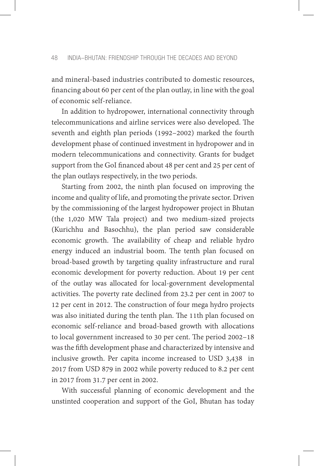and mineral-based industries contributed to domestic resources, financing about 60 per cent of the plan outlay, in line with the goal of economic self-reliance.

In addition to hydropower, international connectivity through telecommunications and airline services were also developed. The seventh and eighth plan periods (1992–2002) marked the fourth development phase of continued investment in hydropower and in modern telecommunications and connectivity. Grants for budget support from the GoI financed about 48 per cent and 25 per cent of the plan outlays respectively, in the two periods.

Starting from 2002, the ninth plan focused on improving the income and quality of life, and promoting the private sector. Driven by the commissioning of the largest hydropower project in Bhutan (the 1,020 MW Tala project) and two medium-sized projects (Kurichhu and Basochhu), the plan period saw considerable economic growth. The availability of cheap and reliable hydro energy induced an industrial boom. The tenth plan focused on broad-based growth by targeting quality infrastructure and rural economic development for poverty reduction. About 19 per cent of the outlay was allocated for local-government developmental activities. The poverty rate declined from 23.2 per cent in 2007 to 12 per cent in 2012. The construction of four mega hydro projects was also initiated during the tenth plan. The 11th plan focused on economic self-reliance and broad-based growth with allocations to local government increased to 30 per cent. The period 2002–18 was the fifth development phase and characterized by intensive and inclusive growth. Per capita income increased to USD 3,438 in 2017 from USD 879 in 2002 while poverty reduced to 8.2 per cent in 2017 from 31.7 per cent in 2002.

With successful planning of economic development and the unstinted cooperation and support of the GoI, Bhutan has today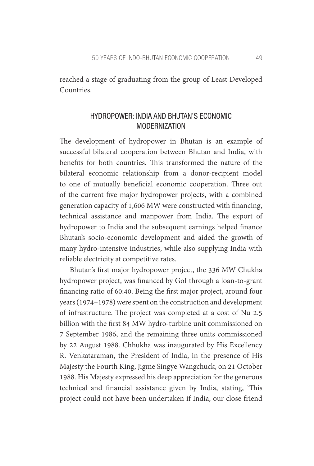reached a stage of graduating from the group of Least Developed Countries.

# HYDROPOWER: INDIA AND BHUTAN'S ECONOMIC MODERNIZATION

The development of hydropower in Bhutan is an example of successful bilateral cooperation between Bhutan and India, with benefits for both countries. This transformed the nature of the bilateral economic relationship from a donor-recipient model to one of mutually beneficial economic cooperation. Three out of the current five major hydropower projects, with a combined generation capacity of 1,606 MW were constructed with financing, technical assistance and manpower from India. The export of hydropower to India and the subsequent earnings helped finance Bhutan's socio-economic development and aided the growth of many hydro-intensive industries, while also supplying India with reliable electricity at competitive rates.

Bhutan's first major hydropower project, the 336 MW Chukha hydropower project, was financed by GoI through a loan-to-grant financing ratio of 60:40. Being the first major project, around four years (1974–1978) were spent on the construction and development of infrastructure. The project was completed at a cost of Nu 2.5 billion with the first 84 MW hydro-turbine unit commissioned on 7 September 1986, and the remaining three units commissioned by 22 August 1988. Chhukha was inaugurated by His Excellency R. Venkataraman, the President of India, in the presence of His Majesty the Fourth King, Jigme Singye Wangchuck, on 21 October 1988. His Majesty expressed his deep appreciation for the generous technical and financial assistance given by India, stating, 'This project could not have been undertaken if India, our close friend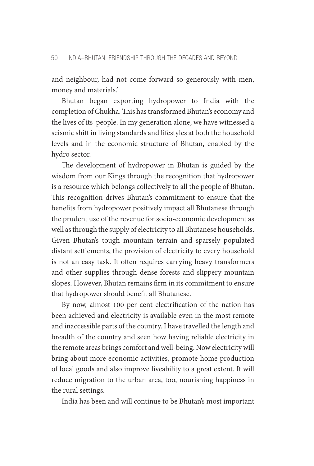and neighbour, had not come forward so generously with men, money and materials.'

Bhutan began exporting hydropower to India with the completion of Chukha. This has transformed Bhutan's economy and the lives of its people. In my generation alone, we have witnessed a seismic shift in living standards and lifestyles at both the household levels and in the economic structure of Bhutan, enabled by the hydro sector.

The development of hydropower in Bhutan is guided by the wisdom from our Kings through the recognition that hydropower is a resource which belongs collectively to all the people of Bhutan. This recognition drives Bhutan's commitment to ensure that the benefits from hydropower positively impact all Bhutanese through the prudent use of the revenue for socio-economic development as well as through the supply of electricity to all Bhutanese households. Given Bhutan's tough mountain terrain and sparsely populated distant settlements, the provision of electricity to every household is not an easy task. It often requires carrying heavy transformers and other supplies through dense forests and slippery mountain slopes. However, Bhutan remains firm in its commitment to ensure that hydropower should benefit all Bhutanese.

By now, almost 100 per cent electrification of the nation has been achieved and electricity is available even in the most remote and inaccessible parts of the country. I have travelled the length and breadth of the country and seen how having reliable electricity in the remote areas brings comfort and well-being. Now electricity will bring about more economic activities, promote home production of local goods and also improve liveability to a great extent. It will reduce migration to the urban area, too, nourishing happiness in the rural settings.

India has been and will continue to be Bhutan's most important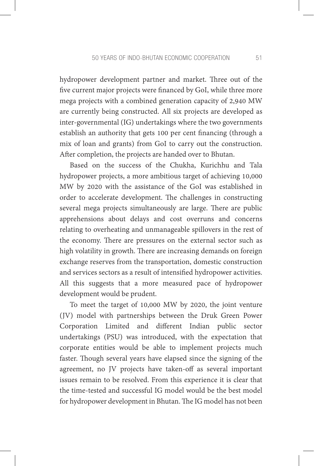hydropower development partner and market. Three out of the five current major projects were financed by GoI, while three more mega projects with a combined generation capacity of 2,940 MW are currently being constructed. All six projects are developed as inter-governmental (IG) undertakings where the two governments establish an authority that gets 100 per cent financing (through a mix of loan and grants) from GoI to carry out the construction. After completion, the projects are handed over to Bhutan.

Based on the success of the Chukha, Kurichhu and Tala hydropower projects, a more ambitious target of achieving 10,000 MW by 2020 with the assistance of the GoI was established in order to accelerate development. The challenges in constructing several mega projects simultaneously are large. There are public apprehensions about delays and cost overruns and concerns relating to overheating and unmanageable spillovers in the rest of the economy. There are pressures on the external sector such as high volatility in growth. There are increasing demands on foreign exchange reserves from the transportation, domestic construction and services sectors as a result of intensified hydropower activities. All this suggests that a more measured pace of hydropower development would be prudent.

To meet the target of 10,000 MW by 2020, the joint venture (JV) model with partnerships between the Druk Green Power Corporation Limited and different Indian public sector undertakings (PSU) was introduced, with the expectation that corporate entities would be able to implement projects much faster. Though several years have elapsed since the signing of the agreement, no JV projects have taken-off as several important issues remain to be resolved. From this experience it is clear that the time-tested and successful IG model would be the best model for hydropower development in Bhutan. The IG model has not been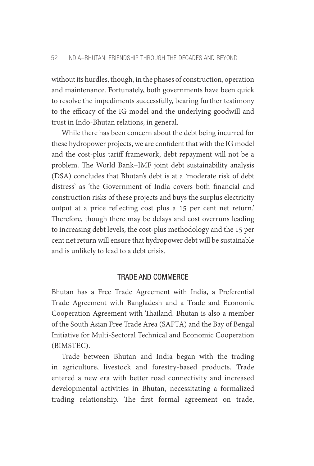without its hurdles, though, in the phases of construction, operation and maintenance. Fortunately, both governments have been quick to resolve the impediments successfully, bearing further testimony to the efficacy of the IG model and the underlying goodwill and trust in Indo-Bhutan relations, in general.

While there has been concern about the debt being incurred for these hydropower projects, we are confident that with the IG model and the cost-plus tariff framework, debt repayment will not be a problem. The World Bank–IMF joint debt sustainability analysis (DSA) concludes that Bhutan's debt is at a 'moderate risk of debt distress' as 'the Government of India covers both financial and construction risks of these projects and buys the surplus electricity output at a price reflecting cost plus a 15 per cent net return.' Therefore, though there may be delays and cost overruns leading to increasing debt levels, the cost-plus methodology and the 15 per cent net return will ensure that hydropower debt will be sustainable and is unlikely to lead to a debt crisis.

## TRADE AND COMMERCE

Bhutan has a Free Trade Agreement with India, a Preferential Trade Agreement with Bangladesh and a Trade and Economic Cooperation Agreement with Thailand. Bhutan is also a member of the South Asian Free Trade Area (SAFTA) and the Bay of Bengal Initiative for Multi-Sectoral Technical and Economic Cooperation (BIMSTEC).

Trade between Bhutan and India began with the trading in agriculture, livestock and forestry-based products. Trade entered a new era with better road connectivity and increased developmental activities in Bhutan, necessitating a formalized trading relationship. The first formal agreement on trade,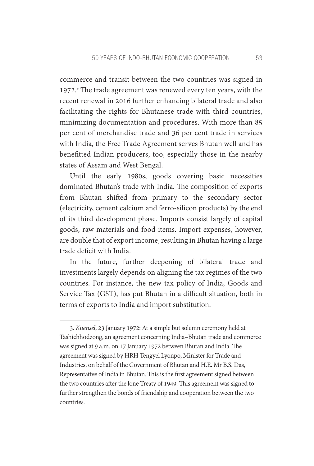commerce and transit between the two countries was signed in 1972.3 The trade agreement was renewed every ten years, with the recent renewal in 2016 further enhancing bilateral trade and also facilitating the rights for Bhutanese trade with third countries, minimizing documentation and procedures. With more than 85 per cent of merchandise trade and 36 per cent trade in services with India, the Free Trade Agreement serves Bhutan well and has benefitted Indian producers, too, especially those in the nearby states of Assam and West Bengal.

Until the early 1980s, goods covering basic necessities dominated Bhutan's trade with India. The composition of exports from Bhutan shifted from primary to the secondary sector (electricity, cement calcium and ferro-silicon products) by the end of its third development phase. Imports consist largely of capital goods, raw materials and food items. Import expenses, however, are double that of export income, resulting in Bhutan having a large trade deficit with India.

In the future, further deepening of bilateral trade and investments largely depends on aligning the tax regimes of the two countries. For instance, the new tax policy of India, Goods and Service Tax (GST), has put Bhutan in a difficult situation, both in terms of exports to India and import substitution.

<sup>3.</sup> *Kuensel*, 23 January 1972: At a simple but solemn ceremony held at Tashichhodzong, an agreement concerning India–Bhutan trade and commerce was signed at 9 a.m. on 17 January 1972 between Bhutan and India. The agreement was signed by HRH Tengyel Lyonpo, Minister for Trade and Industries, on behalf of the Government of Bhutan and H.E. Mr B.S. Das, Representative of India in Bhutan. This is the first agreement signed between the two countries after the lone Treaty of 1949. This agreement was signed to further strengthen the bonds of friendship and cooperation between the two countries.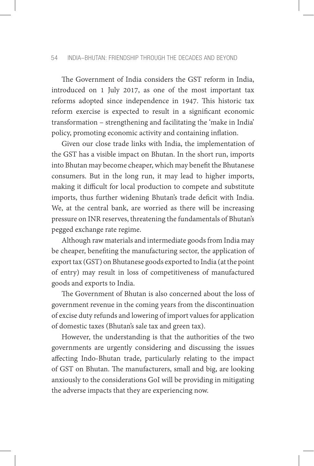The Government of India considers the GST reform in India, introduced on 1 July 2017, as one of the most important tax reforms adopted since independence in 1947. This historic tax reform exercise is expected to result in a significant economic transformation – strengthening and facilitating the 'make in India' policy, promoting economic activity and containing inflation.

Given our close trade links with India, the implementation of the GST has a visible impact on Bhutan. In the short run, imports into Bhutan may become cheaper, which may benefit the Bhutanese consumers. But in the long run, it may lead to higher imports, making it difficult for local production to compete and substitute imports, thus further widening Bhutan's trade deficit with India. We, at the central bank, are worried as there will be increasing pressure on INR reserves, threatening the fundamentals of Bhutan's pegged exchange rate regime.

Although raw materials and intermediate goods from India may be cheaper, benefiting the manufacturing sector, the application of export tax (GST) on Bhutanese goods exported to India (at the point of entry) may result in loss of competitiveness of manufactured goods and exports to India.

The Government of Bhutan is also concerned about the loss of government revenue in the coming years from the discontinuation of excise duty refunds and lowering of import values for application of domestic taxes (Bhutan's sale tax and green tax).

However, the understanding is that the authorities of the two governments are urgently considering and discussing the issues affecting Indo-Bhutan trade, particularly relating to the impact of GST on Bhutan. The manufacturers, small and big, are looking anxiously to the considerations GoI will be providing in mitigating the adverse impacts that they are experiencing now.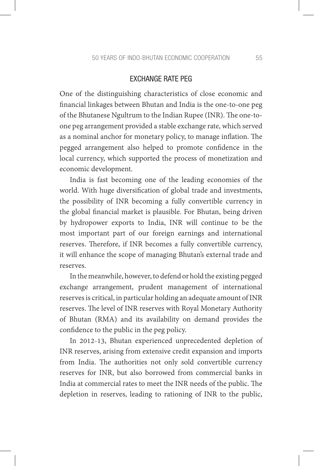## EXCHANGE RATE PEG

One of the distinguishing characteristics of close economic and financial linkages between Bhutan and India is the one-to-one peg of the Bhutanese Ngultrum to the Indian Rupee (INR). The one-toone peg arrangement provided a stable exchange rate, which served as a nominal anchor for monetary policy, to manage inflation. The pegged arrangement also helped to promote confidence in the local currency, which supported the process of monetization and economic development.

India is fast becoming one of the leading economies of the world. With huge diversification of global trade and investments, the possibility of INR becoming a fully convertible currency in the global financial market is plausible. For Bhutan, being driven by hydropower exports to India, INR will continue to be the most important part of our foreign earnings and international reserves. Therefore, if INR becomes a fully convertible currency, it will enhance the scope of managing Bhutan's external trade and reserves.

In the meanwhile, however, to defend or hold the existing pegged exchange arrangement, prudent management of international reserves is critical, in particular holding an adequate amount of INR reserves. The level of INR reserves with Royal Monetary Authority of Bhutan (RMA) and its availability on demand provides the confidence to the public in the peg policy.

In 2012-13, Bhutan experienced unprecedented depletion of INR reserves, arising from extensive credit expansion and imports from India. The authorities not only sold convertible currency reserves for INR, but also borrowed from commercial banks in India at commercial rates to meet the INR needs of the public. The depletion in reserves, leading to rationing of INR to the public,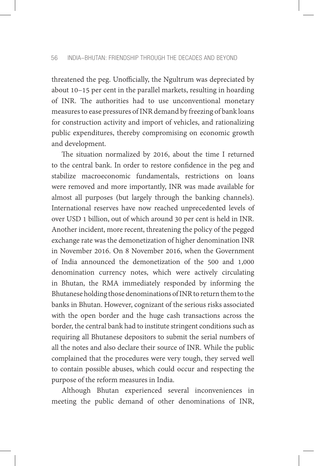threatened the peg. Unofficially, the Ngultrum was depreciated by about 10–15 per cent in the parallel markets, resulting in hoarding of INR. The authorities had to use unconventional monetary measures to ease pressures of INR demand by freezing of bank loans for construction activity and import of vehicles, and rationalizing public expenditures, thereby compromising on economic growth and development.

The situation normalized by 2016, about the time I returned to the central bank. In order to restore confidence in the peg and stabilize macroeconomic fundamentals, restrictions on loans were removed and more importantly, INR was made available for almost all purposes (but largely through the banking channels). International reserves have now reached unprecedented levels of over USD 1 billion, out of which around 30 per cent is held in INR. Another incident, more recent, threatening the policy of the pegged exchange rate was the demonetization of higher denomination INR in November 2016. On 8 November 2016, when the Government of India announced the demonetization of the 500 and 1,000 denomination currency notes, which were actively circulating in Bhutan, the RMA immediately responded by informing the Bhutanese holding those denominations of INR to return them to the banks in Bhutan. However, cognizant of the serious risks associated with the open border and the huge cash transactions across the border, the central bank had to institute stringent conditions such as requiring all Bhutanese depositors to submit the serial numbers of all the notes and also declare their source of INR. While the public complained that the procedures were very tough, they served well to contain possible abuses, which could occur and respecting the purpose of the reform measures in India.

Although Bhutan experienced several inconveniences in meeting the public demand of other denominations of INR,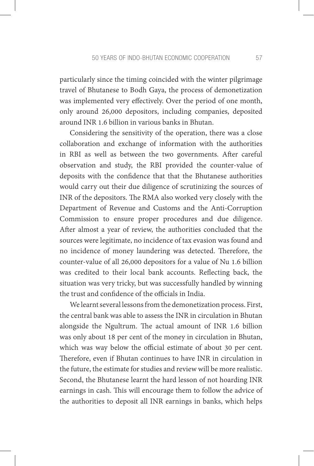particularly since the timing coincided with the winter pilgrimage travel of Bhutanese to Bodh Gaya, the process of demonetization was implemented very effectively. Over the period of one month, only around 26,000 depositors, including companies, deposited around INR 1.6 billion in various banks in Bhutan.

Considering the sensitivity of the operation, there was a close collaboration and exchange of information with the authorities in RBI as well as between the two governments. After careful observation and study, the RBI provided the counter-value of deposits with the confidence that that the Bhutanese authorities would carry out their due diligence of scrutinizing the sources of INR of the depositors. The RMA also worked very closely with the Department of Revenue and Customs and the Anti-Corruption Commission to ensure proper procedures and due diligence. After almost a year of review, the authorities concluded that the sources were legitimate, no incidence of tax evasion was found and no incidence of money laundering was detected. Therefore, the counter-value of all 26,000 depositors for a value of Nu 1.6 billion was credited to their local bank accounts. Reflecting back, the situation was very tricky, but was successfully handled by winning the trust and confidence of the officials in India.

We learnt several lessons from the demonetization process. First, the central bank was able to assess the INR in circulation in Bhutan alongside the Ngultrum. The actual amount of INR 1.6 billion was only about 18 per cent of the money in circulation in Bhutan, which was way below the official estimate of about 30 per cent. Therefore, even if Bhutan continues to have INR in circulation in the future, the estimate for studies and review will be more realistic. Second, the Bhutanese learnt the hard lesson of not hoarding INR earnings in cash. This will encourage them to follow the advice of the authorities to deposit all INR earnings in banks, which helps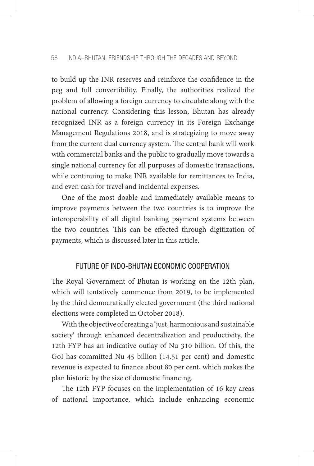to build up the INR reserves and reinforce the confidence in the peg and full convertibility. Finally, the authorities realized the problem of allowing a foreign currency to circulate along with the national currency. Considering this lesson, Bhutan has already recognized INR as a foreign currency in its Foreign Exchange Management Regulations 2018, and is strategizing to move away from the current dual currency system. The central bank will work with commercial banks and the public to gradually move towards a single national currency for all purposes of domestic transactions, while continuing to make INR available for remittances to India, and even cash for travel and incidental expenses.

One of the most doable and immediately available means to improve payments between the two countries is to improve the interoperability of all digital banking payment systems between the two countries. This can be effected through digitization of payments, which is discussed later in this article.

# FUTURE OF INDO-BHUTAN ECONOMIC COOPERATION

The Royal Government of Bhutan is working on the 12th plan, which will tentatively commence from 2019, to be implemented by the third democratically elected government (the third national elections were completed in October 2018).

With the objective of creating a 'just, harmonious and sustainable society' through enhanced decentralization and productivity, the 12th FYP has an indicative outlay of Nu 310 billion. Of this, the GoI has committed Nu 45 billion (14.51 per cent) and domestic revenue is expected to finance about 80 per cent, which makes the plan historic by the size of domestic financing.

The 12th FYP focuses on the implementation of 16 key areas of national importance, which include enhancing economic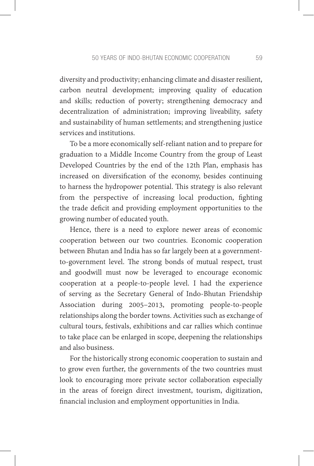diversity and productivity; enhancing climate and disaster resilient, carbon neutral development; improving quality of education and skills; reduction of poverty; strengthening democracy and decentralization of administration; improving liveability, safety and sustainability of human settlements; and strengthening justice services and institutions.

To be a more economically self-reliant nation and to prepare for graduation to a Middle Income Country from the group of Least Developed Countries by the end of the 12th Plan, emphasis has increased on diversification of the economy, besides continuing to harness the hydropower potential. This strategy is also relevant from the perspective of increasing local production, fighting the trade deficit and providing employment opportunities to the growing number of educated youth.

Hence, there is a need to explore newer areas of economic cooperation between our two countries. Economic cooperation between Bhutan and India has so far largely been at a governmentto-government level. The strong bonds of mutual respect, trust and goodwill must now be leveraged to encourage economic cooperation at a people-to-people level. I had the experience of serving as the Secretary General of Indo-Bhutan Friendship Association during 2005–2013, promoting people-to-people relationships along the border towns. Activities such as exchange of cultural tours, festivals, exhibitions and car rallies which continue to take place can be enlarged in scope, deepening the relationships and also business.

For the historically strong economic cooperation to sustain and to grow even further, the governments of the two countries must look to encouraging more private sector collaboration especially in the areas of foreign direct investment, tourism, digitization, financial inclusion and employment opportunities in India.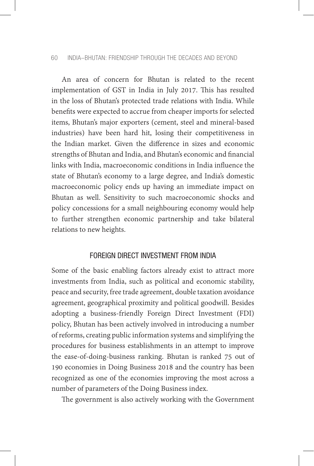#### 60 INDIA–BHUTAN: FRIENDSHIP THROUGH THE DECADES AND BEYOND

An area of concern for Bhutan is related to the recent implementation of GST in India in July 2017. This has resulted in the loss of Bhutan's protected trade relations with India. While benefits were expected to accrue from cheaper imports for selected items, Bhutan's major exporters (cement, steel and mineral-based industries) have been hard hit, losing their competitiveness in the Indian market. Given the difference in sizes and economic strengths of Bhutan and India, and Bhutan's economic and financial links with India, macroeconomic conditions in India influence the state of Bhutan's economy to a large degree, and India's domestic macroeconomic policy ends up having an immediate impact on Bhutan as well. Sensitivity to such macroeconomic shocks and policy concessions for a small neighbouring economy would help to further strengthen economic partnership and take bilateral relations to new heights.

### FOREIGN DIRECT INVESTMENT FROM INDIA

Some of the basic enabling factors already exist to attract more investments from India, such as political and economic stability, peace and security, free trade agreement, double taxation avoidance agreement, geographical proximity and political goodwill. Besides adopting a business-friendly Foreign Direct Investment (FDI) policy, Bhutan has been actively involved in introducing a number of reforms, creating public information systems and simplifying the procedures for business establishments in an attempt to improve the ease-of-doing-business ranking. Bhutan is ranked 75 out of 190 economies in Doing Business 2018 and the country has been recognized as one of the economies improving the most across a number of parameters of the Doing Business index.

The government is also actively working with the Government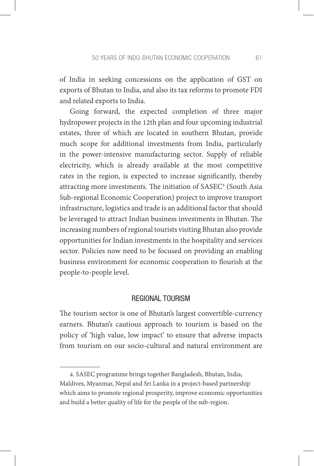of India in seeking concessions on the application of GST on exports of Bhutan to India, and also its tax reforms to promote FDI and related exports to India.

Going forward, the expected completion of three major hydropower projects in the 12th plan and four upcoming industrial estates, three of which are located in southern Bhutan, provide much scope for additional investments from India, particularly in the power-intensive manufacturing sector. Supply of reliable electricity, which is already available at the most competitive rates in the region, is expected to increase significantly, thereby attracting more investments. The initiation of SASEC<sup>4</sup> (South Asia Sub-regional Economic Cooperation) project to improve transport infrastructure, logistics and trade is an additional factor that should be leveraged to attract Indian business investments in Bhutan. The increasing numbers of regional tourists visiting Bhutan also provide opportunities for Indian investments in the hospitality and services sector. Policies now need to be focused on providing an enabling business environment for economic cooperation to flourish at the people-to-people level.

#### REGIONAL TOURISM

The tourism sector is one of Bhutan's largest convertible-currency earners. Bhutan's cautious approach to tourism is based on the policy of 'high value, low impact' to ensure that adverse impacts from tourism on our socio-cultural and natural environment are

<sup>4.</sup> SASEC programme brings together Bangladesh, Bhutan, India, Maldives, Myanmar, Nepal and Sri Lanka in a project-based partnership which aims to promote regional prosperity, improve economic opportunities and build a better quality of life for the people of the sub-region.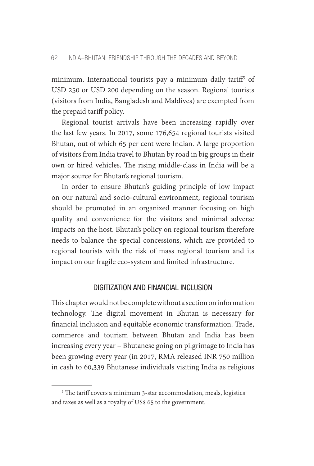minimum. International tourists pay a minimum daily tariff5 of USD 250 or USD 200 depending on the season. Regional tourists (visitors from India, Bangladesh and Maldives) are exempted from the prepaid tariff policy.

Regional tourist arrivals have been increasing rapidly over the last few years. In 2017, some 176,654 regional tourists visited Bhutan, out of which 65 per cent were Indian. A large proportion of visitors from India travel to Bhutan by road in big groups in their own or hired vehicles. The rising middle-class in India will be a major source for Bhutan's regional tourism.

In order to ensure Bhutan's guiding principle of low impact on our natural and socio-cultural environment, regional tourism should be promoted in an organized manner focusing on high quality and convenience for the visitors and minimal adverse impacts on the host. Bhutan's policy on regional tourism therefore needs to balance the special concessions, which are provided to regional tourists with the risk of mass regional tourism and its impact on our fragile eco-system and limited infrastructure.

## DIGITIZATION AND FINANCIAL INCLUSION

This chapter would not be complete without a section on information technology. The digital movement in Bhutan is necessary for financial inclusion and equitable economic transformation. Trade, commerce and tourism between Bhutan and India has been increasing every year – Bhutanese going on pilgrimage to India has been growing every year (in 2017, RMA released INR 750 million in cash to 60,339 Bhutanese individuals visiting India as religious

<sup>5</sup> The tariff covers a minimum 3-star accommodation, meals, logistics and taxes as well as a royalty of US\$ 65 to the government.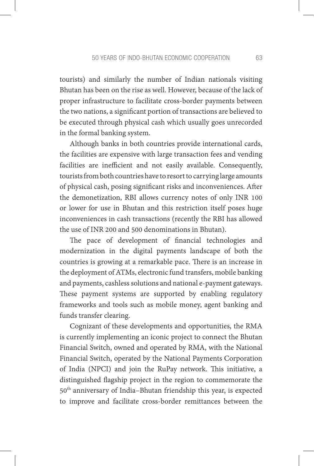tourists) and similarly the number of Indian nationals visiting Bhutan has been on the rise as well. However, because of the lack of proper infrastructure to facilitate cross-border payments between the two nations, a significant portion of transactions are believed to be executed through physical cash which usually goes unrecorded in the formal banking system.

Although banks in both countries provide international cards, the facilities are expensive with large transaction fees and vending facilities are inefficient and not easily available. Consequently, tourists from both countries have to resort to carrying large amounts of physical cash, posing significant risks and inconveniences. After the demonetization, RBI allows currency notes of only INR 100 or lower for use in Bhutan and this restriction itself poses huge inconveniences in cash transactions (recently the RBI has allowed the use of INR 200 and 500 denominations in Bhutan).

The pace of development of financial technologies and modernization in the digital payments landscape of both the countries is growing at a remarkable pace. There is an increase in the deployment of ATMs, electronic fund transfers, mobile banking and payments, cashless solutions and national e-payment gateways. These payment systems are supported by enabling regulatory frameworks and tools such as mobile money, agent banking and funds transfer clearing.

Cognizant of these developments and opportunities, the RMA is currently implementing an iconic project to connect the Bhutan Financial Switch, owned and operated by RMA, with the National Financial Switch, operated by the National Payments Corporation of India (NPCI) and join the RuPay network. This initiative, a distinguished flagship project in the region to commemorate the 50th anniversary of India–Bhutan friendship this year, is expected to improve and facilitate cross-border remittances between the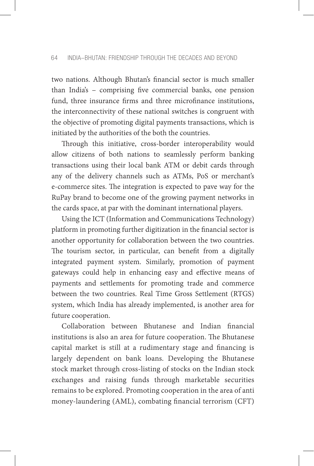two nations. Although Bhutan's financial sector is much smaller than India's – comprising five commercial banks, one pension fund, three insurance firms and three microfinance institutions, the interconnectivity of these national switches is congruent with the objective of promoting digital payments transactions, which is initiated by the authorities of the both the countries.

Through this initiative, cross-border interoperability would allow citizens of both nations to seamlessly perform banking transactions using their local bank ATM or debit cards through any of the delivery channels such as ATMs, PoS or merchant's e-commerce sites. The integration is expected to pave way for the RuPay brand to become one of the growing payment networks in the cards space, at par with the dominant international players.

Using the ICT (Information and Communications Technology) platform in promoting further digitization in the financial sector is another opportunity for collaboration between the two countries. The tourism sector, in particular, can benefit from a digitally integrated payment system. Similarly, promotion of payment gateways could help in enhancing easy and effective means of payments and settlements for promoting trade and commerce between the two countries. Real Time Gross Settlement (RTGS) system, which India has already implemented, is another area for future cooperation.

Collaboration between Bhutanese and Indian financial institutions is also an area for future cooperation. The Bhutanese capital market is still at a rudimentary stage and financing is largely dependent on bank loans. Developing the Bhutanese stock market through cross-listing of stocks on the Indian stock exchanges and raising funds through marketable securities remains to be explored. Promoting cooperation in the area of anti money-laundering (AML), combating financial terrorism (CFT)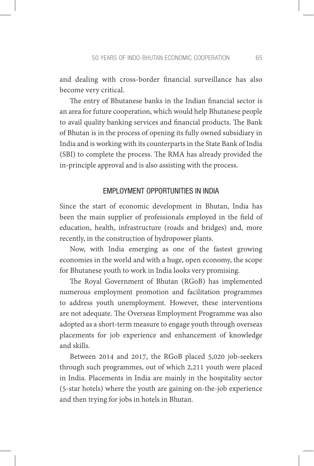and dealing with cross-border financial surveillance has also become very critical.

The entry of Bhutanese banks in the Indian financial sector is an area for future cooperation, which would help Bhutanese people to avail quality banking services and financial products. The Bank of Bhutan is in the process of opening its fully owned subsidiary in India and is working with its counterparts in the State Bank of India (SBI) to complete the process. The RMA has already provided the in-principle approval and is also assisting with the process.

## EMPLOYMENT OPPORTUNITIES IN INDIA

Since the start of economic development in Bhutan, India has been the main supplier of professionals employed in the field of education, health, infrastructure (roads and bridges) and, more recently, in the construction of hydropower plants.

Now, with India emerging as one of the fastest growing economies in the world and with a huge, open economy, the scope for Bhutanese youth to work in India looks very promising.

The Royal Government of Bhutan (RGoB) has implemented numerous employment promotion and facilitation programmes to address youth unemployment. However, these interventions are not adequate. The Overseas Employment Programme was also adopted as a short-term measure to engage youth through overseas placements for job experience and enhancement of knowledge and skills.

Between 2014 and 2017, the RGoB placed 5,020 job-seekers through such programmes, out of which 2,211 youth were placed in India. Placements in India are mainly in the hospitality sector (5-star hotels) where the youth are gaining on-the-job experience and then trying for jobs in hotels in Bhutan.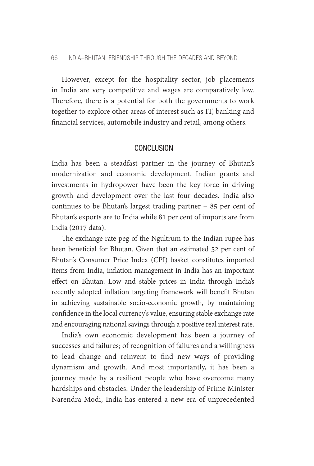#### 66 INDIA–BHUTAN: FRIENDSHIP THROUGH THE DECADES AND BEYOND

However, except for the hospitality sector, job placements in India are very competitive and wages are comparatively low. Therefore, there is a potential for both the governments to work together to explore other areas of interest such as IT, banking and financial services, automobile industry and retail, among others.

## CONCLUSION

India has been a steadfast partner in the journey of Bhutan's modernization and economic development. Indian grants and investments in hydropower have been the key force in driving growth and development over the last four decades. India also continues to be Bhutan's largest trading partner – 85 per cent of Bhutan's exports are to India while 81 per cent of imports are from India (2017 data).

The exchange rate peg of the Ngultrum to the Indian rupee has been beneficial for Bhutan. Given that an estimated 52 per cent of Bhutan's Consumer Price Index (CPI) basket constitutes imported items from India, inflation management in India has an important effect on Bhutan. Low and stable prices in India through India's recently adopted inflation targeting framework will benefit Bhutan in achieving sustainable socio-economic growth, by maintaining confidence in the local currency's value, ensuring stable exchange rate and encouraging national savings through a positive real interest rate.

India's own economic development has been a journey of successes and failures; of recognition of failures and a willingness to lead change and reinvent to find new ways of providing dynamism and growth. And most importantly, it has been a journey made by a resilient people who have overcome many hardships and obstacles. Under the leadership of Prime Minister Narendra Modi, India has entered a new era of unprecedented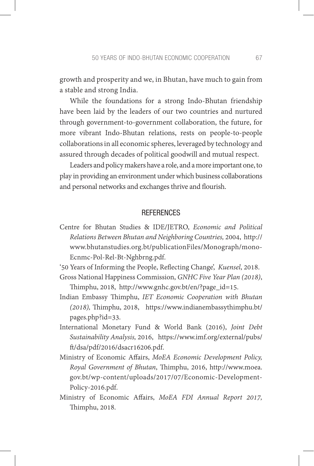growth and prosperity and we, in Bhutan, have much to gain from a stable and strong India.

While the foundations for a strong Indo-Bhutan friendship have been laid by the leaders of our two countries and nurtured through government-to-government collaboration, the future, for more vibrant Indo-Bhutan relations, rests on people-to-people collaborations in all economic spheres, leveraged by technology and assured through decades of political goodwill and mutual respect.

Leaders and policy makers have a role, and a more important one, to play in providing an environment under which business collaborations and personal networks and exchanges thrive and flourish.

## **REFERENCES**

Centre for Bhutan Studies & IDE/JETRO, *Economic and Political Relations Between Bhutan and Neighboring Countries,* 2004, http:// www.bhutanstudies.org.bt/publicationFiles/Monograph/mono-Ecnmc-Pol-Rel-Bt-Nghbrng.pdf.

'50 Years of Informing the People, Reflecting Change', *Kuensel*, 2018. Gross National Happiness Commission, *GNHC Five Year Plan (2018)*,

Thimphu, 2018, http://www.gnhc.gov.bt/en/?page\_id=15.

Indian Embassy Thimphu, *IET Economic Cooperation with Bhutan (2018),* Thimphu, 2018, https://www.indianembassythimphu.bt/ pages.php?id=33.

- International Monetary Fund & World Bank (2016), *Joint Debt Sustainability Analysis,* 2016, https://www.imf.org/external/pubs/ ft/dsa/pdf/2016/dsacr16206.pdf.
- Ministry of Economic Affairs, *MoEA Economic Development Policy, Royal Government of Bhutan*, Thimphu, 2016, http://www.moea. gov.bt/wp-content/uploads/2017/07/Economic-Development-Policy-2016.pdf.
- Ministry of Economic Affairs, *MoEA FDI Annual Report 2017,* Thimphu, 2018.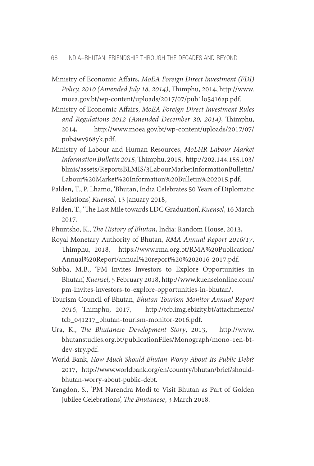- Ministry of Economic Affairs, *MoEA Foreign Direct Investment (FDI) Policy, 2010 (Amended July 18, 2014)*, Thimphu, 2014, http://www. moea.gov.bt/wp-content/uploads/2017/07/pub1lo5416ap.pdf.
- Ministry of Economic Affairs, *MoEA Foreign Direct Investment Rules and Regulations 2012 (Amended December 30, 2014)*, Thimphu, 2014, http://www.moea.gov.bt/wp-content/uploads/2017/07/ pub4wv968yk.pdf.
- Ministry of Labour and Human Resources, *MoLHR Labour Market Information Bulletin 2015*, Thimphu, 2015, http://202.144.155.103/ blmis/assets/ReportsBLMIS/3LabourMarketInformationBulletin/ Labour%20Market%20Information%20Bulletin%202015.pdf.
- Palden, T., P. Lhamo, 'Bhutan, India Celebrates 50 Years of Diplomatic Relations', *Kuensel*, 13 January 2018,
- Palden, T., 'The Last Mile towards LDC Graduation', *Kuensel*, 16 March 2017.
- Phuntsho, K., *The History of Bhutan*, India: Random House, 2013,

Royal Monetary Authority of Bhutan, *RMA Annual Report 2016/17*, Thimphu, 2018, https://www.rma.org.bt/RMA%20Publication/ Annual%20Report/annual%20report%20%202016-2017.pdf.

- Subba, M.B., 'PM Invites Investors to Explore Opportunities in Bhutan', *Kuensel*, 5 February 2018, http://www.kuenselonline.com/ pm-invites-investors-to-explore-opportunities-in-bhutan/.
- Tourism Council of Bhutan, *Bhutan Tourism Monitor Annual Report 2016*, Thimphu, 2017, http://tcb.img.ebizity.bt/attachments/ tcb\_041217\_bhutan-tourism-monitor-2016.pdf.
- Ura, K., *The Bhutanese Development Story*, 2013, http://www. bhutanstudies.org.bt/publicationFiles/Monograph/mono-1en-btdev-stry.pdf.
- World Bank, *How Much Should Bhutan Worry About Its Public Debt?* 2017, http://www.worldbank.org/en/country/bhutan/brief/shouldbhutan-worry-about-public-debt.
- Yangdon, S., 'PM Narendra Modi to Visit Bhutan as Part of Golden Jubilee Celebrations', *The Bhutanese*, 3 March 2018.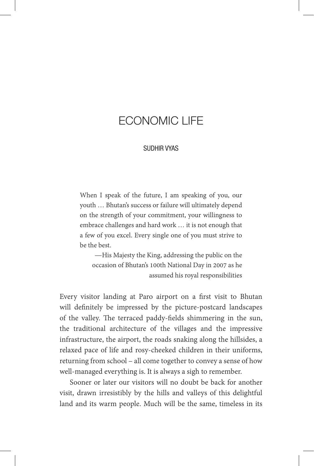## ECONOMIC LIFE

## SUDHIR VYAS

When I speak of the future, I am speaking of you, our youth … Bhutan's success or failure will ultimately depend on the strength of your commitment, your willingness to embrace challenges and hard work … it is not enough that a few of you excel. Every single one of you must strive to be the best.

—His Majesty the King, addressing the public on the occasion of Bhutan's 100th National Day in 2007 as he assumed his royal responsibilities

Every visitor landing at Paro airport on a first visit to Bhutan will definitely be impressed by the picture-postcard landscapes of the valley. The terraced paddy-fields shimmering in the sun, the traditional architecture of the villages and the impressive infrastructure, the airport, the roads snaking along the hillsides, a relaxed pace of life and rosy-cheeked children in their uniforms, returning from school – all come together to convey a sense of how well-managed everything is. It is always a sigh to remember.

Sooner or later our visitors will no doubt be back for another visit, drawn irresistibly by the hills and valleys of this delightful land and its warm people. Much will be the same, timeless in its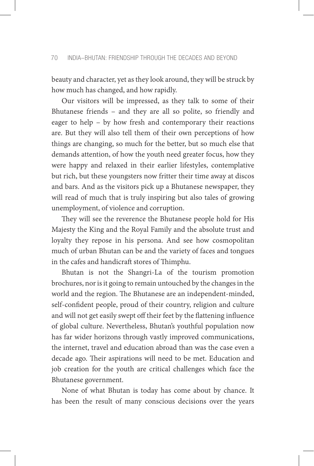beauty and character, yet as they look around, they will be struck by how much has changed, and how rapidly.

Our visitors will be impressed, as they talk to some of their Bhutanese friends – and they are all so polite, so friendly and eager to help – by how fresh and contemporary their reactions are. But they will also tell them of their own perceptions of how things are changing, so much for the better, but so much else that demands attention, of how the youth need greater focus, how they were happy and relaxed in their earlier lifestyles, contemplative but rich, but these youngsters now fritter their time away at discos and bars. And as the visitors pick up a Bhutanese newspaper, they will read of much that is truly inspiring but also tales of growing unemployment, of violence and corruption.

They will see the reverence the Bhutanese people hold for His Majesty the King and the Royal Family and the absolute trust and loyalty they repose in his persona. And see how cosmopolitan much of urban Bhutan can be and the variety of faces and tongues in the cafes and handicraft stores of Thimphu.

Bhutan is not the Shangri-La of the tourism promotion brochures, nor is it going to remain untouched by the changes in the world and the region. The Bhutanese are an independent-minded, self-confident people, proud of their country, religion and culture and will not get easily swept off their feet by the flattening influence of global culture. Nevertheless, Bhutan's youthful population now has far wider horizons through vastly improved communications, the internet, travel and education abroad than was the case even a decade ago. Their aspirations will need to be met. Education and job creation for the youth are critical challenges which face the Bhutanese government.

None of what Bhutan is today has come about by chance. It has been the result of many conscious decisions over the years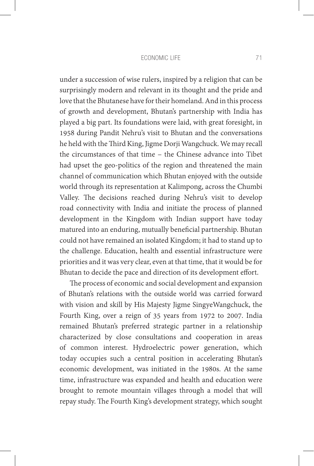#### economic Life 71

under a succession of wise rulers, inspired by a religion that can be surprisingly modern and relevant in its thought and the pride and love that the Bhutanese have for their homeland. And in this process of growth and development, Bhutan's partnership with India has played a big part. Its foundations were laid, with great foresight, in 1958 during Pandit Nehru's visit to Bhutan and the conversations he held with the Third King, Jigme Dorji Wangchuck. We may recall the circumstances of that time – the Chinese advance into Tibet had upset the geo-politics of the region and threatened the main channel of communication which Bhutan enjoyed with the outside world through its representation at Kalimpong, across the Chumbi Valley. The decisions reached during Nehru's visit to develop road connectivity with India and initiate the process of planned development in the Kingdom with Indian support have today matured into an enduring, mutually beneficial partnership. Bhutan could not have remained an isolated Kingdom; it had to stand up to the challenge. Education, health and essential infrastructure were priorities and it was very clear, even at that time, that it would be for Bhutan to decide the pace and direction of its development effort.

The process of economic and social development and expansion of Bhutan's relations with the outside world was carried forward with vision and skill by His Majesty Jigme SingyeWangchuck, the Fourth King, over a reign of 35 years from 1972 to 2007. India remained Bhutan's preferred strategic partner in a relationship characterized by close consultations and cooperation in areas of common interest. Hydroelectric power generation, which today occupies such a central position in accelerating Bhutan's economic development, was initiated in the 1980s. At the same time, infrastructure was expanded and health and education were brought to remote mountain villages through a model that will repay study. The Fourth King's development strategy, which sought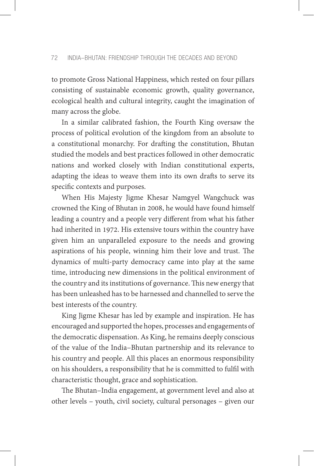to promote Gross National Happiness, which rested on four pillars consisting of sustainable economic growth, quality governance, ecological health and cultural integrity, caught the imagination of many across the globe.

In a similar calibrated fashion, the Fourth King oversaw the process of political evolution of the kingdom from an absolute to a constitutional monarchy. For drafting the constitution, Bhutan studied the models and best practices followed in other democratic nations and worked closely with Indian constitutional experts, adapting the ideas to weave them into its own drafts to serve its specific contexts and purposes.

When His Majesty Jigme Khesar Namgyel Wangchuck was crowned the King of Bhutan in 2008, he would have found himself leading a country and a people very different from what his father had inherited in 1972. His extensive tours within the country have given him an unparalleled exposure to the needs and growing aspirations of his people, winning him their love and trust. The dynamics of multi-party democracy came into play at the same time, introducing new dimensions in the political environment of the country and its institutions of governance. This new energy that has been unleashed has to be harnessed and channelled to serve the best interests of the country.

King Jigme Khesar has led by example and inspiration. He has encouraged and supported the hopes, processes and engagements of the democratic dispensation. As King, he remains deeply conscious of the value of the India–Bhutan partnership and its relevance to his country and people. All this places an enormous responsibility on his shoulders, a responsibility that he is committed to fulfil with characteristic thought, grace and sophistication.

The Bhutan–India engagement, at government level and also at other levels – youth, civil society, cultural personages – given our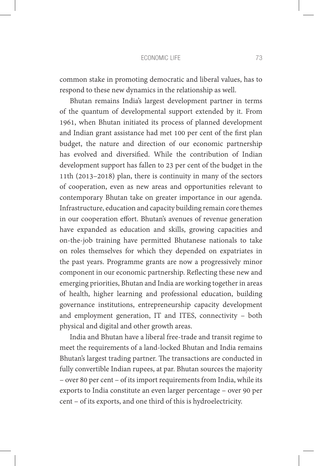#### economic Life 73

common stake in promoting democratic and liberal values, has to respond to these new dynamics in the relationship as well.

Bhutan remains India's largest development partner in terms of the quantum of developmental support extended by it. From 1961, when Bhutan initiated its process of planned development and Indian grant assistance had met 100 per cent of the first plan budget, the nature and direction of our economic partnership has evolved and diversified. While the contribution of Indian development support has fallen to 23 per cent of the budget in the 11th (2013–2018) plan, there is continuity in many of the sectors of cooperation, even as new areas and opportunities relevant to contemporary Bhutan take on greater importance in our agenda. Infrastructure, education and capacity building remain core themes in our cooperation effort. Bhutan's avenues of revenue generation have expanded as education and skills, growing capacities and on-the-job training have permitted Bhutanese nationals to take on roles themselves for which they depended on expatriates in the past years. Programme grants are now a progressively minor component in our economic partnership. Reflecting these new and emerging priorities, Bhutan and India are working together in areas of health, higher learning and professional education, building governance institutions, entrepreneurship capacity development and employment generation, IT and ITES, connectivity – both physical and digital and other growth areas.

India and Bhutan have a liberal free-trade and transit regime to meet the requirements of a land-locked Bhutan and India remains Bhutan's largest trading partner. The transactions are conducted in fully convertible Indian rupees, at par. Bhutan sources the majority – over 80 per cent – of its import requirements from India, while its exports to India constitute an even larger percentage – over 90 per cent – of its exports, and one third of this is hydroelectricity.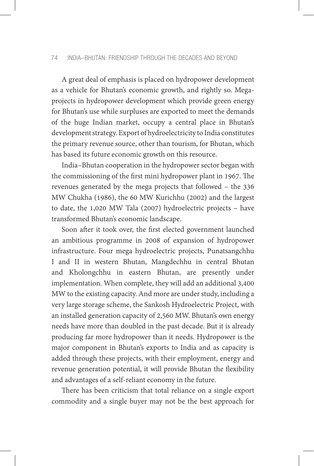A great deal of emphasis is placed on hydropower development as a vehicle for Bhutan's economic growth, and rightly so. Megaprojects in hydropower development which provide green energy for Bhutan's use while surpluses are exported to meet the demands of the huge Indian market, occupy a central place in Bhutan's development strategy. Export of hydroelectricity to India constitutes the primary revenue source, other than tourism, for Bhutan, which has based its future economic growth on this resource.

India–Bhutan cooperation in the hydropower sector began with the commissioning of the first mini hydropower plant in 1967. The revenues generated by the mega projects that followed – the 336 MW Chukha (1986), the 60 MW Kurichhu (2002) and the largest to date, the 1,020 MW Tala (2007) hydroelectric projects – have transformed Bhutan's economic landscape.

Soon after it took over, the first elected government launched an ambitious programme in 2008 of expansion of hydropower infrastructure. Four mega hydroelectric projects, Punatsangchhu I and II in western Bhutan, Mangdechhu in central Bhutan and Kholongchhu in eastern Bhutan, are presently under implementation. When complete, they will add an additional 3,400 MW to the existing capacity. And more are under study, including a very large storage scheme, the Sankosh Hydroelectric Project, with an installed generation capacity of 2,560 MW. Bhutan's own energy needs have more than doubled in the past decade. But it is already producing far more hydropower than it needs. Hydropower is the major component in Bhutan's exports to India and as capacity is added through these projects, with their employment, energy and revenue generation potential, it will provide Bhutan the flexibility and advantages of a self-reliant economy in the future.

There has been criticism that total reliance on a single export commodity and a single buyer may not be the best approach for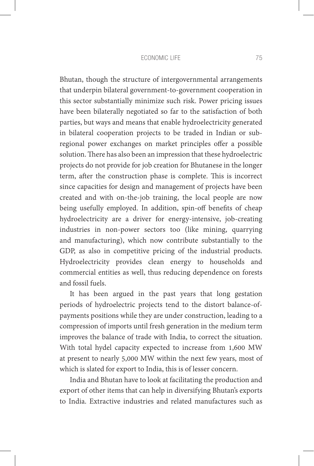#### economic Life 75

Bhutan, though the structure of intergovernmental arrangements that underpin bilateral government-to-government cooperation in this sector substantially minimize such risk. Power pricing issues have been bilaterally negotiated so far to the satisfaction of both parties, but ways and means that enable hydroelectricity generated in bilateral cooperation projects to be traded in Indian or subregional power exchanges on market principles offer a possible solution. There has also been an impression that these hydroelectric projects do not provide for job creation for Bhutanese in the longer term, after the construction phase is complete. This is incorrect since capacities for design and management of projects have been created and with on-the-job training, the local people are now being usefully employed. In addition, spin-off benefits of cheap hydroelectricity are a driver for energy-intensive, job-creating industries in non-power sectors too (like mining, quarrying and manufacturing), which now contribute substantially to the GDP, as also in competitive pricing of the industrial products. Hydroelectricity provides clean energy to households and commercial entities as well, thus reducing dependence on forests and fossil fuels.

It has been argued in the past years that long gestation periods of hydroelectric projects tend to the distort balance-ofpayments positions while they are under construction, leading to a compression of imports until fresh generation in the medium term improves the balance of trade with India, to correct the situation. With total hydel capacity expected to increase from 1,600 MW at present to nearly 5,000 MW within the next few years, most of which is slated for export to India, this is of lesser concern.

India and Bhutan have to look at facilitating the production and export of other items that can help in diversifying Bhutan's exports to India. Extractive industries and related manufactures such as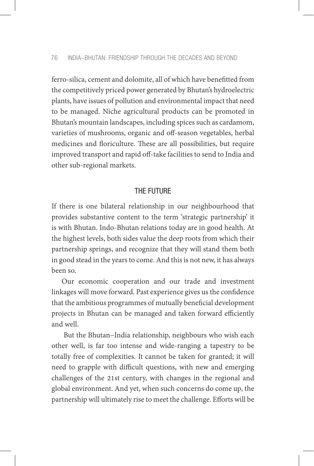ferro-silica, cement and dolomite, all of which have benefitted from the competitively priced power generated by Bhutan's hydroelectric plants, have issues of pollution and environmental impact that need to be managed. Niche agricultural products can be promoted in Bhutan's mountain landscapes, including spices such as cardamom, varieties of mushrooms, organic and off-season vegetables, herbal medicines and floriculture. These are all possibilities, but require improved transport and rapid off-take facilities to send to India and other sub-regional markets.

## THE FUTURE

If there is one bilateral relationship in our neighbourhood that provides substantive content to the term 'strategic partnership' it is with Bhutan. Indo-Bhutan relations today are in good health. At the highest levels, both sides value the deep roots from which their partnership springs, and recognize that they will stand them both in good stead in the years to come. And this is not new, it has always been so.

Our economic cooperation and our trade and investment linkages will move forward. Past experience gives us the confidence that the ambitious programmes of mutually beneficial development projects in Bhutan can be managed and taken forward efficiently and well.

 But the Bhutan–India relationship, neighbours who wish each other well, is far too intense and wide-ranging a tapestry to be totally free of complexities. It cannot be taken for granted; it will need to grapple with difficult questions, with new and emerging challenges of the 21st century, with changes in the regional and global environment. And yet, when such concerns do come up, the partnership will ultimately rise to meet the challenge. Efforts will be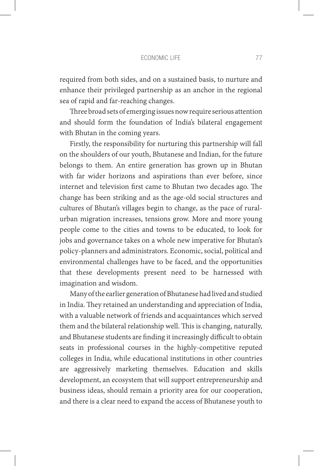#### economic Life 77

required from both sides, and on a sustained basis, to nurture and enhance their privileged partnership as an anchor in the regional sea of rapid and far-reaching changes.

Three broad sets of emerging issues now require serious attention and should form the foundation of India's bilateral engagement with Bhutan in the coming years.

Firstly, the responsibility for nurturing this partnership will fall on the shoulders of our youth, Bhutanese and Indian, for the future belongs to them. An entire generation has grown up in Bhutan with far wider horizons and aspirations than ever before, since internet and television first came to Bhutan two decades ago. The change has been striking and as the age-old social structures and cultures of Bhutan's villages begin to change, as the pace of ruralurban migration increases, tensions grow. More and more young people come to the cities and towns to be educated, to look for jobs and governance takes on a whole new imperative for Bhutan's policy-planners and administrators. Economic, social, political and environmental challenges have to be faced, and the opportunities that these developments present need to be harnessed with imagination and wisdom.

Many of the earlier generation of Bhutanese had lived and studied in India. They retained an understanding and appreciation of India, with a valuable network of friends and acquaintances which served them and the bilateral relationship well. This is changing, naturally, and Bhutanese students are finding it increasingly difficult to obtain seats in professional courses in the highly-competitive reputed colleges in India, while educational institutions in other countries are aggressively marketing themselves. Education and skills development, an ecosystem that will support entrepreneurship and business ideas, should remain a priority area for our cooperation, and there is a clear need to expand the access of Bhutanese youth to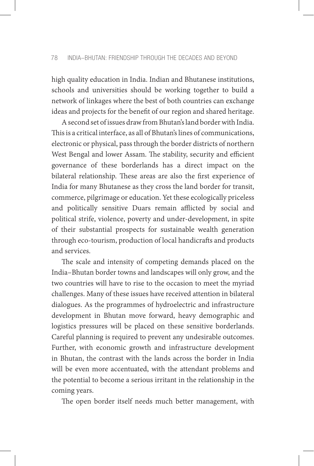high quality education in India. Indian and Bhutanese institutions, schools and universities should be working together to build a network of linkages where the best of both countries can exchange ideas and projects for the benefit of our region and shared heritage.

A second set of issues draw from Bhutan's land border with India. This is a critical interface, as all of Bhutan's lines of communications, electronic or physical, pass through the border districts of northern West Bengal and lower Assam. The stability, security and efficient governance of these borderlands has a direct impact on the bilateral relationship. These areas are also the first experience of India for many Bhutanese as they cross the land border for transit, commerce, pilgrimage or education. Yet these ecologically priceless and politically sensitive Duars remain afflicted by social and political strife, violence, poverty and under-development, in spite of their substantial prospects for sustainable wealth generation through eco-tourism, production of local handicrafts and products and services.

The scale and intensity of competing demands placed on the India–Bhutan border towns and landscapes will only grow, and the two countries will have to rise to the occasion to meet the myriad challenges. Many of these issues have received attention in bilateral dialogues. As the programmes of hydroelectric and infrastructure development in Bhutan move forward, heavy demographic and logistics pressures will be placed on these sensitive borderlands. Careful planning is required to prevent any undesirable outcomes. Further, with economic growth and infrastructure development in Bhutan, the contrast with the lands across the border in India will be even more accentuated, with the attendant problems and the potential to become a serious irritant in the relationship in the coming years.

The open border itself needs much better management, with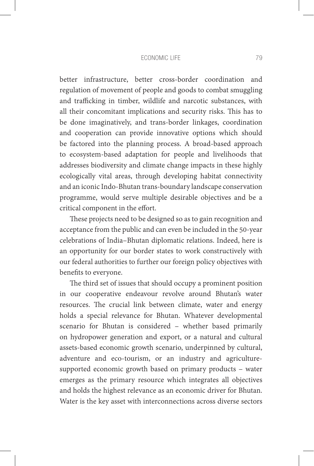#### economic Life 79

better infrastructure, better cross-border coordination and regulation of movement of people and goods to combat smuggling and trafficking in timber, wildlife and narcotic substances, with all their concomitant implications and security risks. This has to be done imaginatively, and trans-border linkages, coordination and cooperation can provide innovative options which should be factored into the planning process. A broad-based approach to ecosystem-based adaptation for people and livelihoods that addresses biodiversity and climate change impacts in these highly ecologically vital areas, through developing habitat connectivity and an iconic Indo-Bhutan trans-boundary landscape conservation programme, would serve multiple desirable objectives and be a critical component in the effort.

These projects need to be designed so as to gain recognition and acceptance from the public and can even be included in the 50-year celebrations of India–Bhutan diplomatic relations. Indeed, here is an opportunity for our border states to work constructively with our federal authorities to further our foreign policy objectives with benefits to everyone.

The third set of issues that should occupy a prominent position in our cooperative endeavour revolve around Bhutan's water resources. The crucial link between climate, water and energy holds a special relevance for Bhutan. Whatever developmental scenario for Bhutan is considered – whether based primarily on hydropower generation and export, or a natural and cultural assets-based economic growth scenario, underpinned by cultural, adventure and eco-tourism, or an industry and agriculturesupported economic growth based on primary products – water emerges as the primary resource which integrates all objectives and holds the highest relevance as an economic driver for Bhutan. Water is the key asset with interconnections across diverse sectors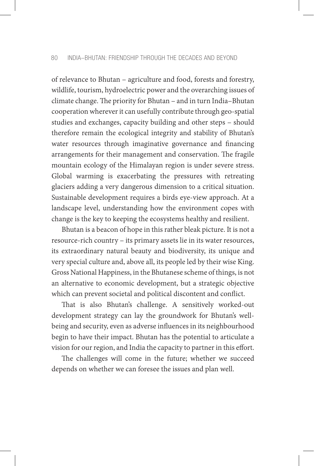of relevance to Bhutan – agriculture and food, forests and forestry, wildlife, tourism, hydroelectric power and the overarching issues of climate change. The priority for Bhutan – and in turn India–Bhutan cooperation wherever it can usefully contribute through geo-spatial studies and exchanges, capacity building and other steps – should therefore remain the ecological integrity and stability of Bhutan's water resources through imaginative governance and financing arrangements for their management and conservation. The fragile mountain ecology of the Himalayan region is under severe stress. Global warming is exacerbating the pressures with retreating glaciers adding a very dangerous dimension to a critical situation. Sustainable development requires a birds eye-view approach. At a landscape level, understanding how the environment copes with change is the key to keeping the ecosystems healthy and resilient.

Bhutan is a beacon of hope in this rather bleak picture. It is not a resource-rich country – its primary assets lie in its water resources, its extraordinary natural beauty and biodiversity, its unique and very special culture and, above all, its people led by their wise King. Gross National Happiness, in the Bhutanese scheme of things, is not an alternative to economic development, but a strategic objective which can prevent societal and political discontent and conflict.

That is also Bhutan's challenge. A sensitively worked-out development strategy can lay the groundwork for Bhutan's wellbeing and security, even as adverse influences in its neighbourhood begin to have their impact. Bhutan has the potential to articulate a vision for our region, and India the capacity to partner in this effort.

The challenges will come in the future; whether we succeed depends on whether we can foresee the issues and plan well.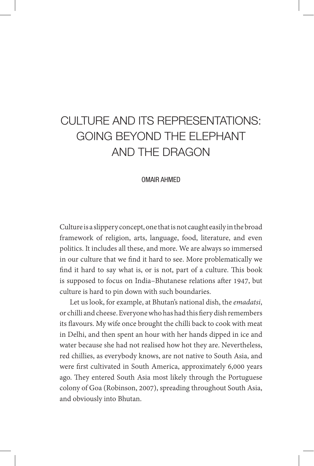# CULTURE AND ITS REPRESENTATIONS: GOING BEYOND THE ELEPHANT AND THE DRAGON

#### OMAIR AHMED

Culture is a slippery concept, one that is not caught easily in the broad framework of religion, arts, language, food, literature, and even politics. It includes all these, and more. We are always so immersed in our culture that we find it hard to see. More problematically we find it hard to say what is, or is not, part of a culture. This book is supposed to focus on India–Bhutanese relations after 1947, but culture is hard to pin down with such boundaries.

Let us look, for example, at Bhutan's national dish, the *emadatsi*, or chilli and cheese. Everyone who has had this fiery dish remembers its flavours. My wife once brought the chilli back to cook with meat in Delhi, and then spent an hour with her hands dipped in ice and water because she had not realised how hot they are. Nevertheless, red chillies, as everybody knows, are not native to South Asia, and were first cultivated in South America, approximately 6,000 years ago. They entered South Asia most likely through the Portuguese colony of Goa (Robinson, 2007), spreading throughout South Asia, and obviously into Bhutan.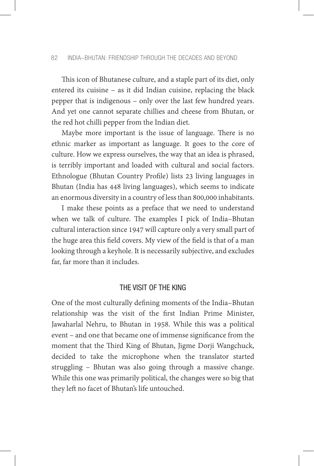This icon of Bhutanese culture, and a staple part of its diet, only entered its cuisine – as it did Indian cuisine, replacing the black pepper that is indigenous – only over the last few hundred years. And yet one cannot separate chillies and cheese from Bhutan, or the red hot chilli pepper from the Indian diet.

Maybe more important is the issue of language. There is no ethnic marker as important as language. It goes to the core of culture. How we express ourselves, the way that an idea is phrased, is terribly important and loaded with cultural and social factors. Ethnologue (Bhutan Country Profile) lists 23 living languages in Bhutan (India has 448 living languages), which seems to indicate an enormous diversity in a country of less than 800,000 inhabitants.

I make these points as a preface that we need to understand when we talk of culture. The examples I pick of India–Bhutan cultural interaction since 1947 will capture only a very small part of the huge area this field covers. My view of the field is that of a man looking through a keyhole. It is necessarily subjective, and excludes far, far more than it includes.

## THE VISIT OF THE KING

One of the most culturally defining moments of the India–Bhutan relationship was the visit of the first Indian Prime Minister, Jawaharlal Nehru, to Bhutan in 1958. While this was a political event – and one that became one of immense significance from the moment that the Third King of Bhutan, Jigme Dorji Wangchuck, decided to take the microphone when the translator started struggling – Bhutan was also going through a massive change. While this one was primarily political, the changes were so big that they left no facet of Bhutan's life untouched.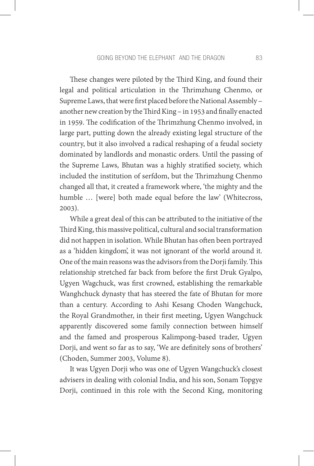These changes were piloted by the Third King, and found their legal and political articulation in the Thrimzhung Chenmo, or Supreme Laws, that were first placed before the National Assembly – another new creation by the Third King – in 1953 and finally enacted in 1959. The codification of the Thrimzhung Chenmo involved, in large part, putting down the already existing legal structure of the country, but it also involved a radical reshaping of a feudal society dominated by landlords and monastic orders. Until the passing of the Supreme Laws, Bhutan was a highly stratified society, which included the institution of serfdom, but the Thrimzhung Chenmo changed all that, it created a framework where, 'the mighty and the humble ... [were] both made equal before the law' (Whitecross, 2003).

While a great deal of this can be attributed to the initiative of the Third King, this massive political, cultural and social transformation did not happen in isolation. While Bhutan has often been portrayed as a 'hidden kingdom', it was not ignorant of the world around it. One of the main reasons was the advisors from the Dorji family. This relationship stretched far back from before the first Druk Gyalpo, Ugyen Wagchuck, was first crowned, establishing the remarkable Wanghchuck dynasty that has steered the fate of Bhutan for more than a century. According to Ashi Kesang Choden Wangchuck, the Royal Grandmother, in their first meeting, Ugyen Wangchuck apparently discovered some family connection between himself and the famed and prosperous Kalimpong-based trader, Ugyen Dorji, and went so far as to say, 'We are definitely sons of brothers' (Choden, Summer 2003, Volume 8).

It was Ugyen Dorji who was one of Ugyen Wangchuck's closest advisers in dealing with colonial India, and his son, Sonam Topgye Dorji, continued in this role with the Second King, monitoring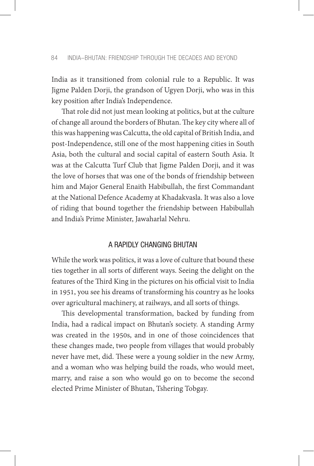India as it transitioned from colonial rule to a Republic. It was Jigme Palden Dorji, the grandson of Ugyen Dorji, who was in this key position after India's Independence.

That role did not just mean looking at politics, but at the culture of change all around the borders of Bhutan. The key city where all of this was happening was Calcutta, the old capital of British India, and post-Independence, still one of the most happening cities in South Asia, both the cultural and social capital of eastern South Asia. It was at the Calcutta Turf Club that Jigme Palden Dorji, and it was the love of horses that was one of the bonds of friendship between him and Major General Enaith Habibullah, the first Commandant at the National Defence Academy at Khadakvasla. It was also a love of riding that bound together the friendship between Habibullah and India's Prime Minister, Jawaharlal Nehru.

## A RAPIDLY CHANGING BHUTAN

While the work was politics, it was a love of culture that bound these ties together in all sorts of different ways. Seeing the delight on the features of the Third King in the pictures on his official visit to India in 1951, you see his dreams of transforming his country as he looks over agricultural machinery, at railways, and all sorts of things.

This developmental transformation, backed by funding from India, had a radical impact on Bhutan's society. A standing Army was created in the 1950s, and in one of those coincidences that these changes made, two people from villages that would probably never have met, did. These were a young soldier in the new Army, and a woman who was helping build the roads, who would meet, marry, and raise a son who would go on to become the second elected Prime Minister of Bhutan, Tshering Tobgay.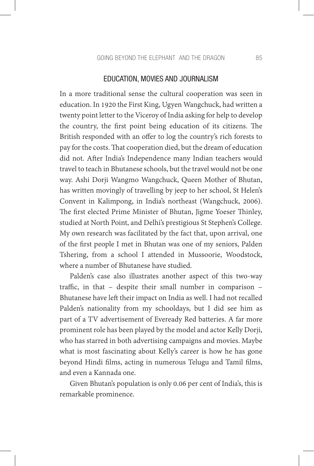#### EDUCATION, MOVIES AND JOURNALISM

In a more traditional sense the cultural cooperation was seen in education. In 1920 the First King, Ugyen Wangchuck, had written a twenty point letter to the Viceroy of India asking for help to develop the country, the first point being education of its citizens. The British responded with an offer to log the country's rich forests to pay for the costs. That cooperation died, but the dream of education did not. After India's Independence many Indian teachers would travel to teach in Bhutanese schools, but the travel would not be one way. Ashi Dorji Wangmo Wangchuck, Queen Mother of Bhutan, has written movingly of travelling by jeep to her school, St Helen's Convent in Kalimpong, in India's northeast (Wangchuck, 2006). The first elected Prime Minister of Bhutan, Jigme Yoeser Thinley, studied at North Point, and Delhi's prestigious St Stephen's College. My own research was facilitated by the fact that, upon arrival, one of the first people I met in Bhutan was one of my seniors, Palden Tshering, from a school I attended in Mussoorie, Woodstock, where a number of Bhutanese have studied.

Palden's case also illustrates another aspect of this two-way traffic, in that – despite their small number in comparison – Bhutanese have left their impact on India as well. I had not recalled Palden's nationality from my schooldays, but I did see him as part of a TV advertisement of Eveready Red batteries. A far more prominent role has been played by the model and actor Kelly Dorji, who has starred in both advertising campaigns and movies. Maybe what is most fascinating about Kelly's career is how he has gone beyond Hindi films, acting in numerous Telugu and Tamil films, and even a Kannada one.

Given Bhutan's population is only 0.06 per cent of India's, this is remarkable prominence.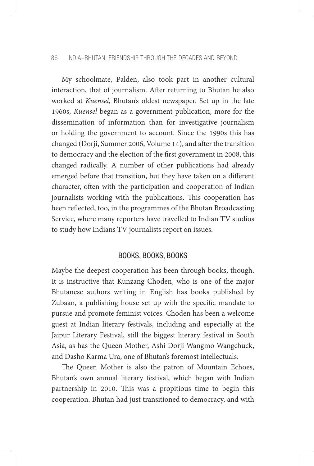#### 86 INDIA–BHUTAN: FRIENDSHIP THROUGH THE DECADES AND BEYOND

My schoolmate, Palden, also took part in another cultural interaction, that of journalism. After returning to Bhutan he also worked at *Kuensel*, Bhutan's oldest newspaper. Set up in the late 1960s, *Kuensel* began as a government publication, more for the dissemination of information than for investigative journalism or holding the government to account. Since the 1990s this has changed (Dorji, Summer 2006, Volume 14), and after the transition to democracy and the election of the first government in 2008, this changed radically. A number of other publications had already emerged before that transition, but they have taken on a different character, often with the participation and cooperation of Indian journalists working with the publications. This cooperation has been reflected, too, in the programmes of the Bhutan Broadcasting Service, where many reporters have travelled to Indian TV studios to study how Indians TV journalists report on issues.

## BOOKS, BOOKS, BOOKS

Maybe the deepest cooperation has been through books, though. It is instructive that Kunzang Choden, who is one of the major Bhutanese authors writing in English has books published by Zubaan, a publishing house set up with the specific mandate to pursue and promote feminist voices. Choden has been a welcome guest at Indian literary festivals, including and especially at the Jaipur Literary Festival, still the biggest literary festival in South Asia, as has the Queen Mother, Ashi Dorji Wangmo Wangchuck, and Dasho Karma Ura, one of Bhutan's foremost intellectuals.

The Queen Mother is also the patron of Mountain Echoes, Bhutan's own annual literary festival, which began with Indian partnership in 2010. This was a propitious time to begin this cooperation. Bhutan had just transitioned to democracy, and with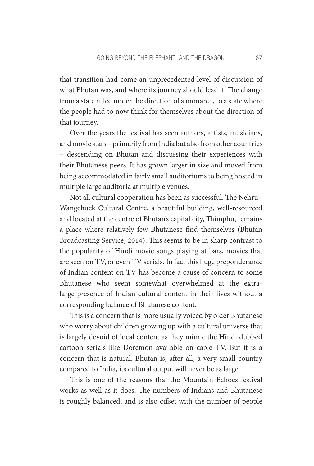that transition had come an unprecedented level of discussion of what Bhutan was, and where its journey should lead it. The change from a state ruled under the direction of a monarch, to a state where the people had to now think for themselves about the direction of that journey.

Over the years the festival has seen authors, artists, musicians, and movie stars – primarily from India but also from other countries – descending on Bhutan and discussing their experiences with their Bhutanese peers. It has grown larger in size and moved from being accommodated in fairly small auditoriums to being hosted in multiple large auditoria at multiple venues.

Not all cultural cooperation has been as successful. The Nehru– Wangchuck Cultural Centre, a beautiful building, well-resourced and located at the centre of Bhutan's capital city, Thimphu, remains a place where relatively few Bhutanese find themselves (Bhutan Broadcasting Service, 2014). This seems to be in sharp contrast to the popularity of Hindi movie songs playing at bars, movies that are seen on TV, or even TV serials. In fact this huge preponderance of Indian content on TV has become a cause of concern to some Bhutanese who seem somewhat overwhelmed at the extralarge presence of Indian cultural content in their lives without a corresponding balance of Bhutanese content.

This is a concern that is more usually voiced by older Bhutanese who worry about children growing up with a cultural universe that is largely devoid of local content as they mimic the Hindi dubbed cartoon serials like Doremon available on cable TV. But it is a concern that is natural. Bhutan is, after all, a very small country compared to India, its cultural output will never be as large.

This is one of the reasons that the Mountain Echoes festival works as well as it does. The numbers of Indians and Bhutanese is roughly balanced, and is also offset with the number of people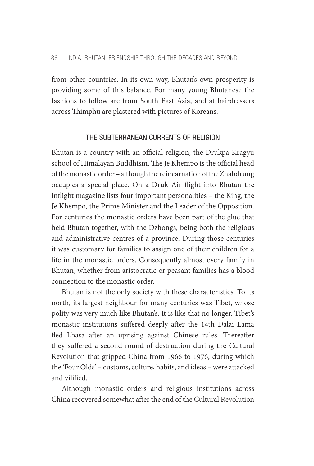from other countries. In its own way, Bhutan's own prosperity is providing some of this balance. For many young Bhutanese the fashions to follow are from South East Asia, and at hairdressers across Thimphu are plastered with pictures of Koreans.

## THE SUBTERRANEAN CURRENTS OF RELIGION

Bhutan is a country with an official religion, the Drukpa Kragyu school of Himalayan Buddhism. The Je Khempo is the official head of the monastic order – although the reincarnation of the Zhabdrung occupies a special place. On a Druk Air flight into Bhutan the inflight magazine lists four important personalities – the King, the Je Khempo, the Prime Minister and the Leader of the Opposition. For centuries the monastic orders have been part of the glue that held Bhutan together, with the Dzhongs, being both the religious and administrative centres of a province. During those centuries it was customary for families to assign one of their children for a life in the monastic orders. Consequently almost every family in Bhutan, whether from aristocratic or peasant families has a blood connection to the monastic order.

Bhutan is not the only society with these characteristics. To its north, its largest neighbour for many centuries was Tibet, whose polity was very much like Bhutan's. It is like that no longer. Tibet's monastic institutions suffered deeply after the 14th Dalai Lama fled Lhasa after an uprising against Chinese rules. Thereafter they suffered a second round of destruction during the Cultural Revolution that gripped China from 1966 to 1976, during which the 'Four Olds' – customs, culture, habits, and ideas – were attacked and vilified.

Although monastic orders and religious institutions across China recovered somewhat after the end of the Cultural Revolution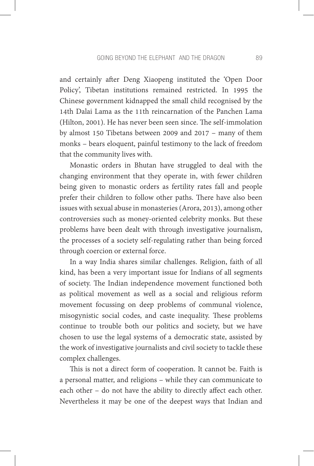and certainly after Deng Xiaopeng instituted the 'Open Door Policy', Tibetan institutions remained restricted. In 1995 the Chinese government kidnapped the small child recognised by the 14th Dalai Lama as the 11th reincarnation of the Panchen Lama (Hilton, 2001). He has never been seen since. The self-immolation by almost 150 Tibetans between 2009 and 2017 – many of them monks – bears eloquent, painful testimony to the lack of freedom that the community lives with.

Monastic orders in Bhutan have struggled to deal with the changing environment that they operate in, with fewer children being given to monastic orders as fertility rates fall and people prefer their children to follow other paths. There have also been issues with sexual abuse in monasteries (Arora, 2013), among other controversies such as money-oriented celebrity monks. But these problems have been dealt with through investigative journalism, the processes of a society self-regulating rather than being forced through coercion or external force.

In a way India shares similar challenges. Religion, faith of all kind, has been a very important issue for Indians of all segments of society. The Indian independence movement functioned both as political movement as well as a social and religious reform movement focussing on deep problems of communal violence, misogynistic social codes, and caste inequality. These problems continue to trouble both our politics and society, but we have chosen to use the legal systems of a democratic state, assisted by the work of investigative journalists and civil society to tackle these complex challenges.

This is not a direct form of cooperation. It cannot be. Faith is a personal matter, and religions – while they can communicate to each other – do not have the ability to directly affect each other. Nevertheless it may be one of the deepest ways that Indian and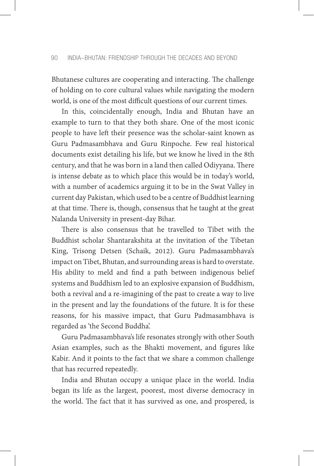Bhutanese cultures are cooperating and interacting. The challenge of holding on to core cultural values while navigating the modern world, is one of the most difficult questions of our current times.

In this, coincidentally enough, India and Bhutan have an example to turn to that they both share. One of the most iconic people to have left their presence was the scholar-saint known as Guru Padmasambhava and Guru Rinpoche. Few real historical documents exist detailing his life, but we know he lived in the 8th century, and that he was born in a land then called Odiyyana. There is intense debate as to which place this would be in today's world, with a number of academics arguing it to be in the Swat Valley in current day Pakistan, which used to be a centre of Buddhist learning at that time. There is, though, consensus that he taught at the great Nalanda University in present-day Bihar.

There is also consensus that he travelled to Tibet with the Buddhist scholar Shantarakshita at the invitation of the Tibetan King, Trisong Detsen (Schaik, 2012). Guru Padmasambhava's impact on Tibet, Bhutan, and surrounding areas is hard to overstate. His ability to meld and find a path between indigenous belief systems and Buddhism led to an explosive expansion of Buddhism, both a revival and a re-imagining of the past to create a way to live in the present and lay the foundations of the future. It is for these reasons, for his massive impact, that Guru Padmasambhava is regarded as 'the Second Buddha'.

Guru Padmasambhava's life resonates strongly with other South Asian examples, such as the Bhakti movement, and figures like Kabir. And it points to the fact that we share a common challenge that has recurred repeatedly.

India and Bhutan occupy a unique place in the world. India began its life as the largest, poorest, most diverse democracy in the world. The fact that it has survived as one, and prospered, is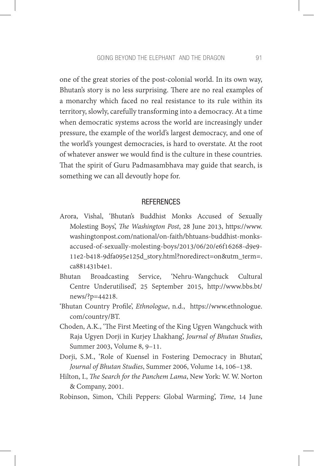one of the great stories of the post-colonial world. In its own way, Bhutan's story is no less surprising. There are no real examples of a monarchy which faced no real resistance to its rule within its territory, slowly, carefully transforming into a democracy. At a time when democratic systems across the world are increasingly under pressure, the example of the world's largest democracy, and one of the world's youngest democracies, is hard to overstate. At the root of whatever answer we would find is the culture in these countries. That the spirit of Guru Padmasambhava may guide that search, is something we can all devoutly hope for.

## **REFERENCES**

- Arora, Vishal, 'Bhutan's Buddhist Monks Accused of Sexually Molesting Boys', *The Washington Post*, 28 June 2013, https://www. washingtonpost.com/national/on-faith/bhtuans-buddhist-monksaccused-of-sexually-molesting-boys/2013/06/20/e6f16268-d9e9- 11e2-b418-9dfa095e125d\_story.html?noredirect=on&utm\_term=. ca881431b4e1.
- Bhutan Broadcasting Service, 'Nehru-Wangchuck Cultural Centre Underutilised', 25 September 2015, http://www.bbs.bt/ news/?p=44218.
- 'Bhutan Country Profile', *Ethnologue*, n.d., https://www.ethnologue. com/country/BT.
- Choden, A.K., 'The First Meeting of the King Ugyen Wangchuck with Raja Ugyen Dorji in Kurjey Lhakhang', *Journal of Bhutan Studies*, Summer 2003, Volume 8, 9–11.
- Dorji, S.M., 'Role of Kuensel in Fostering Democracy in Bhutan', *Journal of Bhutan Studies*, Summer 2006, Volume 14, 106–138.
- Hilton, I., *The Search for the Panchem Lama*, New York: W. W. Norton & Company, 2001.
- Robinson, Simon, 'Chili Peppers: Global Warming', *Time*, 14 June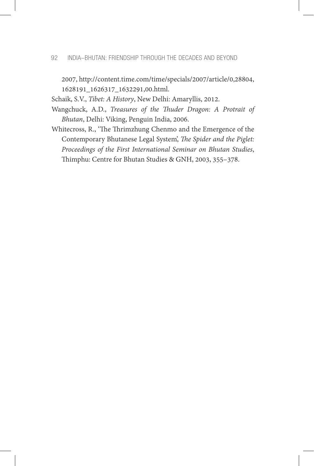2007, http://content.time.com/time/specials/2007/article/0,28804, 1628191\_1626317\_1632291,00.html.

Schaik, S.V., *Tibet: A History*, New Delhi: Amaryllis, 2012.

- Wangchuck, A.D., *Treasures of the Thuder Dragon: A Protrait of Bhutan*, Delhi: Viking, Penguin India, 2006.
- Whitecross, R., 'The Thrimzhung Chenmo and the Emergence of the Contemporary Bhutanese Legal System', *The Spider and the Piglet: Proceedings of the First International Seminar on Bhutan Studies*, Thimphu: Centre for Bhutan Studies & GNH, 2003, 355–378.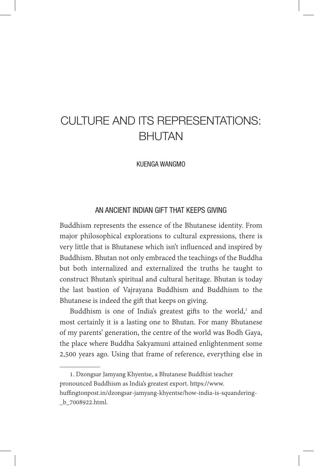## CULTURE AND ITS REPRESENTATIONS: BHUTAN

KUENGA WANGMO

## AN ANCIENT INDIAN GIFT THAT KEEPS GIVING

Buddhism represents the essence of the Bhutanese identity. From major philosophical explorations to cultural expressions, there is very little that is Bhutanese which isn't influenced and inspired by Buddhism. Bhutan not only embraced the teachings of the Buddha but both internalized and externalized the truths he taught to construct Bhutan's spiritual and cultural heritage. Bhutan is today the last bastion of Vajrayana Buddhism and Buddhism to the Bhutanese is indeed the gift that keeps on giving.

Buddhism is one of India's greatest gifts to the world,<sup>1</sup> and most certainly it is a lasting one to Bhutan. For many Bhutanese of my parents' generation, the centre of the world was Bodh Gaya, the place where Buddha Sakyamuni attained enlightenment some 2,500 years ago. Using that frame of reference, everything else in

1. Dzongsar Jamyang Khyentse, a Bhutanese Buddhist teacher pronounced Buddhism as India's greatest export. https://www. huffingtonpost.in/dzongsar-jamyang-khyentse/how-india-is-squandering- \_b\_7008922.html.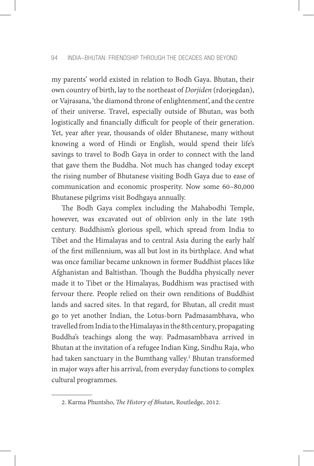my parents' world existed in relation to Bodh Gaya. Bhutan, their own country of birth, lay to the northeast of *Dorjiden* (rdorjegdan), or Vajrasana, 'the diamond throne of enlightenment', and the centre of their universe. Travel, especially outside of Bhutan, was both logistically and financially difficult for people of their generation. Yet, year after year, thousands of older Bhutanese, many without knowing a word of Hindi or English, would spend their life's savings to travel to Bodh Gaya in order to connect with the land that gave them the Buddha. Not much has changed today except the rising number of Bhutanese visiting Bodh Gaya due to ease of communication and economic prosperity. Now some 60–80,000 Bhutanese pilgrims visit Bodhgaya annually.

The Bodh Gaya complex including the Mahabodhi Temple, however, was excavated out of oblivion only in the late 19th century. Buddhism's glorious spell, which spread from India to Tibet and the Himalayas and to central Asia during the early half of the first millennium, was all but lost in its birthplace. And what was once familiar became unknown in former Buddhist places like Afghanistan and Baltisthan. Though the Buddha physically never made it to Tibet or the Himalayas, Buddhism was practised with fervour there. People relied on their own renditions of Buddhist lands and sacred sites. In that regard, for Bhutan, all credit must go to yet another Indian, the Lotus-born Padmasambhava, who travelled from India to the Himalayas in the 8thcentury, propagating Buddha's teachings along the way. Padmasambhava arrived in Bhutan at the invitation of a refugee Indian King, Sindhu Raja, who had taken sanctuary in the Bumthang valley.<sup>2</sup> Bhutan transformed in major ways after his arrival, from everyday functions to complex cultural programmes.

<sup>2.</sup> Karma Phuntsho, *The History of Bhutan*, Routledge, 2012.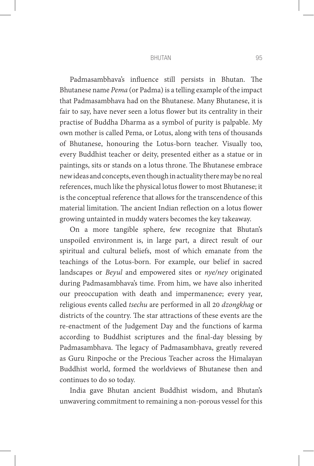#### BHUTAN 95

Padmasambhava's influence still persists in Bhutan. The Bhutanese name *Pema* (or Padma) is a telling example of the impact that Padmasambhava had on the Bhutanese. Many Bhutanese, it is fair to say, have never seen a lotus flower but its centrality in their practise of Buddha Dharma as a symbol of purity is palpable. My own mother is called Pema, or Lotus, along with tens of thousands of Bhutanese, honouring the Lotus-born teacher. Visually too, every Buddhist teacher or deity, presented either as a statue or in paintings, sits or stands on a lotus throne. The Bhutanese embrace new ideas and concepts, even though in actuality there may be no real references, much like the physical lotus flower to most Bhutanese; it is the conceptual reference that allows for the transcendence of this material limitation. The ancient Indian reflection on a lotus flower growing untainted in muddy waters becomes the key takeaway.

On a more tangible sphere, few recognize that Bhutan's unspoiled environment is, in large part, a direct result of our spiritual and cultural beliefs, most of which emanate from the teachings of the Lotus-born. For example, our belief in sacred landscapes or *Beyul* and empowered sites or *nye/ney* originated during Padmasambhava's time. From him, we have also inherited our preoccupation with death and impermanence; every year, religious events called *tsechu* are performed in all 20 *dzongkhag* or districts of the country. The star attractions of these events are the re-enactment of the Judgement Day and the functions of karma according to Buddhist scriptures and the final-day blessing by Padmasambhava. The legacy of Padmasambhava, greatly revered as Guru Rinpoche or the Precious Teacher across the Himalayan Buddhist world, formed the worldviews of Bhutanese then and continues to do so today.

India gave Bhutan ancient Buddhist wisdom, and Bhutan's unwavering commitment to remaining a non-porous vessel for this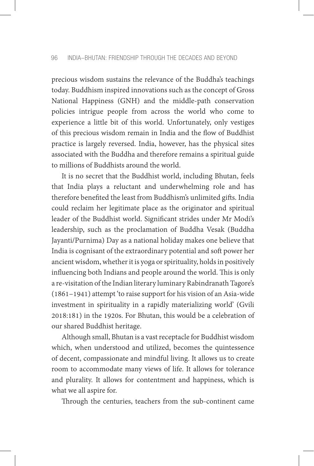precious wisdom sustains the relevance of the Buddha's teachings today. Buddhism inspired innovations such as the concept of Gross National Happiness (GNH) and the middle-path conservation policies intrigue people from across the world who come to experience a little bit of this world. Unfortunately, only vestiges of this precious wisdom remain in India and the flow of Buddhist practice is largely reversed. India, however, has the physical sites associated with the Buddha and therefore remains a spiritual guide to millions of Buddhists around the world.

It is no secret that the Buddhist world, including Bhutan, feels that India plays a reluctant and underwhelming role and has therefore benefited the least from Buddhism's unlimited gifts. India could reclaim her legitimate place as the originator and spiritual leader of the Buddhist world. Significant strides under Mr Modi's leadership, such as the proclamation of Buddha Vesak (Buddha Jayanti/Purnima) Day as a national holiday makes one believe that India is cognisant of the extraordinary potential and soft power her ancient wisdom, whether it is yoga or spirituality, holds in positively influencing both Indians and people around the world. This is only a re-visitation of the Indian literary luminary Rabindranath Tagore's (1861–1941) attempt 'to raise support for his vision of an Asia-wide investment in spirituality in a rapidly materializing world' (Gvili 2018:181) in the 1920s. For Bhutan, this would be a celebration of our shared Buddhist heritage.

Although small, Bhutan is a vast receptacle for Buddhist wisdom which, when understood and utilized, becomes the quintessence of decent, compassionate and mindful living. It allows us to create room to accommodate many views of life. It allows for tolerance and plurality. It allows for contentment and happiness, which is what we all aspire for.

Through the centuries, teachers from the sub-continent came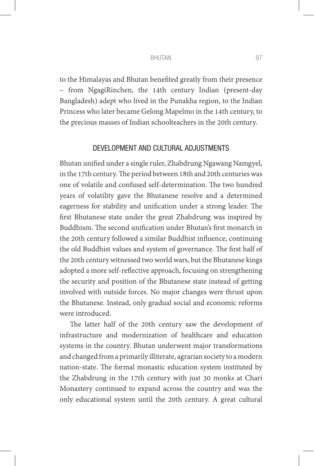#### BHUTAN 97

to the Himalayas and Bhutan benefited greatly from their presence – from NgagiRinchen, the 14th century Indian (present-day Bangladesh) adept who lived in the Punakha region, to the Indian Princess who later became Gelong Mapelmo in the 14th century, to the precious masses of Indian schoolteachers in the 20th century.

## DEVELOPMENT AND CULTURAL ADJUSTMENTS

Bhutan unified under a single ruler, Zhabdrung Ngawang Namgyel, in the 17th century. The period between 18th and 20th centuries was one of volatile and confused self-determination. The two hundred years of volatility gave the Bhutanese resolve and a determined eagerness for stability and unification under a strong leader. The first Bhutanese state under the great Zhabdrung was inspired by Buddhism. The second unification under Bhutan's first monarch in the 20th century followed a similar Buddhist influence, continuing the old Buddhist values and system of governance. The first half of the 20th century witnessed two world wars, but the Bhutanese kings adopted a more self-reflective approach, focusing on strengthening the security and position of the Bhutanese state instead of getting involved with outside forces. No major changes were thrust upon the Bhutanese. Instead, only gradual social and economic reforms were introduced.

The latter half of the 20th century saw the development of infrastructure and modernization of healthcare and education systems in the country. Bhutan underwent major transformations and changed from a primarily illiterate, agrarian society to a modern nation-state. The formal monastic education system instituted by the Zhabdrung in the 17th century with just 30 monks at Chari Monastery continued to expand across the country and was the only educational system until the 20th century. A great cultural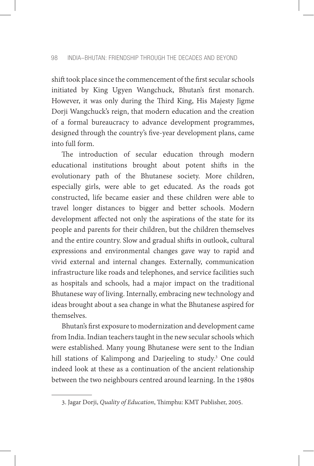shift took place since the commencement of the first secular schools initiated by King Ugyen Wangchuck, Bhutan's first monarch. However, it was only during the Third King, His Majesty Jigme Dorji Wangchuck's reign, that modern education and the creation of a formal bureaucracy to advance development programmes, designed through the country's five-year development plans, came into full form.

The introduction of secular education through modern educational institutions brought about potent shifts in the evolutionary path of the Bhutanese society. More children, especially girls, were able to get educated. As the roads got constructed, life became easier and these children were able to travel longer distances to bigger and better schools. Modern development affected not only the aspirations of the state for its people and parents for their children, but the children themselves and the entire country. Slow and gradual shifts in outlook, cultural expressions and environmental changes gave way to rapid and vivid external and internal changes. Externally, communication infrastructure like roads and telephones, and service facilities such as hospitals and schools, had a major impact on the traditional Bhutanese way of living. Internally, embracing new technology and ideas brought about a sea change in what the Bhutanese aspired for themselves.

Bhutan's first exposure to modernization and development came from India. Indian teachers taught in the new secular schools which were established. Many young Bhutanese were sent to the Indian hill stations of Kalimpong and Darjeeling to study.3 One could indeed look at these as a continuation of the ancient relationship between the two neighbours centred around learning. In the 1980s

<sup>3.</sup> Jagar Dorji, *Quality of Education*, Thimphu: KMT Publisher, 2005.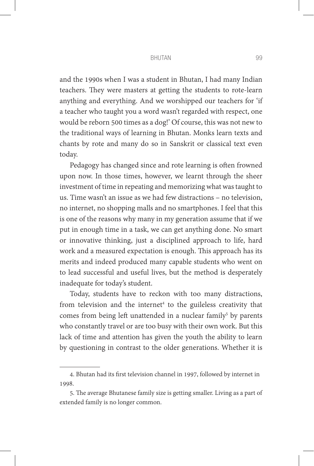#### BHUTAN 99

and the 1990s when I was a student in Bhutan, I had many Indian teachers. They were masters at getting the students to rote-learn anything and everything. And we worshipped our teachers for 'if a teacher who taught you a word wasn't regarded with respect, one would be reborn 500 times as a dog!' Of course, this was not new to the traditional ways of learning in Bhutan. Monks learn texts and chants by rote and many do so in Sanskrit or classical text even today.

Pedagogy has changed since and rote learning is often frowned upon now. In those times, however, we learnt through the sheer investment of time in repeating and memorizing what was taught to us. Time wasn't an issue as we had few distractions – no television, no internet, no shopping malls and no smartphones. I feel that this is one of the reasons why many in my generation assume that if we put in enough time in a task, we can get anything done. No smart or innovative thinking, just a disciplined approach to life, hard work and a measured expectation is enough. This approach has its merits and indeed produced many capable students who went on to lead successful and useful lives, but the method is desperately inadequate for today's student.

Today, students have to reckon with too many distractions, from television and the internet<sup>4</sup> to the guileless creativity that comes from being left unattended in a nuclear family<sup>5</sup> by parents who constantly travel or are too busy with their own work. But this lack of time and attention has given the youth the ability to learn by questioning in contrast to the older generations. Whether it is

<sup>4.</sup> Bhutan had its first television channel in 1997, followed by internet in 1998.

<sup>5.</sup> The average Bhutanese family size is getting smaller. Living as a part of extended family is no longer common.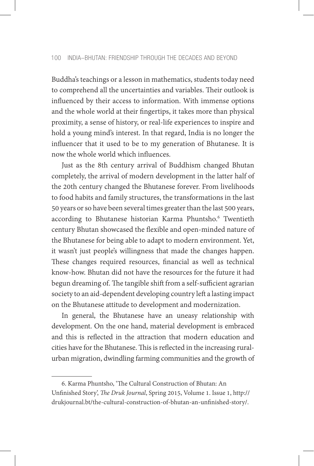Buddha's teachings or a lesson in mathematics, students today need to comprehend all the uncertainties and variables. Their outlook is influenced by their access to information. With immense options and the whole world at their fingertips, it takes more than physical proximity, a sense of history, or real-life experiences to inspire and hold a young mind's interest. In that regard, India is no longer the influencer that it used to be to my generation of Bhutanese. It is now the whole world which influences.

Just as the 8th century arrival of Buddhism changed Bhutan completely, the arrival of modern development in the latter half of the 20th century changed the Bhutanese forever. From livelihoods to food habits and family structures, the transformations in the last 50 years or so have been several times greater than the last 500 years, according to Bhutanese historian Karma Phuntsho.<sup>6</sup> Twentieth century Bhutan showcased the flexible and open-minded nature of the Bhutanese for being able to adapt to modern environment. Yet, it wasn't just people's willingness that made the changes happen. These changes required resources, financial as well as technical know-how. Bhutan did not have the resources for the future it had begun dreaming of. The tangible shift from a self-sufficient agrarian society to an aid-dependent developing country left a lasting impact on the Bhutanese attitude to development and modernization.

In general, the Bhutanese have an uneasy relationship with development. On the one hand, material development is embraced and this is reflected in the attraction that modern education and cities have for the Bhutanese. This is reflected in the increasing ruralurban migration, dwindling farming communities and the growth of

<sup>6.</sup> Karma Phuntsho, 'The Cultural Construction of Bhutan: An Unfinished Story', *The Druk Journal*, Spring 2015, Volume 1. Issue 1, http:// drukjournal.bt/the-cultural-construction-of-bhutan-an-unfinished-story/.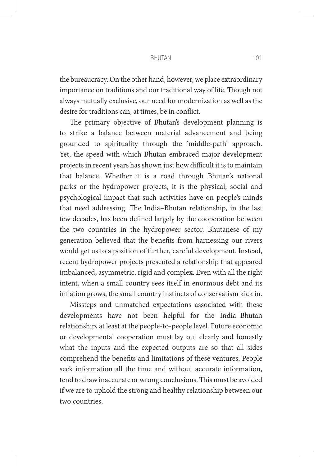#### BHUTAN 101

the bureaucracy. On the other hand, however, we place extraordinary importance on traditions and our traditional way of life. Though not always mutually exclusive, our need for modernization as well as the desire for traditions can, at times, be in conflict.

The primary objective of Bhutan's development planning is to strike a balance between material advancement and being grounded to spirituality through the 'middle-path' approach. Yet, the speed with which Bhutan embraced major development projects in recent years has shown just how difficult it is to maintain that balance. Whether it is a road through Bhutan's national parks or the hydropower projects, it is the physical, social and psychological impact that such activities have on people's minds that need addressing. The India–Bhutan relationship, in the last few decades, has been defined largely by the cooperation between the two countries in the hydropower sector. Bhutanese of my generation believed that the benefits from harnessing our rivers would get us to a position of further, careful development. Instead, recent hydropower projects presented a relationship that appeared imbalanced, asymmetric, rigid and complex. Even with all the right intent, when a small country sees itself in enormous debt and its inflation grows, the small country instincts of conservatism kick in.

Missteps and unmatched expectations associated with these developments have not been helpful for the India–Bhutan relationship, at least at the people-to-people level. Future economic or developmental cooperation must lay out clearly and honestly what the inputs and the expected outputs are so that all sides comprehend the benefits and limitations of these ventures. People seek information all the time and without accurate information, tend to draw inaccurate or wrong conclusions. This must be avoided if we are to uphold the strong and healthy relationship between our two countries.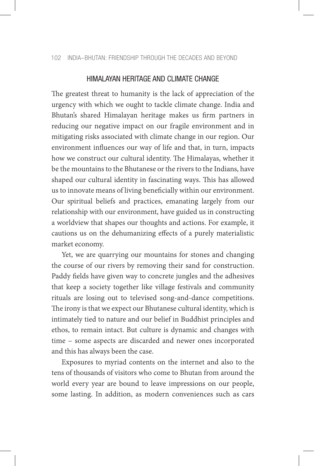# HIMALAYAN HERITAGE AND CLIMATE CHANGE

The greatest threat to humanity is the lack of appreciation of the urgency with which we ought to tackle climate change. India and Bhutan's shared Himalayan heritage makes us firm partners in reducing our negative impact on our fragile environment and in mitigating risks associated with climate change in our region. Our environment influences our way of life and that, in turn, impacts how we construct our cultural identity. The Himalayas, whether it be the mountains to the Bhutanese or the rivers to the Indians, have shaped our cultural identity in fascinating ways. This has allowed us to innovate means of living beneficially within our environment. Our spiritual beliefs and practices, emanating largely from our relationship with our environment, have guided us in constructing a worldview that shapes our thoughts and actions. For example, it cautions us on the dehumanizing effects of a purely materialistic market economy.

Yet, we are quarrying our mountains for stones and changing the course of our rivers by removing their sand for construction. Paddy fields have given way to concrete jungles and the adhesives that keep a society together like village festivals and community rituals are losing out to televised song-and-dance competitions. The irony is that we expect our Bhutanese cultural identity, which is intimately tied to nature and our belief in Buddhist principles and ethos, to remain intact. But culture is dynamic and changes with time – some aspects are discarded and newer ones incorporated and this has always been the case.

Exposures to myriad contents on the internet and also to the tens of thousands of visitors who come to Bhutan from around the world every year are bound to leave impressions on our people, some lasting. In addition, as modern conveniences such as cars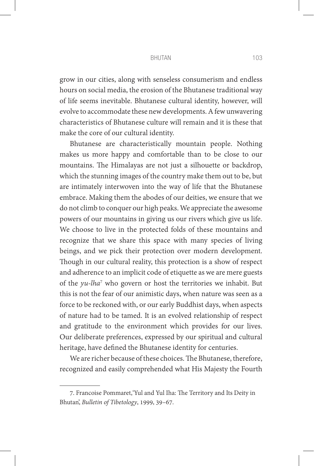#### BHUTAN 103

grow in our cities, along with senseless consumerism and endless hours on social media, the erosion of the Bhutanese traditional way of life seems inevitable. Bhutanese cultural identity, however, will evolve to accommodate these new developments. A few unwavering characteristics of Bhutanese culture will remain and it is these that make the core of our cultural identity.

Bhutanese are characteristically mountain people. Nothing makes us more happy and comfortable than to be close to our mountains. The Himalayas are not just a silhouette or backdrop, which the stunning images of the country make them out to be, but are intimately interwoven into the way of life that the Bhutanese embrace. Making them the abodes of our deities, we ensure that we do not climb to conquer our high peaks. We appreciate the awesome powers of our mountains in giving us our rivers which give us life. We choose to live in the protected folds of these mountains and recognize that we share this space with many species of living beings, and we pick their protection over modern development. Though in our cultural reality, this protection is a show of respect and adherence to an implicit code of etiquette as we are mere guests of the *yu-lha*<sup>7</sup> who govern or host the territories we inhabit. But this is not the fear of our animistic days, when nature was seen as a force to be reckoned with, or our early Buddhist days, when aspects of nature had to be tamed. It is an evolved relationship of respect and gratitude to the environment which provides for our lives. Our deliberate preferences, expressed by our spiritual and cultural heritage, have defined the Bhutanese identity for centuries.

We are richer because of these choices. The Bhutanese, therefore, recognized and easily comprehended what His Majesty the Fourth

<sup>7.</sup> Francoise Pommaret,'Yul and Yul Iha: The Territory and Its Deity in Bhutan', *Bulletin of Tibetology*, 1999, 39–67.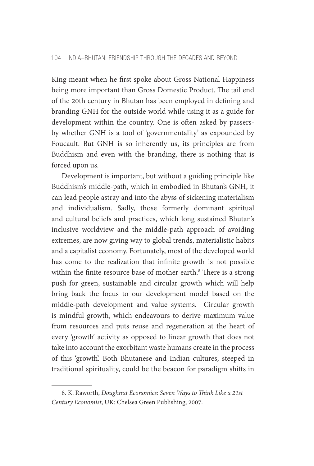King meant when he first spoke about Gross National Happiness being more important than Gross Domestic Product. The tail end of the 20th century in Bhutan has been employed in defining and branding GNH for the outside world while using it as a guide for development within the country. One is often asked by passersby whether GNH is a tool of 'governmentality' as expounded by Foucault. But GNH is so inherently us, its principles are from Buddhism and even with the branding, there is nothing that is forced upon us.

Development is important, but without a guiding principle like Buddhism's middle-path, which in embodied in Bhutan's GNH, it can lead people astray and into the abyss of sickening materialism and individualism. Sadly, those formerly dominant spiritual and cultural beliefs and practices, which long sustained Bhutan's inclusive worldview and the middle-path approach of avoiding extremes, are now giving way to global trends, materialistic habits and a capitalist economy. Fortunately, most of the developed world has come to the realization that infinite growth is not possible within the finite resource base of mother earth.<sup>8</sup> There is a strong push for green, sustainable and circular growth which will help bring back the focus to our development model based on the middle-path development and value systems. Circular growth is mindful growth, which endeavours to derive maximum value from resources and puts reuse and regeneration at the heart of every 'growth' activity as opposed to linear growth that does not take into account the exorbitant waste humans create in the process of this 'growth'. Both Bhutanese and Indian cultures, steeped in traditional spirituality, could be the beacon for paradigm shifts in

<sup>8.</sup> K. Raworth, *Doughnut Economics: Seven Ways to Think Like a 21st Century Economist*, UK: Chelsea Green Publishing, 2007.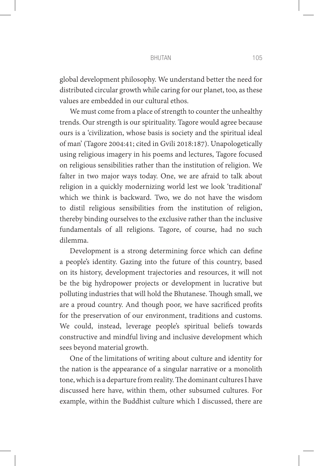#### BHUTAN 105

global development philosophy. We understand better the need for distributed circular growth while caring for our planet, too, as these values are embedded in our cultural ethos.

We must come from a place of strength to counter the unhealthy trends. Our strength is our spirituality. Tagore would agree because ours is a 'civilization, whose basis is society and the spiritual ideal of man' (Tagore 2004:41; cited in Gvili 2018:187). Unapologetically using religious imagery in his poems and lectures, Tagore focused on religious sensibilities rather than the institution of religion. We falter in two major ways today. One, we are afraid to talk about religion in a quickly modernizing world lest we look 'traditional' which we think is backward. Two, we do not have the wisdom to distil religious sensibilities from the institution of religion, thereby binding ourselves to the exclusive rather than the inclusive fundamentals of all religions. Tagore, of course, had no such dilemma.

Development is a strong determining force which can define a people's identity. Gazing into the future of this country, based on its history, development trajectories and resources, it will not be the big hydropower projects or development in lucrative but polluting industries that will hold the Bhutanese. Though small, we are a proud country. And though poor, we have sacrificed profits for the preservation of our environment, traditions and customs. We could, instead, leverage people's spiritual beliefs towards constructive and mindful living and inclusive development which sees beyond material growth.

One of the limitations of writing about culture and identity for the nation is the appearance of a singular narrative or a monolith tone, which is a departure from reality. The dominant cultures I have discussed here have, within them, other subsumed cultures. For example, within the Buddhist culture which I discussed, there are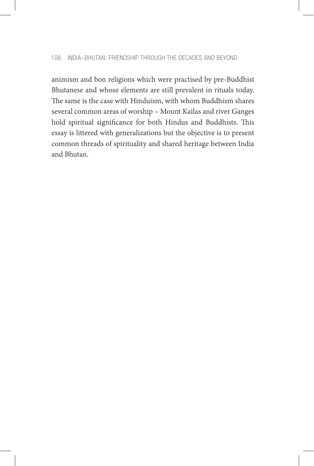animism and bon religions which were practised by pre-Buddhist Bhutanese and whose elements are still prevalent in rituals today. The same is the case with Hinduism, with whom Buddhism shares several common areas of worship – Mount Kailas and river Ganges hold spiritual significance for both Hindus and Buddhists. This essay is littered with generalizations but the objective is to present common threads of spirituality and shared heritage between India and Bhutan.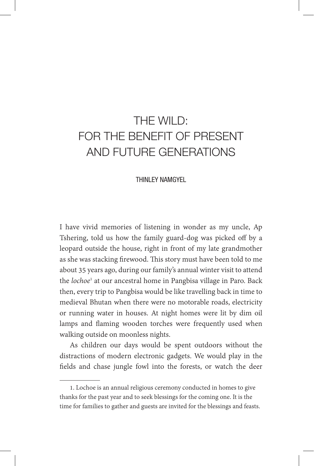# THE WILD: FOR THE BENEFIT OF PRESENT AND FUTURE GENERATIONS

## THINLEY NAMGYEL

I have vivid memories of listening in wonder as my uncle, Ap Tshering, told us how the family guard-dog was picked off by a leopard outside the house, right in front of my late grandmother as she was stacking firewood. This story must have been told to me about 35 years ago, during our family's annual winter visit to attend the *lochoe*<sup>1</sup> at our ancestral home in Pangbisa village in Paro. Back then, every trip to Pangbisa would be like travelling back in time to medieval Bhutan when there were no motorable roads, electricity or running water in houses. At night homes were lit by dim oil lamps and flaming wooden torches were frequently used when walking outside on moonless nights.

As children our days would be spent outdoors without the distractions of modern electronic gadgets. We would play in the fields and chase jungle fowl into the forests, or watch the deer

<sup>1.</sup> Lochoe is an annual religious ceremony conducted in homes to give thanks for the past year and to seek blessings for the coming one. It is the time for families to gather and guests are invited for the blessings and feasts.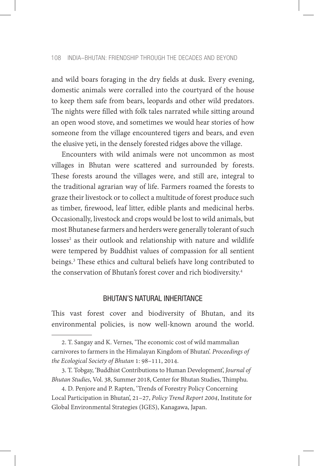and wild boars foraging in the dry fields at dusk. Every evening, domestic animals were corralled into the courtyard of the house to keep them safe from bears, leopards and other wild predators. The nights were filled with folk tales narrated while sitting around an open wood stove, and sometimes we would hear stories of how someone from the village encountered tigers and bears, and even the elusive yeti, in the densely forested ridges above the village.

Encounters with wild animals were not uncommon as most villages in Bhutan were scattered and surrounded by forests. These forests around the villages were, and still are, integral to the traditional agrarian way of life. Farmers roamed the forests to graze their livestock or to collect a multitude of forest produce such as timber, firewood, leaf litter, edible plants and medicinal herbs. Occasionally, livestock and crops would be lost to wild animals, but most Bhutanese farmers and herders were generally tolerant of such losses<sup>2</sup> as their outlook and relationship with nature and wildlife were tempered by Buddhist values of compassion for all sentient beings.3 These ethics and cultural beliefs have long contributed to the conservation of Bhutan's forest cover and rich biodiversity.4

# BHUTAN'S NATURAL INHERITANCE

This vast forest cover and biodiversity of Bhutan, and its environmental policies, is now well-known around the world.

<sup>2.</sup> T. Sangay and K. Vernes, 'The economic cost of wild mammalian carnivores to farmers in the Himalayan Kingdom of Bhutan'. *Proceedings of the Ecological Society of Bhutan* 1: 98–111, 2014.

<sup>3.</sup> T. Tobgay, 'Buddhist Contributions to Human Development', *Journal of Bhutan Studies*, Vol. 38, Summer 2018, Center for Bhutan Studies, Thimphu.

<sup>4.</sup> D. Penjore and P. Rapten, 'Trends of Forestry Policy Concerning Local Participation in Bhutan', 21–27, *Policy Trend Report 2004*, Institute for Global Environmental Strategies (IGES), Kanagawa, Japan.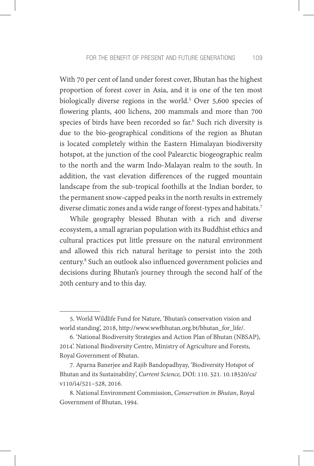With 70 per cent of land under forest cover, Bhutan has the highest proportion of forest cover in Asia, and it is one of the ten most biologically diverse regions in the world.5 Over 5,600 species of flowering plants, 400 lichens, 200 mammals and more than 700 species of birds have been recorded so far.6 Such rich diversity is due to the bio-geographical conditions of the region as Bhutan is located completely within the Eastern Himalayan biodiversity hotspot, at the junction of the cool Palearctic biogeographic realm to the north and the warm Indo-Malayan realm to the south. In addition, the vast elevation differences of the rugged mountain landscape from the sub-tropical foothills at the Indian border, to the permanent snow-capped peaks in the north results in extremely diverse climatic zones and a wide range of forest-types and habitats.<sup>7</sup>

While geography blessed Bhutan with a rich and diverse ecosystem, a small agrarian population with its Buddhist ethics and cultural practices put little pressure on the natural environment and allowed this rich natural heritage to persist into the 20th century.8 Such an outlook also influenced government policies and decisions during Bhutan's journey through the second half of the 20th century and to this day.

<sup>5.</sup> World Wildlife Fund for Nature, 'Bhutan's conservation vision and world standing', 2018, http://www.wwfbhutan.org.bt/bhutan\_for\_life/.

<sup>6. &#</sup>x27;National Biodiversity Strategies and Action Plan of Bhutan (NBSAP), 2014'. National Biodiversity Centre, Ministry of Agriculture and Forests, Royal Government of Bhutan.

<sup>7.</sup> Aparna Banerjee and Rajib Bandopadhyay, 'Biodiversity Hotspot of Bhutan and its Sustainability', *Current Science,* DOI: 110. 521. 10.18520/cs/ v110/i4/521–528, 2016.

<sup>8.</sup> National Environment Commission, *Conservation in Bhutan*, Royal Government of Bhutan, 1994.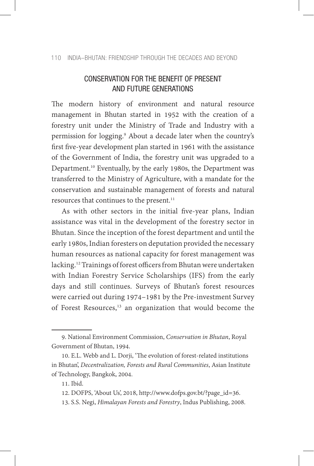#### 110 INDIA–BHUTAN: FRIENDSHIP THROUGH THE DECADES AND BEYOND

# CONSERVATION FOR THE BENEFIT OF PRESENT AND FUTURE GENERATIONS

The modern history of environment and natural resource management in Bhutan started in 1952 with the creation of a forestry unit under the Ministry of Trade and Industry with a permission for logging.9 About a decade later when the country's first five-year development plan started in 1961 with the assistance of the Government of India, the forestry unit was upgraded to a Department.<sup>10</sup> Eventually, by the early 1980s, the Department was transferred to the Ministry of Agriculture, with a mandate for the conservation and sustainable management of forests and natural resources that continues to the present.<sup>11</sup>

As with other sectors in the initial five-year plans, Indian assistance was vital in the development of the forestry sector in Bhutan. Since the inception of the forest department and until the early 1980s, Indian foresters on deputation provided the necessary human resources as national capacity for forest management was lacking.12 Trainings of forest officers from Bhutan were undertaken with Indian Forestry Service Scholarships (IFS) from the early days and still continues. Surveys of Bhutan's forest resources were carried out during 1974–1981 by the Pre-investment Survey of Forest Resources,<sup>13</sup> an organization that would become the

<sup>9.</sup> National Environment Commission, *Conservation in Bhutan*, Royal Government of Bhutan, 1994.

<sup>10.</sup> E.L. Webb and L. Dorji, 'The evolution of forest-related institutions in Bhutan', *Decentralization, Forests and Rural Communities*, Asian Institute of Technology, Bangkok, 2004.

<sup>11.</sup> Ibid.

<sup>12.</sup> DOFPS, 'About Us', 2018, http://www.dofps.gov.bt/?page\_id=36.

<sup>13.</sup> S.S. Negi, *Himalayan Forests and Forestry*, Indus Publishing, 2008.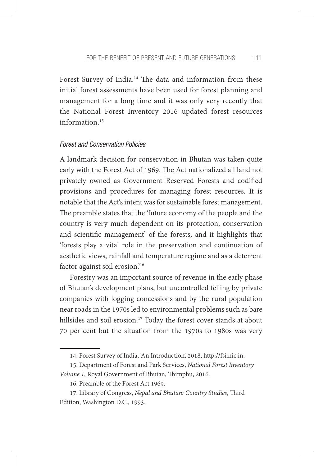Forest Survey of India.<sup>14</sup> The data and information from these initial forest assessments have been used for forest planning and management for a long time and it was only very recently that the National Forest Inventory 2016 updated forest resources information.<sup>15</sup>

## *Forest and Conservation Policies*

A landmark decision for conservation in Bhutan was taken quite early with the Forest Act of 1969. The Act nationalized all land not privately owned as Government Reserved Forests and codified provisions and procedures for managing forest resources. It is notable that the Act's intent was for sustainable forest management. The preamble states that the 'future economy of the people and the country is very much dependent on its protection, conservation and scientific management' of the forests, and it highlights that 'forests play a vital role in the preservation and continuation of aesthetic views, rainfall and temperature regime and as a deterrent factor against soil erosion.'16

Forestry was an important source of revenue in the early phase of Bhutan's development plans, but uncontrolled felling by private companies with logging concessions and by the rural population near roads in the 1970s led to environmental problems such as bare hillsides and soil erosion.<sup>17</sup> Today the forest cover stands at about 70 per cent but the situation from the 1970s to 1980s was very

<sup>14.</sup> Forest Survey of India, 'An Introduction', 2018, http://fsi.nic.in.

<sup>15.</sup> Department of Forest and Park Services, *National Forest Inventory Volume 1*, Royal Government of Bhutan, Thimphu, 2016.

<sup>16.</sup> Preamble of the Forest Act 1969.

<sup>17.</sup> Library of Congress, *Nepal and Bhutan: Country Studies*, Third Edition, Washington D.C., 1993.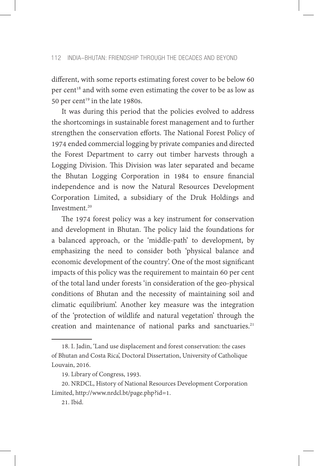different, with some reports estimating forest cover to be below 60 per cent<sup>18</sup> and with some even estimating the cover to be as low as 50 per cent<sup>19</sup> in the late 1980s.

It was during this period that the policies evolved to address the shortcomings in sustainable forest management and to further strengthen the conservation efforts. The National Forest Policy of 1974 ended commercial logging by private companies and directed the Forest Department to carry out timber harvests through a Logging Division. This Division was later separated and became the Bhutan Logging Corporation in 1984 to ensure financial independence and is now the Natural Resources Development Corporation Limited, a subsidiary of the Druk Holdings and Investment.<sup>20</sup>

The 1974 forest policy was a key instrument for conservation and development in Bhutan. The policy laid the foundations for a balanced approach, or the 'middle-path' to development, by emphasizing the need to consider both 'physical balance and economic development of the country'. One of the most significant impacts of this policy was the requirement to maintain 60 per cent of the total land under forests 'in consideration of the geo-physical conditions of Bhutan and the necessity of maintaining soil and climatic equilibrium'. Another key measure was the integration of the 'protection of wildlife and natural vegetation' through the creation and maintenance of national parks and sanctuaries.<sup>21</sup>

<sup>18.</sup> I. Jadin, 'Land use displacement and forest conservation: the cases of Bhutan and Costa Rica', Doctoral Dissertation, University of Catholique Louvain, 2016.

<sup>19.</sup> Library of Congress, 1993.

<sup>20.</sup> NRDCL, History of National Resources Development Corporation Limited, http://www.nrdcl.bt/page.php?id=1.

<sup>21.</sup> Ibid.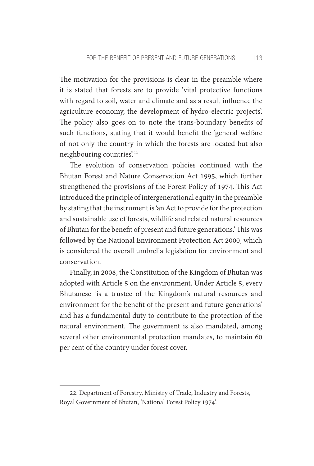The motivation for the provisions is clear in the preamble where it is stated that forests are to provide 'vital protective functions with regard to soil, water and climate and as a result influence the agriculture economy, the development of hydro-electric projects'. The policy also goes on to note the trans-boundary benefits of such functions, stating that it would benefit the 'general welfare of not only the country in which the forests are located but also neighbouring countries'.22

The evolution of conservation policies continued with the Bhutan Forest and Nature Conservation Act 1995, which further strengthened the provisions of the Forest Policy of 1974. This Act introduced the principle of intergenerational equity in the preamble by stating that the instrument is 'an Act to provide for the protection and sustainable use of forests, wildlife and related natural resources of Bhutan for the benefit of present and future generations.' This was followed by the National Environment Protection Act 2000, which is considered the overall umbrella legislation for environment and conservation.

Finally, in 2008, the Constitution of the Kingdom of Bhutan was adopted with Article 5 on the environment. Under Article 5, every Bhutanese 'is a trustee of the Kingdom's natural resources and environment for the benefit of the present and future generations' and has a fundamental duty to contribute to the protection of the natural environment. The government is also mandated, among several other environmental protection mandates, to maintain 60 per cent of the country under forest cover.

<sup>22.</sup> Department of Forestry, Ministry of Trade, Industry and Forests, Royal Government of Bhutan, 'National Forest Policy 1974'.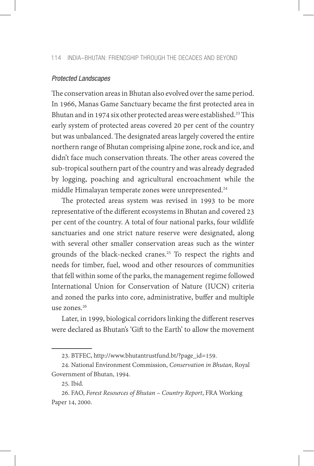#### *Protected Landscapes*

The conservation areas in Bhutan also evolved over the same period. In 1966, Manas Game Sanctuary became the first protected area in Bhutan and in 1974 six other protected areas were established.<sup>23</sup> This early system of protected areas covered 20 per cent of the country but was unbalanced. The designated areas largely covered the entire northern range of Bhutan comprising alpine zone, rock and ice, and didn't face much conservation threats. The other areas covered the sub-tropical southern part of the country and was already degraded by logging, poaching and agricultural encroachment while the middle Himalayan temperate zones were unrepresented.<sup>24</sup>

The protected areas system was revised in 1993 to be more representative of the different ecosystems in Bhutan and covered 23 per cent of the country. A total of four national parks, four wildlife sanctuaries and one strict nature reserve were designated, along with several other smaller conservation areas such as the winter grounds of the black-necked cranes.<sup>25</sup> To respect the rights and needs for timber, fuel, wood and other resources of communities that fell within some of the parks, the management regime followed International Union for Conservation of Nature (IUCN) criteria and zoned the parks into core, administrative, buffer and multiple use zones.26

Later, in 1999, biological corridors linking the different reserves were declared as Bhutan's 'Gift to the Earth' to allow the movement

<sup>23.</sup> BTFEC, http://www.bhutantrustfund.bt/?page\_id=159.

<sup>24.</sup> National Environment Commission, *Conservation in Bhutan*, Royal Government of Bhutan, 1994.

<sup>25.</sup> Ibid.

<sup>26.</sup> FAO, *Forest Resources of Bhutan – Country Report*, FRA Working Paper 14, 2000.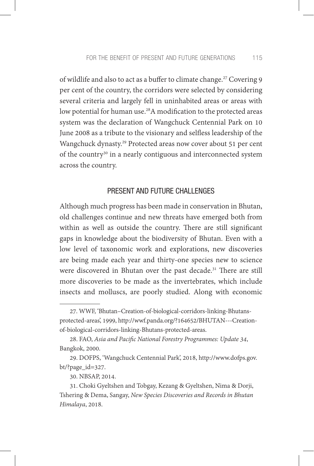of wildlife and also to act as a buffer to climate change.<sup>27</sup> Covering 9 per cent of the country, the corridors were selected by considering several criteria and largely fell in uninhabited areas or areas with low potential for human use.<sup>28</sup>A modification to the protected areas system was the declaration of Wangchuck Centennial Park on 10 June 2008 as a tribute to the visionary and selfless leadership of the Wangchuck dynasty.29 Protected areas now cover about 51 per cent of the country<sup>30</sup> in a nearly contiguous and interconnected system across the country.

# PRESENT AND FUTURE CHALLENGES

Although much progress has been made in conservation in Bhutan, old challenges continue and new threats have emerged both from within as well as outside the country. There are still significant gaps in knowledge about the biodiversity of Bhutan. Even with a low level of taxonomic work and explorations, new discoveries are being made each year and thirty-one species new to science were discovered in Bhutan over the past decade.<sup>31</sup> There are still more discoveries to be made as the invertebrates, which include insects and molluscs, are poorly studied. Along with economic

<sup>27.</sup> WWF, 'Bhutan–Creation-of-biological-corridors-linking-Bhutansprotected-areas', 1999, http://wwf.panda.org/?164652/BHUTAN---Creationof-biological-corridors-linking-Bhutans-protected-areas.

<sup>28.</sup> FAO, *Asia and Pacific National Forestry Programmes: Update 34*, Bangkok, 2000.

<sup>29.</sup> DOFPS, 'Wangchuck Centennial Park', 2018, http://www.dofps.gov. bt/?page\_id=327.

<sup>30.</sup> NBSAP, 2014.

<sup>31.</sup> Choki Gyeltshen and Tobgay, Kezang & Gyeltshen, Nima & Dorji, Tshering & Dema, Sangay, *New Species Discoveries and Records in Bhutan Himalaya*, 2018.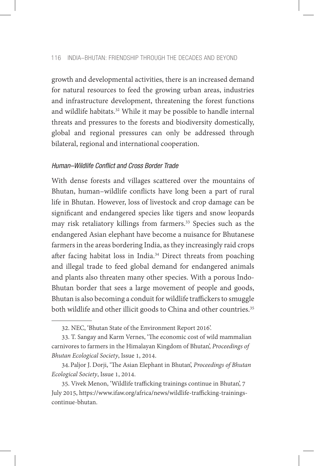growth and developmental activities, there is an increased demand for natural resources to feed the growing urban areas, industries and infrastructure development, threatening the forest functions and wildlife habitats.<sup>32</sup> While it may be possible to handle internal threats and pressures to the forests and biodiversity domestically, global and regional pressures can only be addressed through bilateral, regional and international cooperation.

# *Human–Wildlife Conflict and Cross Border Trade*

With dense forests and villages scattered over the mountains of Bhutan, human–wildlife conflicts have long been a part of rural life in Bhutan. However, loss of livestock and crop damage can be significant and endangered species like tigers and snow leopards may risk retaliatory killings from farmers.<sup>33</sup> Species such as the endangered Asian elephant have become a nuisance for Bhutanese farmers in the areas bordering India, as they increasingly raid crops after facing habitat loss in India.34 Direct threats from poaching and illegal trade to feed global demand for endangered animals and plants also threaten many other species. With a porous Indo-Bhutan border that sees a large movement of people and goods, Bhutan is also becoming a conduit for wildlife traffickers to smuggle both wildlife and other illicit goods to China and other countries.<sup>35</sup>

<sup>32.</sup> NEC, 'Bhutan State of the Environment Report 2016'.

<sup>33.</sup> T. Sangay and Karm Vernes, 'The economic cost of wild mammalian carnivores to farmers in the Himalayan Kingdom of Bhutan', *Proceedings of Bhutan Ecological Society*, Issue 1, 2014.

<sup>34.</sup>Paljor J. Dorji, 'The Asian Elephant in Bhutan', *Proceedings of Bhutan Ecological Society*, Issue 1, 2014.

<sup>35.</sup> Vivek Menon, 'Wildlife trafficking trainings continue in Bhutan', 7 July 2015, https://www.ifaw.org/africa/news/wildlife-trafficking-trainingscontinue-bhutan.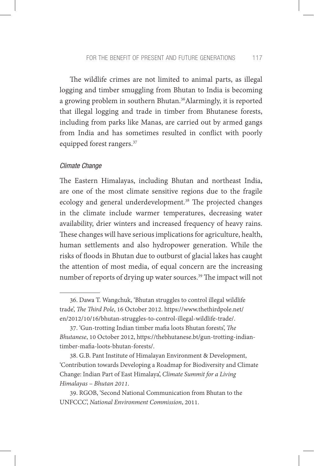The wildlife crimes are not limited to animal parts, as illegal logging and timber smuggling from Bhutan to India is becoming a growing problem in southern Bhutan.<sup>36</sup>Alarmingly, it is reported that illegal logging and trade in timber from Bhutanese forests, including from parks like Manas, are carried out by armed gangs from India and has sometimes resulted in conflict with poorly equipped forest rangers.37

## *Climate Change*

The Eastern Himalayas, including Bhutan and northeast India, are one of the most climate sensitive regions due to the fragile ecology and general underdevelopment.<sup>38</sup> The projected changes in the climate include warmer temperatures, decreasing water availability, drier winters and increased frequency of heavy rains. These changes will have serious implications for agriculture, health, human settlements and also hydropower generation. While the risks of floods in Bhutan due to outburst of glacial lakes has caught the attention of most media, of equal concern are the increasing number of reports of drying up water sources.<sup>39</sup> The impact will not

<sup>36.</sup> Dawa T. Wangchuk, 'Bhutan struggles to control illegal wildlife trade', *The Third Pole*, 16 October 2012. https://www.thethirdpole.net/ en/2012/10/16/bhutan-struggles-to-control-illegal-wildlife-trade/.

<sup>37. &#</sup>x27;Gun-trotting Indian timber mafia loots Bhutan forests', *The Bhutanese*, 10 October 2012, https://thebhutanese.bt/gun-trotting-indiantimber-mafia-loots-bhutan-forests/.

<sup>38.</sup> G.B. Pant Institute of Himalayan Environment & Development, 'Contribution towards Developing a Roadmap for Biodiversity and Climate Change: Indian Part of East Himalaya', *Climate Summit for a Living Himalayas – Bhutan 2011*.

<sup>39.</sup> RGOB, 'Second National Communication from Bhutan to the UNFCCC', *National Environment Commission*, 2011.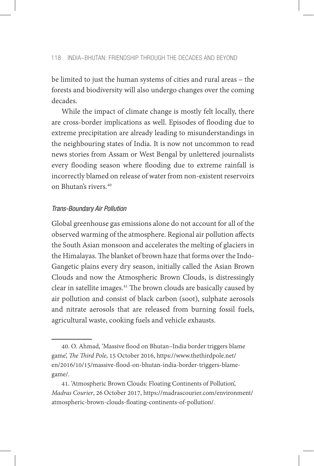be limited to just the human systems of cities and rural areas – the forests and biodiversity will also undergo changes over the coming decades.

While the impact of climate change is mostly felt locally, there are cross-border implications as well. Episodes of flooding due to extreme precipitation are already leading to misunderstandings in the neighbouring states of India. It is now not uncommon to read news stories from Assam or West Bengal by unlettered journalists every flooding season where flooding due to extreme rainfall is incorrectly blamed on release of water from non-existent reservoirs on Bhutan's rivers.40

#### *Trans-Boundary Air Pollution*

Global greenhouse gas emissions alone do not account for all of the observed warming of the atmosphere. Regional air pollution affects the South Asian monsoon and accelerates the melting of glaciers in the Himalayas. The blanket of brown haze that forms over the Indo-Gangetic plains every dry season, initially called the Asian Brown Clouds and now the Atmospheric Brown Clouds, is distressingly clear in satellite images.<sup>41</sup> The brown clouds are basically caused by air pollution and consist of black carbon (soot), sulphate aerosols and nitrate aerosols that are released from burning fossil fuels, agricultural waste, cooking fuels and vehicle exhausts.

<sup>40.</sup> O. Ahmad, 'Massive flood on Bhutan–India border triggers blame game', *The Third Pole*, 15 October 2016, https://www.thethirdpole.net/ en/2016/10/15/massive-flood-on-bhutan-india-border-triggers-blamegame/.

<sup>41. &#</sup>x27;Atmospheric Brown Clouds: Floating Continents of Pollution', *Madras Courier*, 26 October 2017, https://madrascourier.com/environment/ atmospheric-brown-clouds-floating-continents-of-pollution/.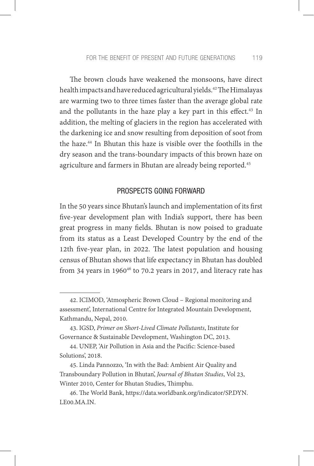The brown clouds have weakened the monsoons, have direct health impacts and have reduced agricultural yields.<sup>42</sup> The Himalayas are warming two to three times faster than the average global rate and the pollutants in the haze play a key part in this effect.<sup>43</sup> In addition, the melting of glaciers in the region has accelerated with the darkening ice and snow resulting from deposition of soot from the haze.44 In Bhutan this haze is visible over the foothills in the dry season and the trans-boundary impacts of this brown haze on agriculture and farmers in Bhutan are already being reported.45

# PROSPECTS GOING FORWARD

In the 50 years since Bhutan's launch and implementation of its first five-year development plan with India's support, there has been great progress in many fields. Bhutan is now poised to graduate from its status as a Least Developed Country by the end of the 12th five-year plan, in 2022. The latest population and housing census of Bhutan shows that life expectancy in Bhutan has doubled from 34 years in 1960 $46$  to 70.2 years in 2017, and literacy rate has

<sup>42.</sup> ICIMOD, 'Atmospheric Brown Cloud – Regional monitoring and assessment', International Centre for Integrated Mountain Development, Kathmandu, Nepal, 2010.

<sup>43.</sup> IGSD, *Primer on Short-Lived Climate Pollutants*, Institute for Governance & Sustainable Development, Washington DC, 2013.

<sup>44.</sup> UNEP, 'Air Pollution in Asia and the Pacific: Science-based Solutions', 2018.

<sup>45.</sup> Linda Pannozzo, 'In with the Bad: Ambient Air Quality and Transboundary Pollution in Bhutan', *Journal of Bhutan Studies*, Vol 23, Winter 2010, Center for Bhutan Studies, Thimphu.

<sup>46.</sup> The World Bank, https://data.worldbank.org/indicator/SP.DYN. LE00.MA.IN.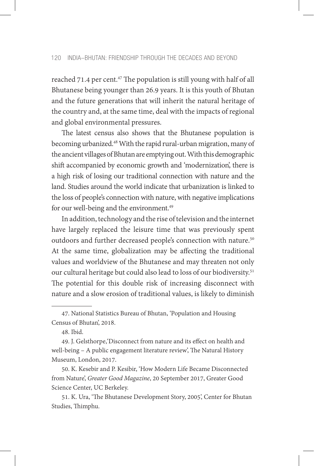reached 71.4 per cent.<sup>47</sup> The population is still young with half of all Bhutanese being younger than 26.9 years. It is this youth of Bhutan and the future generations that will inherit the natural heritage of the country and, at the same time, deal with the impacts of regional and global environmental pressures.

The latest census also shows that the Bhutanese population is becoming urbanized.48 With the rapid rural-urban migration, many of the ancient villages of Bhutan are emptying out. With this demographic shift accompanied by economic growth and 'modernization', there is a high risk of losing our traditional connection with nature and the land. Studies around the world indicate that urbanization is linked to the loss of people's connection with nature, with negative implications for our well-being and the environment.<sup>49</sup>

In addition, technology and the rise of television and the internet have largely replaced the leisure time that was previously spent outdoors and further decreased people's connection with nature.<sup>50</sup> At the same time, globalization may be affecting the traditional values and worldview of the Bhutanese and may threaten not only our cultural heritage but could also lead to loss of our biodiversity.51 The potential for this double risk of increasing disconnect with nature and a slow erosion of traditional values, is likely to diminish

50. K. Kesebir and P. Kesibir, 'How Modern Life Became Disconnected from Nature', *Greater Good Magazine*, 20 September 2017, Greater Good Science Center, UC Berkeley.

51. K. Ura, 'The Bhutanese Development Story, 2005', Center for Bhutan Studies, Thimphu.

<sup>47.</sup> National Statistics Bureau of Bhutan, 'Population and Housing Census of Bhutan', 2018.

<sup>48.</sup> Ibid.

<sup>49.</sup> J. Gelsthorpe,'Disconnect from nature and its effect on health and well-being – A public engagement literature review', The Natural History Museum, London, 2017.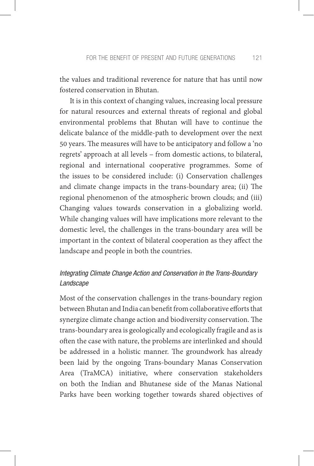the values and traditional reverence for nature that has until now fostered conservation in Bhutan.

It is in this context of changing values, increasing local pressure for natural resources and external threats of regional and global environmental problems that Bhutan will have to continue the delicate balance of the middle-path to development over the next 50 years. The measures will have to be anticipatory and follow a 'no regrets' approach at all levels – from domestic actions, to bilateral, regional and international cooperative programmes. Some of the issues to be considered include: (i) Conservation challenges and climate change impacts in the trans-boundary area; (ii) The regional phenomenon of the atmospheric brown clouds; and (iii) Changing values towards conservation in a globalizing world. While changing values will have implications more relevant to the domestic level, the challenges in the trans-boundary area will be important in the context of bilateral cooperation as they affect the landscape and people in both the countries.

# *Integrating Climate Change Action and Conservation in the Trans-Boundary Landscape*

Most of the conservation challenges in the trans-boundary region between Bhutan and India can benefit from collaborative efforts that synergize climate change action and biodiversity conservation. The trans-boundary area is geologically and ecologically fragile and as is often the case with nature, the problems are interlinked and should be addressed in a holistic manner. The groundwork has already been laid by the ongoing Trans-boundary Manas Conservation Area (TraMCA) initiative, where conservation stakeholders on both the Indian and Bhutanese side of the Manas National Parks have been working together towards shared objectives of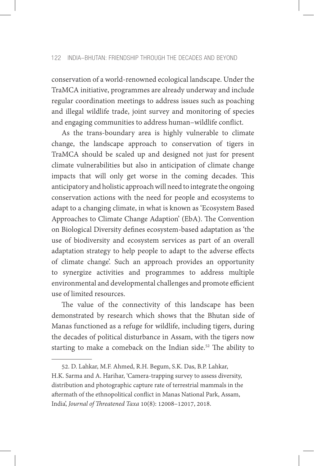conservation of a world-renowned ecological landscape. Under the TraMCA initiative, programmes are already underway and include regular coordination meetings to address issues such as poaching and illegal wildlife trade, joint survey and monitoring of species and engaging communities to address human–wildlife conflict.

As the trans-boundary area is highly vulnerable to climate change, the landscape approach to conservation of tigers in TraMCA should be scaled up and designed not just for present climate vulnerabilities but also in anticipation of climate change impacts that will only get worse in the coming decades. This anticipatory and holistic approach will need to integrate the ongoing conservation actions with the need for people and ecosystems to adapt to a changing climate, in what is known as 'Ecosystem Based Approaches to Climate Change Adaption' (EbA). The Convention on Biological Diversity defines ecosystem-based adaptation as 'the use of biodiversity and ecosystem services as part of an overall adaptation strategy to help people to adapt to the adverse effects of climate change'. Such an approach provides an opportunity to synergize activities and programmes to address multiple environmental and developmental challenges and promote efficient use of limited resources.

The value of the connectivity of this landscape has been demonstrated by research which shows that the Bhutan side of Manas functioned as a refuge for wildlife, including tigers, during the decades of political disturbance in Assam, with the tigers now starting to make a comeback on the Indian side.<sup>52</sup> The ability to

<sup>52.</sup> D. Lahkar, M.F. Ahmed, R.H. Begum, S.K. Das, B.P. Lahkar,

H.K. Sarma and A. Harihar, 'Camera-trapping survey to assess diversity, distribution and photographic capture rate of terrestrial mammals in the aftermath of the ethnopolitical conflict in Manas National Park, Assam, India', *Journal of Threatened Taxa* 10(8): 12008–12017, 2018.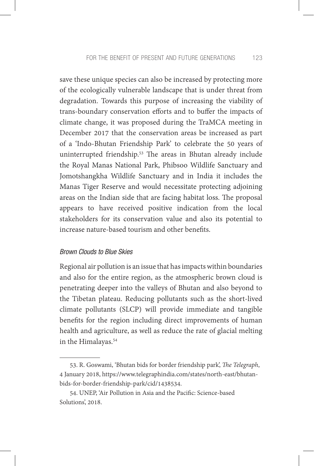save these unique species can also be increased by protecting more of the ecologically vulnerable landscape that is under threat from degradation. Towards this purpose of increasing the viability of trans-boundary conservation efforts and to buffer the impacts of climate change, it was proposed during the TraMCA meeting in December 2017 that the conservation areas be increased as part of a 'Indo-Bhutan Friendship Park' to celebrate the 50 years of uninterrupted friendship.53 The areas in Bhutan already include the Royal Manas National Park, Phibsoo Wildlife Sanctuary and Jomotshangkha Wildlife Sanctuary and in India it includes the Manas Tiger Reserve and would necessitate protecting adjoining areas on the Indian side that are facing habitat loss. The proposal appears to have received positive indication from the local stakeholders for its conservation value and also its potential to increase nature-based tourism and other benefits.

## *Brown Clouds to Blue Skies*

Regional air pollution is an issue that has impacts within boundaries and also for the entire region, as the atmospheric brown cloud is penetrating deeper into the valleys of Bhutan and also beyond to the Tibetan plateau. Reducing pollutants such as the short-lived climate pollutants (SLCP) will provide immediate and tangible benefits for the region including direct improvements of human health and agriculture, as well as reduce the rate of glacial melting in the Himalayas.<sup>54</sup>

<sup>53.</sup> R. Goswami, 'Bhutan bids for border friendship park', *The Telegraph*, 4 January 2018, https://www.telegraphindia.com/states/north-east/bhutanbids-for-border-friendship-park/cid/1438534.

<sup>54.</sup> UNEP, 'Air Pollution in Asia and the Pacific: Science-based Solutions', 2018.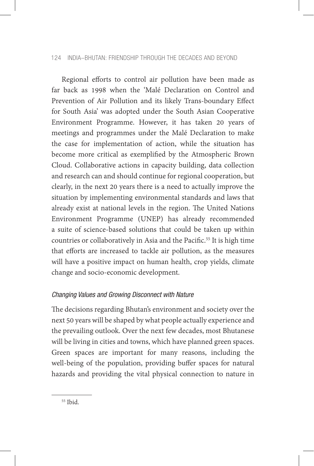## 124 INDIA–BHUTAN: FRIENDSHIP THROUGH THE DECADES AND BEYOND

Regional efforts to control air pollution have been made as far back as 1998 when the 'Malé Declaration on Control and Prevention of Air Pollution and its likely Trans-boundary Effect for South Asia' was adopted under the South Asian Cooperative Environment Programme. However, it has taken 20 years of meetings and programmes under the Malé Declaration to make the case for implementation of action, while the situation has become more critical as exemplified by the Atmospheric Brown Cloud. Collaborative actions in capacity building, data collection and research can and should continue for regional cooperation, but clearly, in the next 20 years there is a need to actually improve the situation by implementing environmental standards and laws that already exist at national levels in the region. The United Nations Environment Programme (UNEP) has already recommended a suite of science-based solutions that could be taken up within countries or collaboratively in Asia and the Pacific.<sup>55</sup> It is high time that efforts are increased to tackle air pollution, as the measures will have a positive impact on human health, crop yields, climate change and socio-economic development.

# *Changing Values and Growing Disconnect with Nature*

The decisions regarding Bhutan's environment and society over the next 50 years will be shaped by what people actually experience and the prevailing outlook. Over the next few decades, most Bhutanese will be living in cities and towns, which have planned green spaces. Green spaces are important for many reasons, including the well-being of the population, providing buffer spaces for natural hazards and providing the vital physical connection to nature in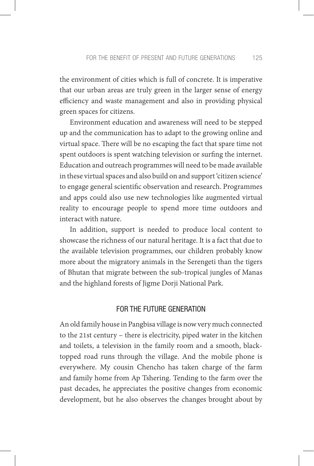the environment of cities which is full of concrete. It is imperative that our urban areas are truly green in the larger sense of energy efficiency and waste management and also in providing physical green spaces for citizens.

Environment education and awareness will need to be stepped up and the communication has to adapt to the growing online and virtual space. There will be no escaping the fact that spare time not spent outdoors is spent watching television or surfing the internet. Education and outreach programmes will need to be made available in these virtual spaces and also build on and support 'citizen science' to engage general scientific observation and research. Programmes and apps could also use new technologies like augmented virtual reality to encourage people to spend more time outdoors and interact with nature.

In addition, support is needed to produce local content to showcase the richness of our natural heritage. It is a fact that due to the available television programmes, our children probably know more about the migratory animals in the Serengeti than the tigers of Bhutan that migrate between the sub-tropical jungles of Manas and the highland forests of Jigme Dorji National Park.

# FOR THE FUTURE GENERATION

An old family house in Pangbisa village is now very much connected to the 21st century – there is electricity, piped water in the kitchen and toilets, a television in the family room and a smooth, blacktopped road runs through the village. And the mobile phone is everywhere. My cousin Chencho has taken charge of the farm and family home from Ap Tshering. Tending to the farm over the past decades, he appreciates the positive changes from economic development, but he also observes the changes brought about by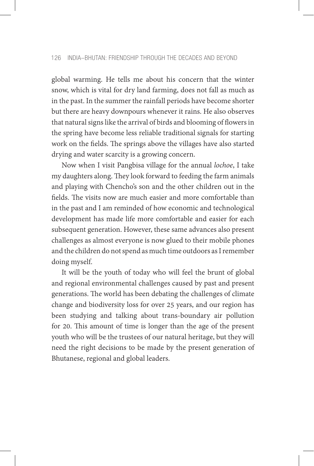global warming. He tells me about his concern that the winter snow, which is vital for dry land farming, does not fall as much as in the past. In the summer the rainfall periods have become shorter but there are heavy downpours whenever it rains. He also observes that natural signs like the arrival of birds and blooming of flowers in the spring have become less reliable traditional signals for starting work on the fields. The springs above the villages have also started drying and water scarcity is a growing concern.

Now when I visit Pangbisa village for the annual *lochoe*, I take my daughters along. They look forward to feeding the farm animals and playing with Chencho's son and the other children out in the fields. The visits now are much easier and more comfortable than in the past and I am reminded of how economic and technological development has made life more comfortable and easier for each subsequent generation. However, these same advances also present challenges as almost everyone is now glued to their mobile phones and the children do not spend as much time outdoors as I remember doing myself.

It will be the youth of today who will feel the brunt of global and regional environmental challenges caused by past and present generations. The world has been debating the challenges of climate change and biodiversity loss for over 25 years, and our region has been studying and talking about trans-boundary air pollution for 20. This amount of time is longer than the age of the present youth who will be the trustees of our natural heritage, but they will need the right decisions to be made by the present generation of Bhutanese, regional and global leaders.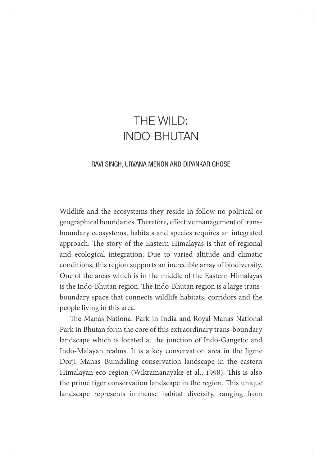# THE WILD: INDO-BHUTAN

#### RAVI SINGH, URVANA MENON AND DIPANKAR GHOSE

Wildlife and the ecosystems they reside in follow no political or geographical boundaries. Therefore, effective management of transboundary ecosystems, habitats and species requires an integrated approach. The story of the Eastern Himalayas is that of regional and ecological integration. Due to varied altitude and climatic conditions, this region supports an incredible array of biodiversity. One of the areas which is in the middle of the Eastern Himalayas is the Indo-Bhutan region. The Indo-Bhutan region is a large transboundary space that connects wildlife habitats, corridors and the people living in this area.

The Manas National Park in India and Royal Manas National Park in Bhutan form the core of this extraordinary trans-boundary landscape which is located at the junction of Indo-Gangetic and Indo-Malayan realms. It is a key conservation area in the Jigme Dorji–Manas–Bumdaling conservation landscape in the eastern Himalayan eco-region (Wikramanayake et al., 1998). This is also the prime tiger conservation landscape in the region. This unique landscape represents immense habitat diversity, ranging from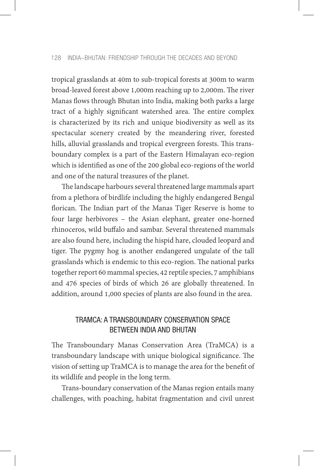tropical grasslands at 40m to sub-tropical forests at 300m to warm broad-leaved forest above 1,000m reaching up to 2,000m. The river Manas flows through Bhutan into India, making both parks a large tract of a highly significant watershed area. The entire complex is characterized by its rich and unique biodiversity as well as its spectacular scenery created by the meandering river, forested hills, alluvial grasslands and tropical evergreen forests. This transboundary complex is a part of the Eastern Himalayan eco-region which is identified as one of the 200 global eco-regions of the world and one of the natural treasures of the planet.

The landscape harbours several threatened large mammals apart from a plethora of birdlife including the highly endangered Bengal florican. The Indian part of the Manas Tiger Reserve is home to four large herbivores – the Asian elephant, greater one-horned rhinoceros, wild buffalo and sambar. Several threatened mammals are also found here, including the hispid hare, clouded leopard and tiger. The pygmy hog is another endangered ungulate of the tall grasslands which is endemic to this eco-region. The national parks together report 60 mammal species, 42 reptile species, 7 amphibians and 476 species of birds of which 26 are globally threatened. In addition, around 1,000 species of plants are also found in the area.

# TRAMCA: A TRANSBOUNDARY CONSERVATION SPACE BETWEEN INDIA AND BHUTAN

The Transboundary Manas Conservation Area (TraMCA) is a transboundary landscape with unique biological significance. The vision of setting up TraMCA is to manage the area for the benefit of its wildlife and people in the long term.

Trans-boundary conservation of the Manas region entails many challenges, with poaching, habitat fragmentation and civil unrest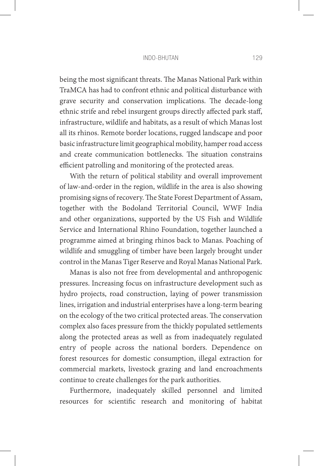#### Indo-Bhutan 129

being the most significant threats. The Manas National Park within TraMCA has had to confront ethnic and political disturbance with grave security and conservation implications. The decade-long ethnic strife and rebel insurgent groups directly affected park staff, infrastructure, wildlife and habitats, as a result of which Manas lost all its rhinos. Remote border locations, rugged landscape and poor basic infrastructure limit geographical mobility, hamper road access and create communication bottlenecks. The situation constrains efficient patrolling and monitoring of the protected areas.

With the return of political stability and overall improvement of law-and-order in the region, wildlife in the area is also showing promising signs of recovery. The State Forest Department of Assam, together with the Bodoland Territorial Council, WWF India and other organizations, supported by the US Fish and Wildlife Service and International Rhino Foundation, together launched a programme aimed at bringing rhinos back to Manas. Poaching of wildlife and smuggling of timber have been largely brought under control in the Manas Tiger Reserve and Royal Manas National Park.

Manas is also not free from developmental and anthropogenic pressures. Increasing focus on infrastructure development such as hydro projects, road construction, laying of power transmission lines, irrigation and industrial enterprises have a long-term bearing on the ecology of the two critical protected areas. The conservation complex also faces pressure from the thickly populated settlements along the protected areas as well as from inadequately regulated entry of people across the national borders. Dependence on forest resources for domestic consumption, illegal extraction for commercial markets, livestock grazing and land encroachments continue to create challenges for the park authorities.

Furthermore, inadequately skilled personnel and limited resources for scientific research and monitoring of habitat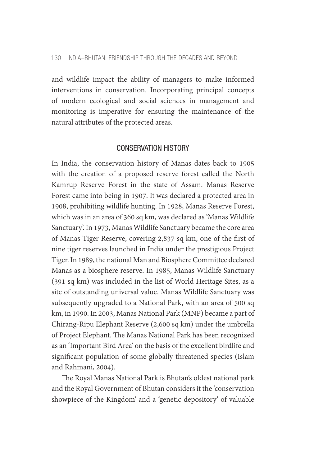and wildlife impact the ability of managers to make informed interventions in conservation. Incorporating principal concepts of modern ecological and social sciences in management and monitoring is imperative for ensuring the maintenance of the natural attributes of the protected areas.

# CONSERVATION HISTORY

In India, the conservation history of Manas dates back to 1905 with the creation of a proposed reserve forest called the North Kamrup Reserve Forest in the state of Assam. Manas Reserve Forest came into being in 1907. It was declared a protected area in 1908, prohibiting wildlife hunting. In 1928, Manas Reserve Forest, which was in an area of 360 sq km, was declared as 'Manas Wildlife Sanctuary'. In 1973, Manas Wildlife Sanctuary became the core area of Manas Tiger Reserve, covering 2,837 sq km, one of the first of nine tiger reserves launched in India under the prestigious Project Tiger. In 1989, the national Man and Biosphere Committee declared Manas as a biosphere reserve. In 1985, Manas Wildlife Sanctuary (391 sq km) was included in the list of World Heritage Sites, as a site of outstanding universal value. Manas Wildlife Sanctuary was subsequently upgraded to a National Park, with an area of 500 sq km, in 1990. In 2003, Manas National Park (MNP) became a part of Chirang-Ripu Elephant Reserve (2,600 sq km) under the umbrella of Project Elephant. The Manas National Park has been recognized as an 'Important Bird Area' on the basis of the excellent birdlife and significant population of some globally threatened species (Islam and Rahmani, 2004).

The Royal Manas National Park is Bhutan's oldest national park and the Royal Government of Bhutan considers it the 'conservation showpiece of the Kingdom' and a 'genetic depository' of valuable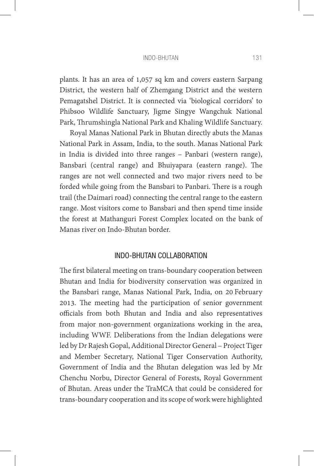#### Indo-Bhutan 131

plants. It has an area of 1,057 sq km and covers eastern Sarpang District, the western half of Zhemgang District and the western Pemagatshel District. It is connected via 'biological corridors' to Phibsoo Wildlife Sanctuary, Jigme Singye Wangchuk National Park, Thrumshingla National Park and Khaling Wildlife Sanctuary.

Royal Manas National Park in Bhutan directly abuts the Manas National Park in Assam, India, to the south. Manas National Park in India is divided into three ranges – Panbari (western range), Bansbari (central range) and Bhuiyapara (eastern range). The ranges are not well connected and two major rivers need to be forded while going from the Bansbari to Panbari. There is a rough trail (the Daimari road) connecting the central range to the eastern range. Most visitors come to Bansbari and then spend time inside the forest at Mathanguri Forest Complex located on the bank of Manas river on Indo-Bhutan border.

## INDO-BHUTAN COLLABORATION

The first bilateral meeting on trans-boundary cooperation between Bhutan and India for biodiversity conservation was organized in the Bansbari range, Manas National Park, India, on 20 February 2013. The meeting had the participation of senior government officials from both Bhutan and India and also representatives from major non-government organizations working in the area, including WWF. Deliberations from the Indian delegations were led by Dr Rajesh Gopal, Additional Director General – Project Tiger and Member Secretary, National Tiger Conservation Authority, Government of India and the Bhutan delegation was led by Mr Chenchu Norbu, Director General of Forests, Royal Government of Bhutan. Areas under the TraMCA that could be considered for trans-boundary cooperation and its scope of work were highlighted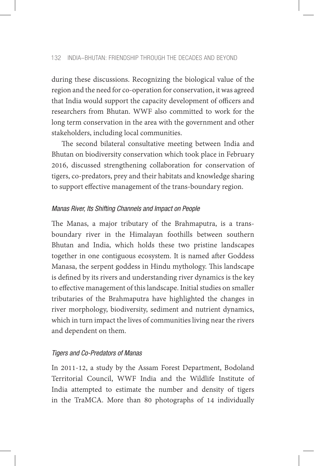during these discussions. Recognizing the biological value of the region and the need for co-operation for conservation, it was agreed that India would support the capacity development of officers and researchers from Bhutan. WWF also committed to work for the long term conservation in the area with the government and other stakeholders, including local communities.

The second bilateral consultative meeting between India and Bhutan on biodiversity conservation which took place in February 2016, discussed strengthening collaboration for conservation of tigers, co-predators, prey and their habitats and knowledge sharing to support effective management of the trans-boundary region.

#### *Manas River, Its Shifting Channels and Impact on People*

The Manas, a major tributary of the Brahmaputra, is a transboundary river in the Himalayan foothills between southern Bhutan and India, which holds these two pristine landscapes together in one contiguous ecosystem. It is named after Goddess Manasa, the serpent goddess in Hindu mythology. This landscape is defined by its rivers and understanding river dynamics is the key to effective management of this landscape. Initial studies on smaller tributaries of the Brahmaputra have highlighted the changes in river morphology, biodiversity, sediment and nutrient dynamics, which in turn impact the lives of communities living near the rivers and dependent on them.

### *Tigers and Co-Predators of Manas*

In 2011-12, a study by the Assam Forest Department, Bodoland Territorial Council, WWF India and the Wildlife Institute of India attempted to estimate the number and density of tigers in the TraMCA. More than 80 photographs of 14 individually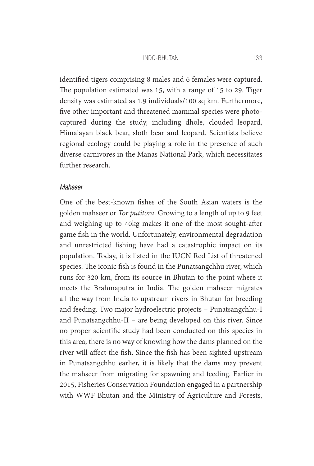#### Indo-Bhutan 133

identified tigers comprising 8 males and 6 females were captured. The population estimated was 15, with a range of 15 to 29. Tiger density was estimated as 1.9 individuals/100 sq km. Furthermore, five other important and threatened mammal species were photocaptured during the study, including dhole, clouded leopard, Himalayan black bear, sloth bear and leopard. Scientists believe regional ecology could be playing a role in the presence of such diverse carnivores in the Manas National Park, which necessitates further research.

## *Mahseer*

One of the best-known fishes of the South Asian waters is the golden mahseer or *Tor putitora*. Growing to a length of up to 9 feet and weighing up to 40kg makes it one of the most sought-after game fish in the world. Unfortunately, environmental degradation and unrestricted fishing have had a catastrophic impact on its population. Today, it is listed in the IUCN Red List of threatened species. The iconic fish is found in the Punatsangchhu river, which runs for 320 km, from its source in Bhutan to the point where it meets the Brahmaputra in India. The golden mahseer migrates all the way from India to upstream rivers in Bhutan for breeding and feeding. Two major hydroelectric projects – Punatsangchhu-I and Punatsangchhu-II – are being developed on this river. Since no proper scientific study had been conducted on this species in this area, there is no way of knowing how the dams planned on the river will affect the fish. Since the fish has been sighted upstream in Punatsangchhu earlier, it is likely that the dams may prevent the mahseer from migrating for spawning and feeding. Earlier in 2015, Fisheries Conservation Foundation engaged in a partnership with WWF Bhutan and the Ministry of Agriculture and Forests,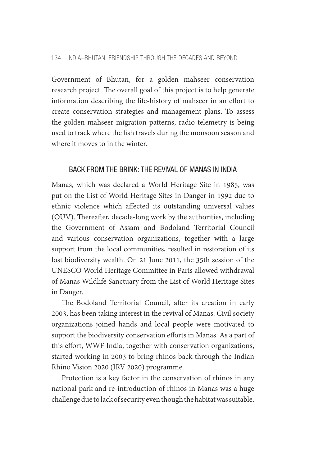Government of Bhutan, for a golden mahseer conservation research project. The overall goal of this project is to help generate information describing the life-history of mahseer in an effort to create conservation strategies and management plans. To assess the golden mahseer migration patterns, radio telemetry is being used to track where the fish travels during the monsoon season and where it moves to in the winter.

# BACK FROM THE BRINK: THE REVIVAL OF MANAS IN INDIA

Manas, which was declared a World Heritage Site in 1985, was put on the List of World Heritage Sites in Danger in 1992 due to ethnic violence which affected its outstanding universal values (OUV). Thereafter, decade-long work by the authorities, including the Government of Assam and Bodoland Territorial Council and various conservation organizations, together with a large support from the local communities, resulted in restoration of its lost biodiversity wealth. On 21 June 2011, the 35th session of the UNESCO World Heritage Committee in Paris allowed withdrawal of Manas Wildlife Sanctuary from the List of World Heritage Sites in Danger.

The Bodoland Territorial Council, after its creation in early 2003, has been taking interest in the revival of Manas. Civil society organizations joined hands and local people were motivated to support the biodiversity conservation efforts in Manas. As a part of this effort, WWF India, together with conservation organizations, started working in 2003 to bring rhinos back through the Indian Rhino Vision 2020 (IRV 2020) programme.

Protection is a key factor in the conservation of rhinos in any national park and re-introduction of rhinos in Manas was a huge challenge due to lack of security even though the habitat was suitable.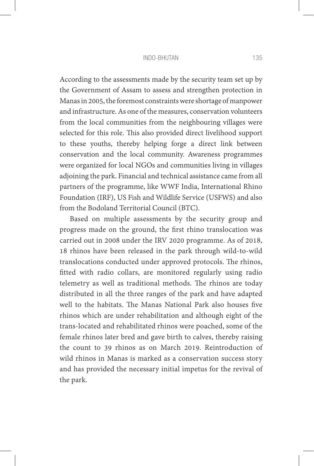#### Indo-Bhutan 135

According to the assessments made by the security team set up by the Government of Assam to assess and strengthen protection in Manas in 2005, the foremost constraints were shortage of manpower and infrastructure. As one of the measures, conservation volunteers from the local communities from the neighbouring villages were selected for this role. This also provided direct livelihood support to these youths, thereby helping forge a direct link between conservation and the local community. Awareness programmes were organized for local NGOs and communities living in villages adjoining the park. Financial and technical assistance came from all partners of the programme, like WWF India, International Rhino Foundation (IRF), US Fish and Wildlife Service (USFWS) and also from the Bodoland Territorial Council (BTC).

Based on multiple assessments by the security group and progress made on the ground, the first rhino translocation was carried out in 2008 under the IRV 2020 programme. As of 2018, 18 rhinos have been released in the park through wild-to-wild translocations conducted under approved protocols. The rhinos, fitted with radio collars, are monitored regularly using radio telemetry as well as traditional methods. The rhinos are today distributed in all the three ranges of the park and have adapted well to the habitats. The Manas National Park also houses five rhinos which are under rehabilitation and although eight of the trans-located and rehabilitated rhinos were poached, some of the female rhinos later bred and gave birth to calves, thereby raising the count to 39 rhinos as on March 2019. Reintroduction of wild rhinos in Manas is marked as a conservation success story and has provided the necessary initial impetus for the revival of the park.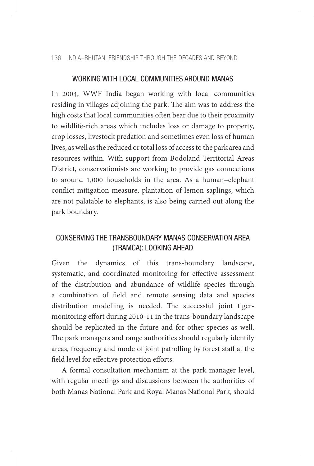136 INDIA–BHUTAN: FRIENDSHIP THROUGH THE DECADES AND BEYOND

### WORKING WITH LOCAL COMMUNITIES AROUND MANAS

In 2004, WWF India began working with local communities residing in villages adjoining the park. The aim was to address the high costs that local communities often bear due to their proximity to wildlife-rich areas which includes loss or damage to property, crop losses, livestock predation and sometimes even loss of human lives, as well as the reduced or total loss of access to the park area and resources within. With support from Bodoland Territorial Areas District, conservationists are working to provide gas connections to around 1,000 households in the area. As a human–elephant conflict mitigation measure, plantation of lemon saplings, which are not palatable to elephants, is also being carried out along the park boundary.

## CONSERVING THE TRANSBOUNDARY MANAS CONSERVATION AREA (TRAMCA): LOOKING AHEAD

Given the dynamics of this trans-boundary landscape, systematic, and coordinated monitoring for effective assessment of the distribution and abundance of wildlife species through a combination of field and remote sensing data and species distribution modelling is needed. The successful joint tigermonitoring effort during 2010-11 in the trans-boundary landscape should be replicated in the future and for other species as well. The park managers and range authorities should regularly identify areas, frequency and mode of joint patrolling by forest staff at the field level for effective protection efforts.

A formal consultation mechanism at the park manager level, with regular meetings and discussions between the authorities of both Manas National Park and Royal Manas National Park, should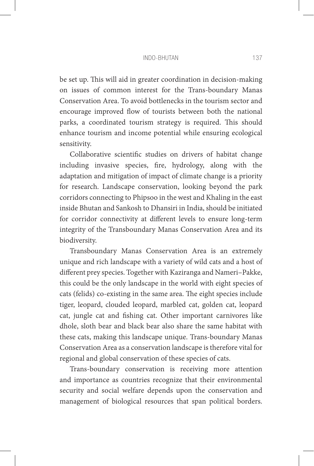### Indo-Bhutan 137

be set up. This will aid in greater coordination in decision-making on issues of common interest for the Trans-boundary Manas Conservation Area. To avoid bottlenecks in the tourism sector and encourage improved flow of tourists between both the national parks, a coordinated tourism strategy is required. This should enhance tourism and income potential while ensuring ecological sensitivity.

Collaborative scientific studies on drivers of habitat change including invasive species, fire, hydrology, along with the adaptation and mitigation of impact of climate change is a priority for research. Landscape conservation, looking beyond the park corridors connecting to Phipsoo in the west and Khaling in the east inside Bhutan and Sankosh to Dhansiri in India, should be initiated for corridor connectivity at different levels to ensure long-term integrity of the Transboundary Manas Conservation Area and its biodiversity.

Transboundary Manas Conservation Area is an extremely unique and rich landscape with a variety of wild cats and a host of different prey species. Together with Kaziranga and Nameri–Pakke, this could be the only landscape in the world with eight species of cats (felids) co-existing in the same area. The eight species include tiger, leopard, clouded leopard, marbled cat, golden cat, leopard cat, jungle cat and fishing cat. Other important carnivores like dhole, sloth bear and black bear also share the same habitat with these cats, making this landscape unique. Trans-boundary Manas Conservation Area as a conservation landscape is therefore vital for regional and global conservation of these species of cats.

Trans-boundary conservation is receiving more attention and importance as countries recognize that their environmental security and social welfare depends upon the conservation and management of biological resources that span political borders.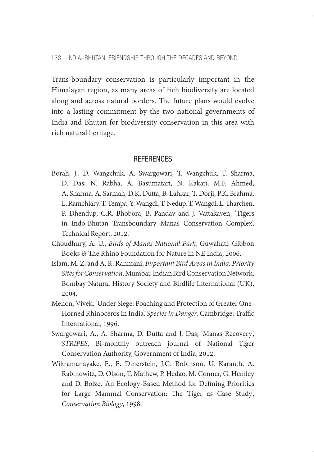Trans-boundary conservation is particularly important in the Himalayan region, as many areas of rich biodiversity are located along and across natural borders. The future plans would evolve into a lasting commitment by the two national governments of India and Bhutan for biodiversity conservation in this area with rich natural heritage.

### **REFERENCES**

- Borah, J., D. Wangchuk, A. Swargowari, T. Wangchuk, T. Sharma, D. Das, N. Rabha, A. Basumatari, N. Kakati, M.F. Ahmed, A. Sharma, A. Sarmah, D.K. Dutta, B. Lahkar, T. Dorji, P.K. Brahma, L. Ramchiary, T. Tempa, Y. Wangdi, T. Nedup, T. Wangdi, L. Tharchen, P. Dhendup, C.R. Bhobora, B. Pandav and J. Vattakaven, 'Tigers in Indo-Bhutan Transboundary Manas Conservation Complex', Technical Report, 2012.
- Choudhury, A. U., *Birds of Manas National Park*, Guwahati: Gibbon Books & The Rhino Foundation for Nature in NE India, 2006.
- Islam, M. Z. and A. R. Rahmani, *Important Bird Areas in India: Priority Sites for Conservation*, Mumbai: Indian Bird Conservation Network, Bombay Natural History Society and Birdlife International (UK), 2004.
- Menon, Vivek, 'Under Siege: Poaching and Protection of Greater One-Horned Rhinoceros in India', *Species in Danger*, Cambridge: Traffic International, 1996.
- Swargowari, A., A. Sharma, D. Dutta and J. Das, 'Manas Recovery', *STRIPES*, Bi-monthly outreach journal of National Tiger Conservation Authority, Government of India, 2012.
- Wikramanayake, E., E. Dinerstein, J.G. Robinson, U. Karanth, A. Rabinowitz, D. Olson, T. Mathew, P. Hedao, M. Conner, G. Hemley and D. Bolze, 'An Ecology-Based Method for Defining Priorities for Large Mammal Conservation: The Tiger as Case Study', *Conservation Biology*, 1998.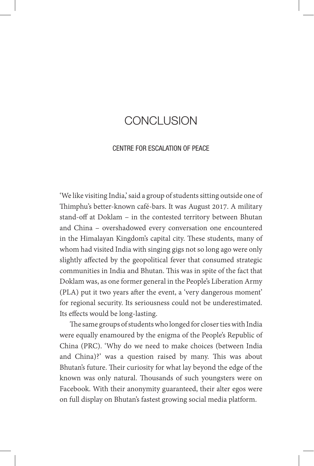# CONCLUSION

## CENTRE FOR ESCALATION OF PEACE

'We like visiting India,' said a group of students sitting outside one of Thimphu's better-known café-bars. It was August 2017. A military stand-off at Doklam – in the contested territory between Bhutan and China – overshadowed every conversation one encountered in the Himalayan Kingdom's capital city. These students, many of whom had visited India with singing gigs not so long ago were only slightly affected by the geopolitical fever that consumed strategic communities in India and Bhutan. This was in spite of the fact that Doklam was, as one former general in the People's Liberation Army (PLA) put it two years after the event, a 'very dangerous moment' for regional security. Its seriousness could not be underestimated. Its effects would be long-lasting.

The same groups of students who longed for closer ties with India were equally enamoured by the enigma of the People's Republic of China (PRC). 'Why do we need to make choices (between India and China)?' was a question raised by many. This was about Bhutan's future. Their curiosity for what lay beyond the edge of the known was only natural. Thousands of such youngsters were on Facebook. With their anonymity guaranteed, their alter egos were on full display on Bhutan's fastest growing social media platform.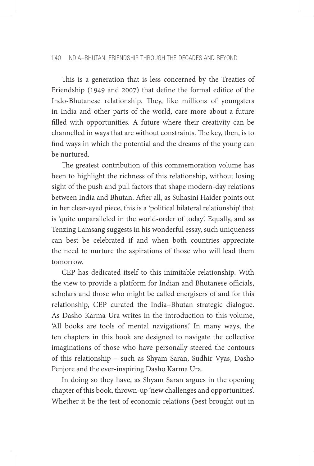### 140 INDIA–BHUTAN: FRIENDSHIP THROUGH THE DECADES AND BEYOND

This is a generation that is less concerned by the Treaties of Friendship (1949 and 2007) that define the formal edifice of the Indo-Bhutanese relationship. They, like millions of youngsters in India and other parts of the world, care more about a future filled with opportunities. A future where their creativity can be channelled in ways that are without constraints. The key, then, is to find ways in which the potential and the dreams of the young can be nurtured.

The greatest contribution of this commemoration volume has been to highlight the richness of this relationship, without losing sight of the push and pull factors that shape modern-day relations between India and Bhutan. After all, as Suhasini Haider points out in her clear-eyed piece, this is a 'political bilateral relationship' that is 'quite unparalleled in the world-order of today'. Equally, and as Tenzing Lamsang suggests in his wonderful essay, such uniqueness can best be celebrated if and when both countries appreciate the need to nurture the aspirations of those who will lead them tomorrow.

CEP has dedicated itself to this inimitable relationship. With the view to provide a platform for Indian and Bhutanese officials, scholars and those who might be called energisers of and for this relationship, CEP curated the India–Bhutan strategic dialogue. As Dasho Karma Ura writes in the introduction to this volume, 'All books are tools of mental navigations.' In many ways, the ten chapters in this book are designed to navigate the collective imaginations of those who have personally steered the contours of this relationship – such as Shyam Saran, Sudhir Vyas, Dasho Penjore and the ever-inspiring Dasho Karma Ura.

In doing so they have, as Shyam Saran argues in the opening chapter of this book, thrown-up 'new challenges and opportunities'. Whether it be the test of economic relations (best brought out in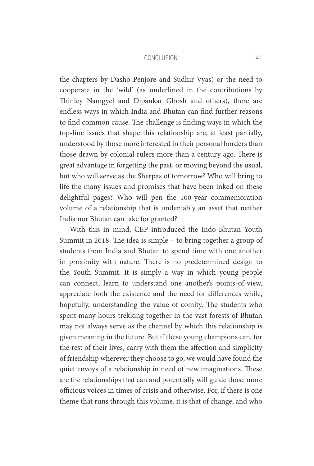### Conclusion 141

the chapters by Dasho Penjore and Sudhir Vyas) or the need to cooperate in the 'wild' (as underlined in the contributions by Thinley Namgyel and Dipankar Ghosh and others), there are endless ways in which India and Bhutan can find further reasons to find common cause. The challenge is finding ways in which the top-line issues that shape this relationship are, at least partially, understood by those more interested in their personal borders than those drawn by colonial rulers more than a century ago. There is great advantage in forgetting the past, or moving beyond the usual, but who will serve as the Sherpas of tomorrow? Who will bring to life the many issues and promises that have been inked on these delightful pages? Who will pen the 100-year commemoration volume of a relationship that is undeniably an asset that neither India nor Bhutan can take for granted?

With this in mind, CEP introduced the Indo-Bhutan Youth Summit in 2018. The idea is simple – to bring together a group of students from India and Bhutan to spend time with one another in proximity with nature. There is no predetermined design to the Youth Summit. It is simply a way in which young people can connect, learn to understand one another's points-of-view, appreciate both the existence and the need for differences while, hopefully, understanding the value of comity. The students who spent many hours trekking together in the vast forests of Bhutan may not always serve as the channel by which this relationship is given meaning in the future. But if these young champions can, for the rest of their lives, carry with them the affection and simplicity of friendship wherever they choose to go, we would have found the quiet envoys of a relationship in need of new imaginations. These are the relationships that can and potentially will guide those more officious voices in times of crisis and otherwise. For, if there is one theme that runs through this volume, it is that of change, and who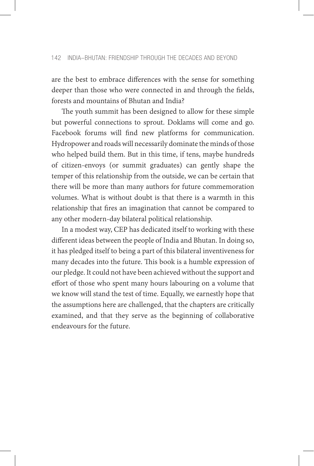are the best to embrace differences with the sense for something deeper than those who were connected in and through the fields, forests and mountains of Bhutan and India?

The youth summit has been designed to allow for these simple but powerful connections to sprout. Doklams will come and go. Facebook forums will find new platforms for communication. Hydropower and roads will necessarily dominate the minds of those who helped build them. But in this time, if tens, maybe hundreds of citizen-envoys (or summit graduates) can gently shape the temper of this relationship from the outside, we can be certain that there will be more than many authors for future commemoration volumes. What is without doubt is that there is a warmth in this relationship that fires an imagination that cannot be compared to any other modern-day bilateral political relationship.

In a modest way, CEP has dedicated itself to working with these different ideas between the people of India and Bhutan. In doing so, it has pledged itself to being a part of this bilateral inventiveness for many decades into the future. This book is a humble expression of our pledge. It could not have been achieved without the support and effort of those who spent many hours labouring on a volume that we know will stand the test of time. Equally, we earnestly hope that the assumptions here are challenged, that the chapters are critically examined, and that they serve as the beginning of collaborative endeavours for the future.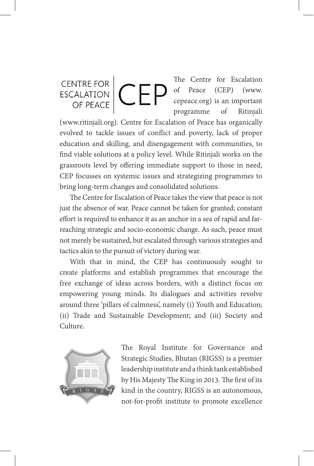## The Centre for Escalation CENTRE FOR<br>
CEORALATION of Peace (CEP) (www. cepeace.org) is an important programme of Ritinjali

(www.ritinjali.org). Centre for Escalation of Peace has organically evolved to tackle issues of conflict and poverty, lack of proper education and skilling, and disengagement with communities, to find viable solutions at a policy level. While Ritinjali works on the grassroots level by offering immediate support to those in need, CEP focusses on systemic issues and strategizing programmes to bring long-term changes and consolidated solutions.

The Centre for Escalation of Peace takes the view that peace is not just the absence of war. Peace cannot be taken for granted; constant effort is required to enhance it as an anchor in a sea of rapid and farreaching strategic and socio-economic change. As such, peace must not merely be sustained, but escalated through various strategies and tactics akin to the pursuit of victory during war.

With that in mind, the CEP has continuously sought to create platforms and establish programmes that encourage the free exchange of ideas across borders, with a distinct focus on empowering young minds. Its dialogues and activities revolve around three 'pillars of calmness', namely (i) Youth and Education; (ii) Trade and Sustainable Development; and (iii) Society and Culture.



The Royal Institute for Governance and Strategic Studies, Bhutan (RIGSS) is a premier leadership institute and a think tank established by His Majesty The King in 2013. The first of its kind in the country, RIGSS is an autonomous, not-for-profit institute to promote excellence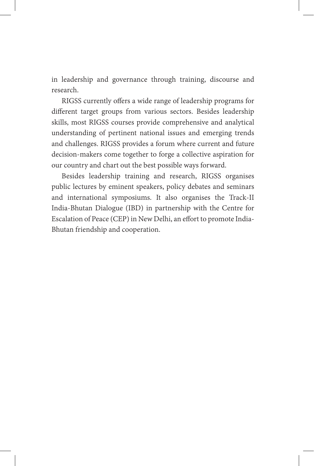in leadership and governance through training, discourse and research.

RIGSS currently offers a wide range of leadership programs for different target groups from various sectors. Besides leadership skills, most RIGSS courses provide comprehensive and analytical understanding of pertinent national issues and emerging trends and challenges. RIGSS provides a forum where current and future decision-makers come together to forge a collective aspiration for our country and chart out the best possible ways forward.

Besides leadership training and research, RIGSS organises public lectures by eminent speakers, policy debates and seminars and international symposiums. It also organises the Track-II India-Bhutan Dialogue (IBD) in partnership with the Centre for Escalation of Peace (CEP) in New Delhi, an effort to promote India-Bhutan friendship and cooperation.